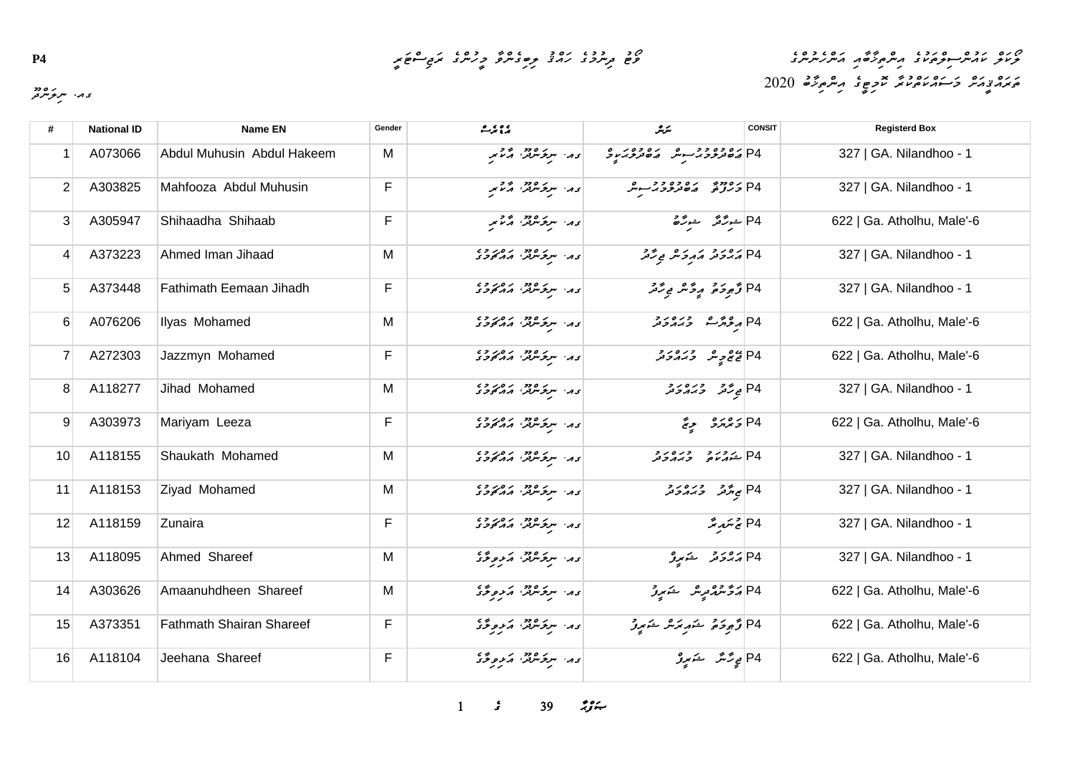*sCw7q7s5w7m< o<n9nOoAw7o< sCq;mAwBoEw7q<m; wBm;vB* م من المسجد المسجد المسجد المسجد المسجد العام 2020<br>مسجد المسجد المسجد المسجد المسجد المسجد المسجد المسجد المسجد ال

| #              | <b>National ID</b> | Name EN                         | Gender      | بروبره                            | سرپر                                                           | <b>CONSIT</b> | <b>Registerd Box</b>       |
|----------------|--------------------|---------------------------------|-------------|-----------------------------------|----------------------------------------------------------------|---------------|----------------------------|
| $\mathbf 1$    | A073066            | Abdul Muhusin Abdul Hakeem      | M           | أوار المتوسطين المتعمير           | P4 <sub>مەھ</sub> ىروم ج <sub>ەسمى</sub> ر مەمر <i>وب ب</i> وم |               | 327   GA. Nilandhoo - 1    |
| $\overline{2}$ | A303825            | Mahfooza Abdul Muhusin          | $\mathsf F$ | ا دار، سرگرمزن ارداد برد.<br>ا    | P4 دروده ده ده دو در په ش                                      |               | 327   GA. Nilandhoo - 1    |
| 3              | A305947            | Shihaadha Shihaab               | $\mathsf F$ | ىم سركانى ماء                     | P4 شو <i>ن</i> گر شو <i>نگ</i> ھ                               |               | 622   Ga. Atholhu, Male'-6 |
| 4              | A373223            | Ahmed Iman Jihaad               | M           | , در سرگرسرگر، ماه کود د          | P4 كەندى <i>تەرەڭ ئەرقىلى</i> ب                                |               | 327   GA. Nilandhoo - 1    |
| 5              | A373448            | Fathimath Eemaan Jihadh         | F           | در سرگرس در در در در              | P4 وَج <i>وحَمْ وِحَ</i> ّىرْ م <sub>َح</sub> رَّمْرَ          |               | 327   GA. Nilandhoo - 1    |
| 6              | A076206            | Ilyas Mohamed                   | M           | . در سرگرسرگر، مامگردی            | P4 موثر مصر وبره ديو                                           |               | 622   Ga. Atholhu, Male'-6 |
| $\overline{7}$ | A272303            | Jazzmyn Mohamed                 | $\mathsf F$ | ى مەسىر ئىرى ئەم ئەم ئ            | P4 تج ج حرب حرب در در د                                        |               | 622   Ga. Atholhu, Male'-6 |
| 8              | A118277            | Jihad Mohamed                   | M           | . در سروسربر مار د د د            | P4 مِ رَّتَرَ كَرَرُونَرُ –                                    |               | 327   GA. Nilandhoo - 1    |
| 9              | A303973            | Mariyam Leeza                   | $\mathsf F$ | , در سرگرسرگر، ماه کود د          | P4 دَبَرْدَرْ مِيَّ                                            |               | 622   Ga. Atholhu, Male'-6 |
| 10             | A118155            | Shaukath Mohamed                | M           | . در سرگرسرگر، مام کور د          | $P4$ $P5.900$ $P6.900$ $P7.900$                                |               | 327   GA. Nilandhoo - 1    |
| 11             | A118153            | Ziyad Mohamed                   | M           | ى مەستىدى ئەمدە                   | P4 يې ترکتر ک <i>ې پره د تر</i>                                |               | 327   GA. Nilandhoo - 1    |
| 12             | A118159            | Zunaira                         | F           | צון ייתו <i>ב</i> ייתו, ורודי ברב | P4 تج يئرم بحر                                                 |               | 327   GA. Nilandhoo - 1    |
| 13             | A118095            | Ahmed Shareef                   | M           | دە. سرىگەنگرى كەندە ئىگ           | P4 <i>مَدْوَنْ حَبِينْ</i>                                     |               | 327   GA. Nilandhoo - 1    |
| 14             | A303626            | Amaanuhdheen Shareef            | M           | دەستىرىكى كەرەكى                  | P4 كەۋش <i>ر</i> بور ھەمرى <sup>3</sup>                        |               | 622   Ga. Atholhu, Male'-6 |
| 15             | A373351            | <b>Fathmath Shairan Shareef</b> | F           | دەستىر ئىرىشى كەندە ئۇنى          | P4 زَّەپرەڭ سەرىمىش شەمرِزْ                                    |               | 622   Ga. Atholhu, Male'-6 |
| 16             | A118104            | Jeehana Shareef                 | F           | ى مەسرىتىرىش كەر ئەنجاق           | P4 <sub>مح</sub> رثہ شہرو                                      |               | 622   Ga. Atholhu, Male'-6 |

*r@w7mBo7 .<C*

*1 s* 39 *i*<sub>s</sub>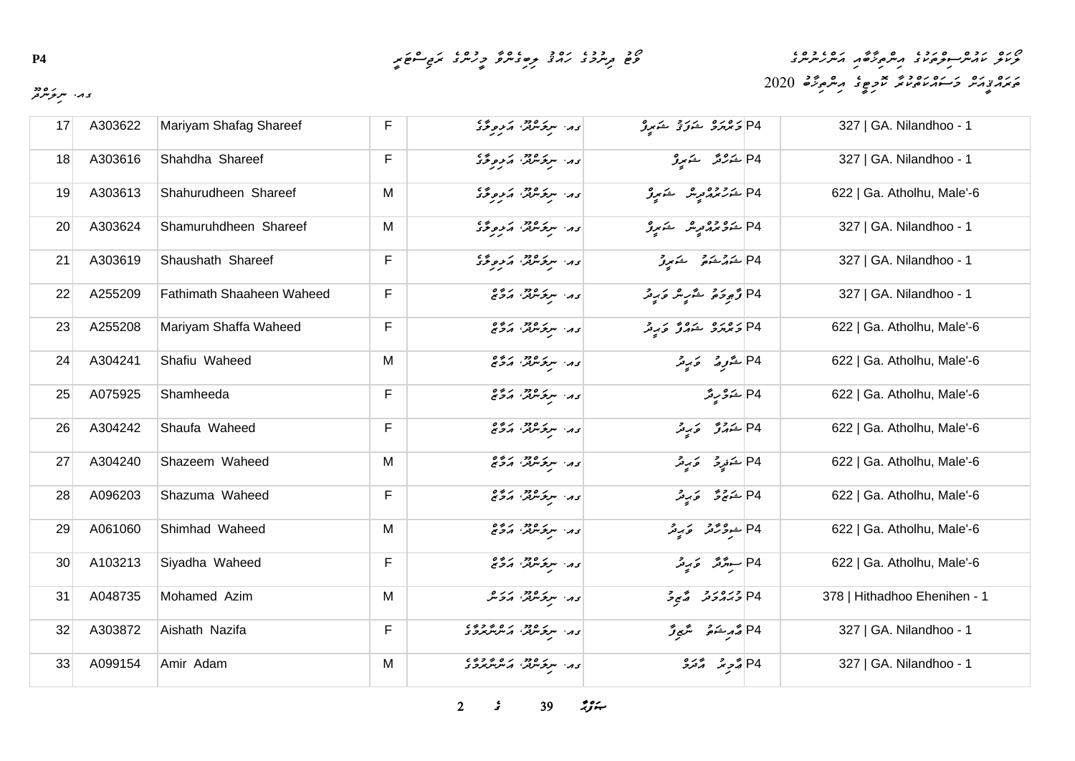*sCw7q7s5w7m< o<n9nOoAw7o< sCq;mAwBoEw7q<m; wBm;vB 2020<sup>, م</sup>وجدة المصرورة المجموعة المستورجة والم*جموعة والمجموعة والمجموعة والمجموعة والمجموعة والمجموعة والمجموعة

| 17 | A303622 | Mariyam Shafag Shareef    | F            | ىمە سرىگەن كەرەپچى                     | P4 كۆپرى خۇرقى خ <i>ەير</i> ۇ                 | 327   GA. Nilandhoo - 1      |
|----|---------|---------------------------|--------------|----------------------------------------|-----------------------------------------------|------------------------------|
| 18 | A303616 | Shahdha Shareef           | F            | ىمە سرىگەنگە كەنوموگەن                 | P4 شەرقە شەمرى <sub>ر</sub>                   | 327   GA. Nilandhoo - 1      |
| 19 | A303613 | Shahurudheen Shareef      | M            | ى رە سرىۋىرى كەر ئەرگە                 | P4 ڪريمروپر شمېرو                             | 622   Ga. Atholhu, Male'-6   |
| 20 | A303624 | Shamuruhdheen Shareef     | M            | ىمە سەئەشلىقى مەدەپچى                  | .<br>P4 خو <i>د مهرمرینز</i> څو <i>بېرو</i>   | 327   GA. Nilandhoo - 1      |
| 21 | A303619 | Shaushath Shareef         | F            | ىمە سەقەشلى مەدەق ك                    | P4 خەرگىشكە ھەمرىر                            | 327   GA. Nilandhoo - 1      |
| 22 | A255209 | Fathimath Shaaheen Waheed | $\mathsf F$  | ى مەسىر سىر بەر بەر                    | P4 وَجوحَة حُديث وَرِيْرَ                     | 327   GA. Nilandhoo - 1      |
| 23 | A255208 | Mariyam Shaffa Waheed     | $\mathsf F$  | دە. سركەش ئەرمە                        | P4 <i>وَ بُرْمَرْ وَ شَهْرُوٌ وَ بِ</i> سِّرَ | 622   Ga. Atholhu, Male'-6   |
| 24 | A304241 | Shafiu Waheed             | M            | זו יישליטר. גלם                        | P4 ڪ <i>ُورٽ وَپ</i> يٽر                      | 622   Ga. Atholhu, Male'-6   |
| 25 | A075925 | Shamheeda                 | $\mathsf F$  | ى مەسىر ئىقتى ئەمەم                    | P4 حەرىرىتر                                   | 622   Ga. Atholhu, Male'-6   |
| 26 | A304242 | Shaufa Waheed             | $\mathsf{F}$ | ىم سرىمى ئەلەھ                         | P4 شەرقى ئ <i>ەب</i> ەتر                      | 622   Ga. Atholhu, Male'-6   |
| 27 | A304240 | Shazeem Waheed            | M            | ىما سرىكى ئەرمە                        | P4 ڪنوپر5 کوبرنگر                             | 622   Ga. Atholhu, Male'-6   |
| 28 | A096203 | Shazuma Waheed            | F            | ىد. سركرىقى كەلگە                      | P4 شتەيج ئ <i>ۇ ب</i> وتر                     | 622   Ga. Atholhu, Male'-6   |
| 29 | A061060 | Shimhad Waheed            | M            | ى مەستىر سىزى ئەرە                     | P4 جو <i>وگۇ ق ب</i> وتر                      | 622   Ga. Atholhu, Male'-6   |
| 30 | A103213 | Siyadha Waheed            | $\mathsf F$  | .<br>15. سرکوسرفر، مرکز ح              | P4 سوارتمر تحریر تر                           | 622   Ga. Atholhu, Male'-6   |
| 31 | A048735 | Mohamed Azim              | M            | ىم سرىگەن مەك                          | P4 دېرورو گړي و                               | 378   Hithadhoo Ehenihen - 1 |
| 32 | A303872 | Aishath Nazifa            | $\mathsf F$  | ر ده دود در دوره دره<br>در سروسهن مسرس | P4 مەم ئىستىم ئىستى <i>مى</i> ئى              | 327   GA. Nilandhoo - 1      |
| 33 | A099154 | Amir Adam                 | M            | وړ . سربوسربو . د ه په وه و            | P4 مَجْرِيمُ مُحْمَد <i>ُ</i>                 | 327   GA. Nilandhoo - 1      |

*2 sC 39 nNw?mS*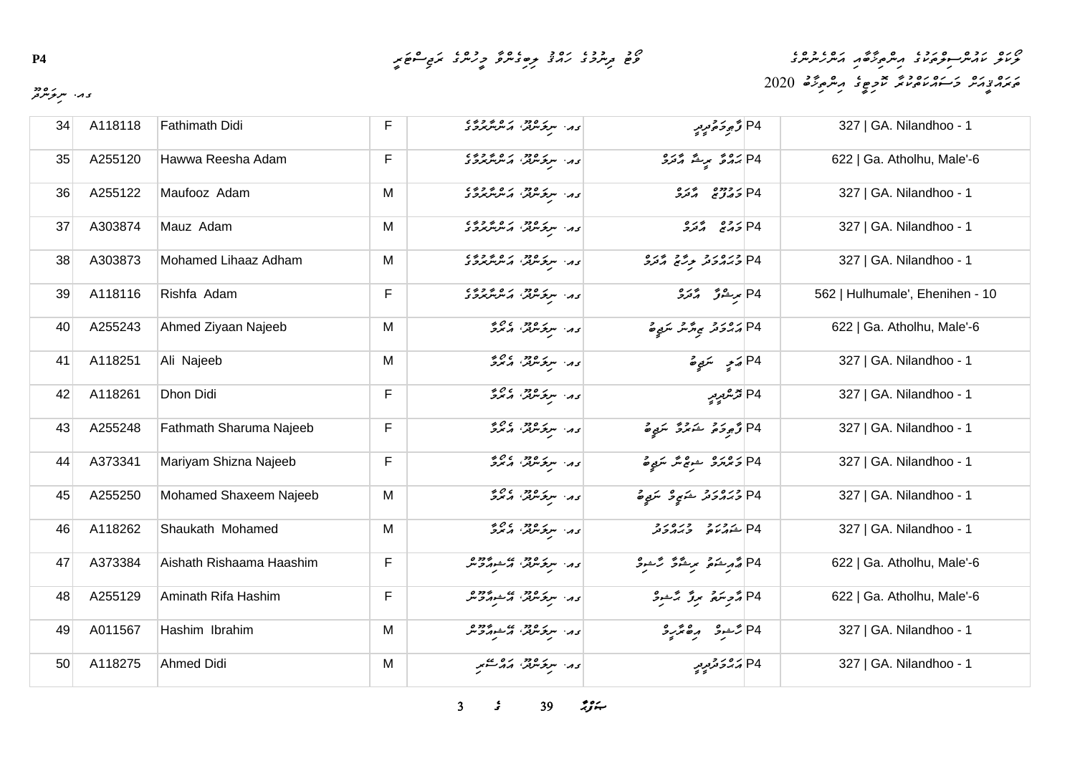*sCw7q7s5w7m< o<n9nOoAw7o< sCq;mAwBoEw7q<m; wBm;vB* م من المرة المرة المرة المرجع المرجع في المركبة 2020<br>مجم*د المريض المربوط المربع المرجع في المراجع المركبة* 

| 34 | A118118 | Fathimath Didi           | F | ی د سرخ سرد د سرسر د د د                                 | P4 ژَّجِ دَ مُجْ مِرْمِرِ                    | 327   GA. Nilandhoo - 1         |
|----|---------|--------------------------|---|----------------------------------------------------------|----------------------------------------------|---------------------------------|
| 35 | A255120 | Hawwa Reesha Adam        | F | د ۱۸ سرو سره اسر شرور د د د د                            |                                              | 622   Ga. Atholhu, Male'-6      |
| 36 | A255122 | Maufooz Adam             | M | د ۱۸۶۴ میلی میتوانید و ۲۵۶<br>دار میلی میلی از میلی میلی | P4 <i>ووده پره</i>                           | 327   GA. Nilandhoo - 1         |
| 37 | A303874 | Mauz Adam                | M | د ۱۸ سرو سره اسر شرور د د د د                            | P4 دَرُمْ مَرْمَرْدْ                         | 327   GA. Nilandhoo - 1         |
| 38 | A303873 | Mohamed Lihaaz Adham     | M | ود. سرپرسرتر، پرسرسربرد و                                | P4 در درو بررو درو                           | 327   GA. Nilandhoo - 1         |
| 39 | A118116 | Rishfa Adam              | F | در سرخسربی در هند در در<br>در سرخسربی دسرسربردد          | P4 برشۇ ئەترى                                | 562   Hulhumale', Ehenihen - 10 |
| 40 | A255243 | Ahmed Ziyaan Najeeb      | M | זו יישליטרי ומש                                          | P4 كەندى تەركىس س <i>كە</i> م 6              | 622   Ga. Atholhu, Male'-6      |
| 41 | A118251 | Ali Najeeb               | M | צוני ייתו <i>ב ייתורי וריוב</i>                          | P4 <i>ڇَجِ سَمَعِ</i> ءَ                     | 327   GA. Nilandhoo - 1         |
| 42 | A118261 | Dhon Didi                | F | צו ייתול מינה ובית ב                                     | P4 قرىرىرىر                                  | 327   GA. Nilandhoo - 1         |
| 43 | A255248 | Fathmath Sharuma Najeeb  | F | בגי ייקו <i>ב ייקודי היב</i> ב                           | P4 تَ <i>وجوه</i> شَمَعَرَ سَمِعٍ صَ         | 327   GA. Nilandhoo - 1         |
| 44 | A373341 | Mariyam Shizna Najeeb    | F | בגי ייקו <i>ב ייקודי היב</i> ב                           | P4 كەنگەر ئىش ئىش ئىكدىن كىلەر ئىل           | 327   GA. Nilandhoo - 1         |
| 45 | A255250 | Mohamed Shaxeem Najeeb   | M | ى دا سرىمىدى كام بور                                     | P4 دېرو د تر شور تر پره مخ                   | 327   GA. Nilandhoo - 1         |
| 46 | A118262 | Shaukath Mohamed         | M | צוני ייתו <i>ב ייתורי וריוב</i>                          | P4 خەرىمە دىرەرد                             | 327   GA. Nilandhoo - 1         |
| 47 | A373384 | Aishath Rishaama Haashim | F | وړ سرخس که هغه ده ده<br>در سرخس                          | P4 مٌ مِشَمَّ مِرْشَرَّ گَسْوِدْ             | 622   Ga. Atholhu, Male'-6      |
| 48 | A255129 | Aminath Rifa Hashim      | F | وړ سربوسربر، کار دوه<br>در سربوسربر، کار دروس            | P4 مٌرجِ سَمَةٌ مِنْ مُرْشَرِدْ              | 622   Ga. Atholhu, Male'-6      |
| 49 | A011567 | Hashim Ibrahim           | M | ود. سرخ سربو. به شورو در د                               | P4 جَسِعِو <i>ڤ م</i> ِر <i>ة مُ</i> رْبِرةِ | 327   GA. Nilandhoo - 1         |
| 50 | A118275 | <b>Ahmed Didi</b>        | M | ىم سرخ شرق مەم ئە                                        | P4 كەبرى تەربىرىد                            | 327   GA. Nilandhoo - 1         |

**3 39** *<i>f f s*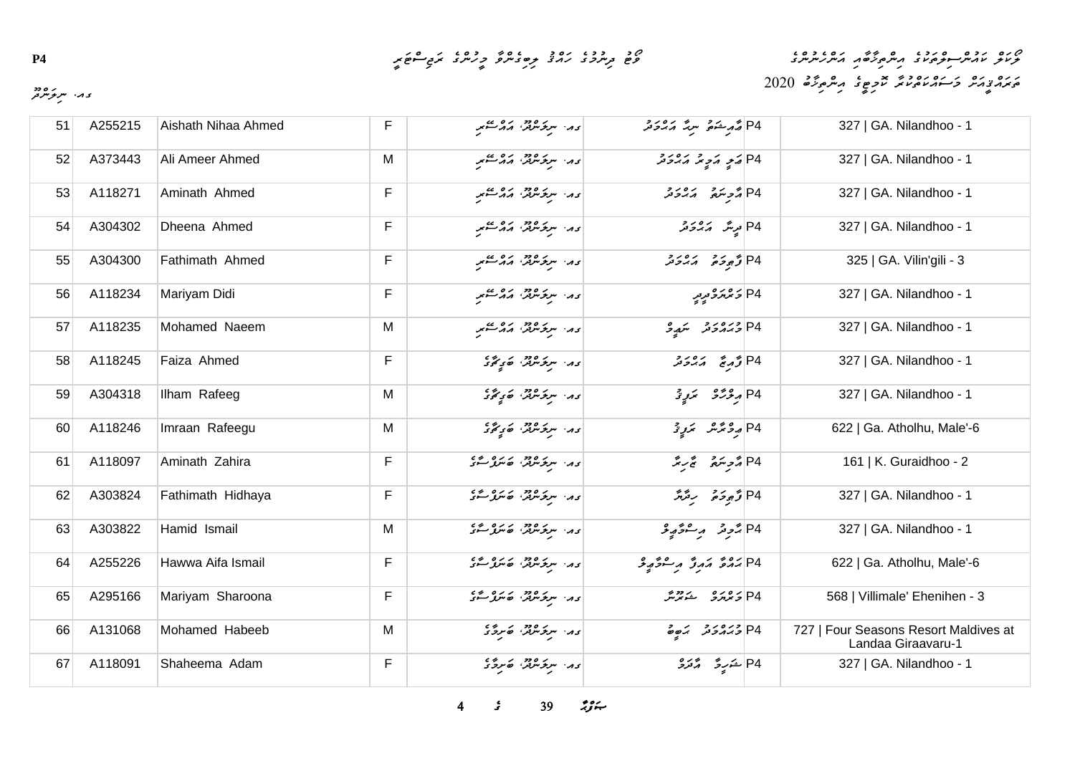*sCw7q7s5w7m< o<n9nOoAw7o< sCq;mAwBoEw7q<m; wBm;vB* م من المرة المرة المرة المرجع المرجع في المركبة 2020<br>مجم*د المريض المربوط المربع المرجع في المراجع المركبة* 

| 51 | A255215 | Aishath Nihaa Ahmed | F            | ىم سرىگىرى كەرت بىر             | P4 مُرمِشَمَ سِرَّ مَدَوَمَر                 | 327   GA. Nilandhoo - 1                                     |
|----|---------|---------------------|--------------|---------------------------------|----------------------------------------------|-------------------------------------------------------------|
| 52 | A373443 | Ali Ameer Ahmed     | M            | ى مەسىر ھەدە ئەم ئەسىمى         | P4 كەي كەي كەردىتى                           | 327   GA. Nilandhoo - 1                                     |
| 53 | A118271 | Aminath Ahmed       | F            | ىم سرىمىدى مەھتىر               | P4 مَّحِسَمَ مَدَّدَمَّر                     | 327   GA. Nilandhoo - 1                                     |
| 54 | A304302 | Dheena Ahmed        | $\mathsf{F}$ | ىم سرىمىدى مەھتىر               | P4 مِرِسَّر     پرگرونر                      | 327   GA. Nilandhoo - 1                                     |
| 55 | A304300 | Fathimath Ahmed     | $\mathsf F$  | ىما سرىمىرى مەرەبىي             | P4 وَجِعَةِ مَدَّوَمَ                        | 325   GA. Vilin'gili - 3                                    |
| 56 | A118234 | Mariyam Didi        | $\mathsf F$  | ىم سرىگىرى مەرئىتى              | P4 كەبەر ئەرەپر                              | 327   GA. Nilandhoo - 1                                     |
| 57 | A118235 | Mohamed Naeem       | M            | ىم سرىمىدى مەھتىر               | P4  3223 سَمَعٍ 5                            | 327   GA. Nilandhoo - 1                                     |
| 58 | A118245 | Faiza Ahmed         | F            | ى مەستىر ئىرى ئىس ئى            | P4 وَمِعَ مَدَوَمَد                          | 327   GA. Nilandhoo - 1                                     |
| 59 | A304318 | Ilham Rafeeg        | M            | ى مەستىر ئىرىمى ئىستى ئى        | P4 م <i>ونژی پزو</i> یځ                      | 327   GA. Nilandhoo - 1                                     |
| 60 | A118246 | Imraan Rafeegu      | M            | ى مەستىر ئىرىمى ئىستى ئى        | P4 مەۋىر مىرىمىتى ئىچە ئىچە ئىچە ئىچە ئىچە ئ | 622   Ga. Atholhu, Male'-6                                  |
| 61 | A118097 | Aminath Zahira      | F            | ر ہے ۔<br>وہ سرخ سربل کا سرو ہے | P4 مَجْ سِمَعَةٍ مَجْ سِمَّد                 | 161   K. Guraidhoo - 2                                      |
| 62 | A303824 | Fathimath Hidhaya   | $\mathsf F$  | ی در سروسربو، کامرو دی          | P4 وَج <i>وحَمْ بِ</i> قَرَّمَّ              | 327   GA. Nilandhoo - 1                                     |
| 63 | A303822 | Hamid Ismail        | M            | ی در سروسربو، کامرو دی          | P4 جُعِيمٌ مِ سُعَمَّمٍ مِ                   | 327   GA. Nilandhoo - 1                                     |
| 64 | A255226 | Hawwa Aifa Ismail   | F            | ی در سروسربو، کامرو دی          | P4 يَرْدُوَّ بَرْبِرْدُ بِرِ سُتَرَّبِرِ وَ  | 622   Ga. Atholhu, Male'-6                                  |
| 65 | A295166 | Mariyam Sharoona    | F            | ی در سروسربو، کامرو دی          | P4 كەبىر بىر ئەيرىتر                         | 568   Villimale' Ehenihen - 3                               |
| 66 | A131068 | Mohamed Habeeb      | M            | ى مەسترىسى ھىردى                | $20222$ P4                                   | 727   Four Seasons Resort Maldives at<br>Landaa Giraavaru-1 |
| 67 | A118091 | Shaheema Adam       | F            | ى مەسترىسى ھىردى                | P4 ڪربرڱ گ <i>رنر</i> و                      | 327   GA. Nilandhoo - 1                                     |

*4 s* 39 *i*<sub>s</sub>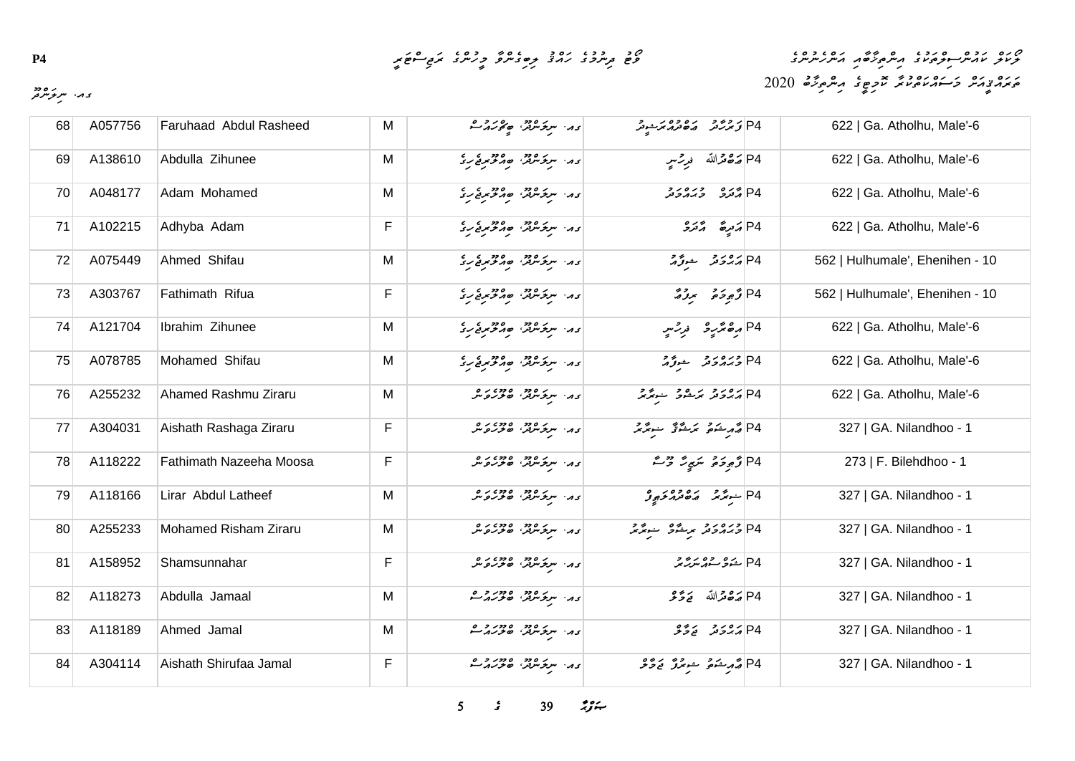*sCw7q7s5w7m< o<n9nOoAw7o< sCq;mAwBoEw7q<m; wBm;vB 2020*<br>*په پوهر وسوډيرونو لومو د موجو د مرمونه* 2020

| 68 | A057756 | Faruhaad Abdul Rasheed  | M            | ى مەسرىم سوچىدىكى ئەسرىمىت                   | P4 و پر پره په پره پر شوټر                   | 622   Ga. Atholhu, Male'-6      |
|----|---------|-------------------------|--------------|----------------------------------------------|----------------------------------------------|---------------------------------|
| 69 | A138610 | Abdulla Zihunee         | M            | وړ سرکرسرګي ځورکو دی دی                      | P4 صَ®قراللَه فرِرْسِرِ                      | 622   Ga. Atholhu, Male'-6      |
| 70 | A048177 | Adam Mohamed            | M            | وړ سروسرتي صمر وجوړي کړي                     | P4 څنره وره ده.                              | 622   Ga. Atholhu, Male'-6      |
| 71 | A102215 | Adhyba Adam             | $\mathsf{F}$ | وړ سرکرسرتي صمر څخه تور د                    | P4 أ <i>مَّ بوج</i> أَمُحْرَدُ               | 622   Ga. Atholhu, Male'-6      |
| 72 | A075449 | Ahmed Shifau            | M            | در سرگرسری مورود در                          | P4 <i>ډېر دو</i> شوگ <i>ه</i>                | 562   Hulhumale', Ehenihen - 10 |
| 73 | A303767 | Fathimath Rifua         | F            | وړ٠ سرکرسرګي د ورکومرځ رځ                    | P4 وَجودَة مِروَةً                           | 562   Hulhumale', Ehenihen - 10 |
| 74 | A121704 | Ibrahim Zihunee         | M            | در سرکرسرفر، صدر مدرج ر <sub>ی</sub>         | P4 م <i>وھنڈر</i> و مرت <sup>ق</sup> س ا     | 622   Ga. Atholhu, Male'-6      |
| 75 | A078785 | Mohamed Shifau          | M            | وړ سرنومرټر، صمر څرينو لري                   | P4 <i>3222 شووَّة.</i>                       | 622   Ga. Atholhu, Male'-6      |
| 76 | A255232 | Ahamed Rashmu Ziraru    | M            | وړ سربوسره وروه ده<br>وړ سربوسرن ځوروس       | P4 كەندى كىر كىر كىلىمى ئىستىر كىر           | 622   Ga. Atholhu, Male'-6      |
| 77 | A304031 | Aishath Rashaga Ziraru  | $\mathsf{F}$ | ر مرد ده دود ۲۵۶۵<br>دار سروسربل صوروس       | P4 مُ مِسْمَعْ مَرْسُمَّةً سِمَّتَمْ         | 327   GA. Nilandhoo - 1         |
| 78 | A118222 | Fathimath Nazeeha Moosa | $\mathsf{F}$ | ر مرد ده دود ۲۵۶۵<br>دار سروسربل صوروس       | P4 ۇ <sub>ج</sub> ودۇ ئىي ئ <sup>ەس</sup> گە | 273   F. Bilehdhoo - 1          |
| 79 | A118166 | Lirar Abdul Latheef     | M            | وړ سرخسرنۍ ه د ده ده<br>وړ سرخسرنۍ ه مرکز ش  | P4 ښ <i>وند م</i> صر د وو                    | 327   GA. Nilandhoo - 1         |
| 80 | A255233 | Mohamed Risham Ziraru   | M            | ور سرخ سربی موروس<br>در سرخ سربی صوروس       | P4 <i>ورەرو برىشۇ بېرىگە</i>                 | 327   GA. Nilandhoo - 1         |
| 81 | A158952 | Shamsunnahar            | $\mathsf{F}$ | وړ سرخسربی صوروس<br>دړ سرخسربی صوروس         | P4 شۇھەتتە <i>ر بورى</i> ر                   | 327   GA. Nilandhoo - 1         |
| 82 | A118273 | Abdulla Jamaal          | M            | גם ייתוב ייתוב סיבוג כ-2<br>גם ייתוב ייתוב י | P4 مَرْهُ مَرَاللّه مَعَرَّمْتَر             | 327   GA. Nilandhoo - 1         |
| 83 | A118189 | Ahmed Jamal             | M            | ور سروسربر مدرد م                            | P4 كەنزىق ئە <del>ڭ</del> مى                 | 327   GA. Nilandhoo - 1         |
| 84 | A304114 | Aishath Shirufaa Jamal  | F            | در سرخس صور ده<br>در سرخس                    | P4 مُەمِسْەمْ سومْرُوٌ ئۆڭۈ                  | 327   GA. Nilandhoo - 1         |

*5 sC 39 nNw?mS*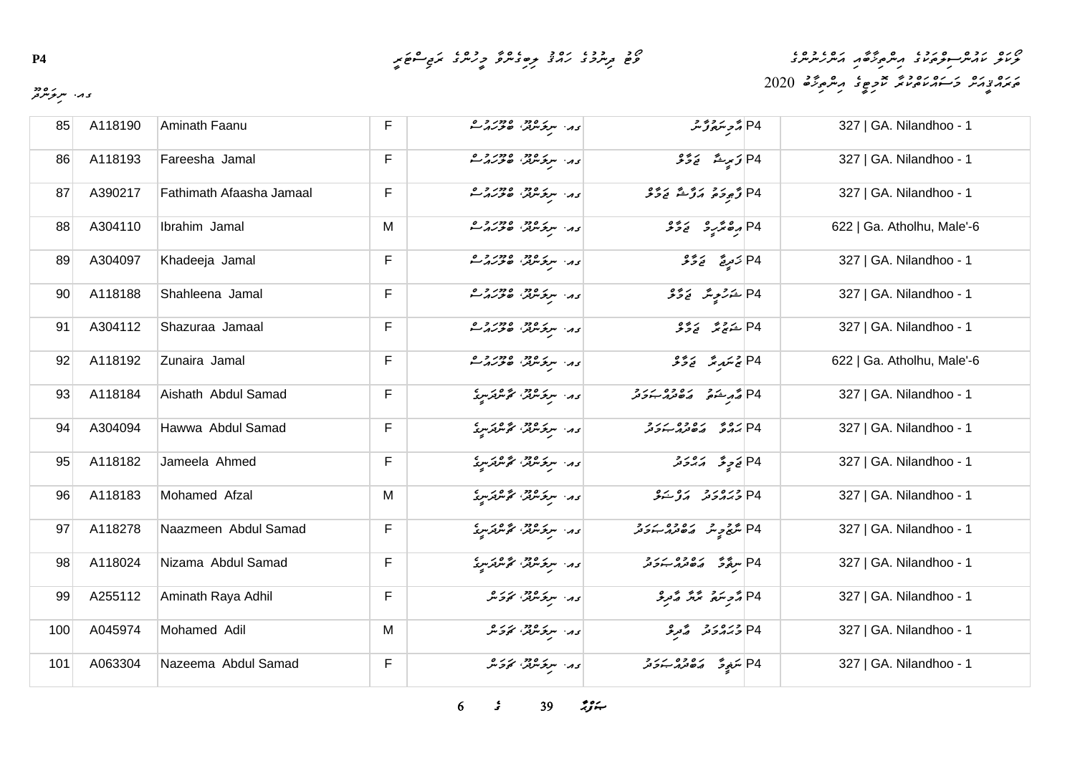*sCw7q7s5w7m< o<n9nOoAw7o< sCq;mAwBoEw7q<m; wBm;vB 2020*<br>*په پوهر وسوډيرونو لومو د موجو د مرمونه* 2020

| 85  | A118190 | Aminath Faanu            | F            | ر مرد سرورس در در در در در در در سر<br>د مرد سروسربر ۱۳۶۷ مرکز در              | P4 مَّ مِ سَهْوَ تَسْرَ                          | 327   GA. Nilandhoo - 1    |
|-----|---------|--------------------------|--------------|--------------------------------------------------------------------------------|--------------------------------------------------|----------------------------|
| 86  | A118193 | Fareesha Jamal           | $\mathsf{F}$ |                                                                                | P4 كۆمچىنىڭ كۆڭۈكى                               | 327   GA. Nilandhoo - 1    |
| 87  | A390217 | Fathimath Afaasha Jamaal | $\mathsf F$  |                                                                                | P4 زَّج <i>ودَ ۾ دَ</i> ڙَڪَ نَحَرَ حَرَ         | 327   GA. Nilandhoo - 1    |
| 88  | A304110 | Ibrahim Jamal            | M            | גם ייתוב ייתוב סיבוג כ-2<br>גם ייתוב ייתוב י                                   | P4 م <i>ِ هُ مَّرِ وَ</i> مَحَمَّى               | 622   Ga. Atholhu, Male'-6 |
| 89  | A304097 | Khadeeja Jamal           | $\mathsf{F}$ | גם ייתוב ייתוב סיבוג כ-2<br>גם ייתוב ייתוב י                                   | P4 كَتَوِيعٌ - يَحَرُّحْرُ -                     | 327   GA. Nilandhoo - 1    |
| 90  | A118188 | Shahleena Jamal          | $\mathsf F$  | גם ייתוב ייתוב סיבוג כ-2<br>גם ייתוב ייתוב י                                   | P4 خەرىچە ئەركى ئىچ                              | 327   GA. Nilandhoo - 1    |
| 91  | A304112 | Shazuraa Jamaal          | $\mathsf F$  | ره سرورسور ده در د ه<br>در سروسربر، صوربر ب                                    | P4 شَمَعْ مَنْ صَوَّرْ                           | 327   GA. Nilandhoo - 1    |
| 92  | A118192 | Zunaira Jamal            | $\mathsf F$  | גם ייתו <i>ב ייתור סיבג</i> ם.<br>גם ייתו <i>ב יית</i> ול י <i>ים יבג</i> ם יי | P4 يُسَمِعٌ يَحُو                                | 622   Ga. Atholhu, Male'-6 |
| 93  | A118184 | Aishath Abdul Samad      | F            | ى مەسرىكەن ئەسرىر سى                                                           | P4 مەم شەھ مەھەرمەدىر<br>P4                      | 327   GA. Nilandhoo - 1    |
| 94  | A304094 | Hawwa Abdul Samad        | F            | ىم سركومور كەشكەس                                                              | P4 بزوره ده وه برد و<br>P4 بزوره د ه تورر جودر   | 327   GA. Nilandhoo - 1    |
| 95  | A118182 | Jameela Ahmed            | $\mathsf F$  | ى مەسرىكرىلىقى ئەھرىكى مىزد                                                    | P4 تح <i>وِیْ پروون</i> ر                        | 327   GA. Nilandhoo - 1    |
| 96  | A118183 | Mohamed Afzal            | M            | ىم سركومى كەمكىرىدى                                                            | P4 <i>ۋېزە دو پروت و</i>                         | 327   GA. Nilandhoo - 1    |
| 97  | A118278 | Naazmeen Abdul Samad     | $\mathsf F$  | ى مەسرىترىنى ئۇسرىرسى                                                          | P4 مُرْج و مَرَ مَصْ مَرْد و مِرْدِ و            | 327   GA. Nilandhoo - 1    |
| 98  | A118024 | Nizama Abdul Samad       | $\mathsf{F}$ | ى مەسرىترىنى ئۇسرىرسى                                                          | P4 سِهْرَ دەھەردە بەد                            | 327   GA. Nilandhoo - 1    |
| 99  | A255112 | Aminath Raya Adhil       | $\mathsf F$  | ى مەسىر ئىرلىق كۆركى                                                           | P4 مُّحِسَمَةٌ مُمَّتَّرٌ مُّتَعِرَّدٌ           | 327   GA. Nilandhoo - 1    |
| 100 | A045974 | Mohamed Adil             | M            | ىمە سوڭسى كۆڭ                                                                  | P4 <i>32828 مگیر</i> و                           | 327   GA. Nilandhoo - 1    |
| 101 | A063304 | Nazeema Abdul Samad      | F            | ى مەسىرىگەنى كۆرك                                                              | P4 سَمَعٍ حَمَّ صَ <i>مَّة مِنْ مَرْدِ حَمَّ</i> | 327   GA. Nilandhoo - 1    |

*6 sC 39 nNw?mS*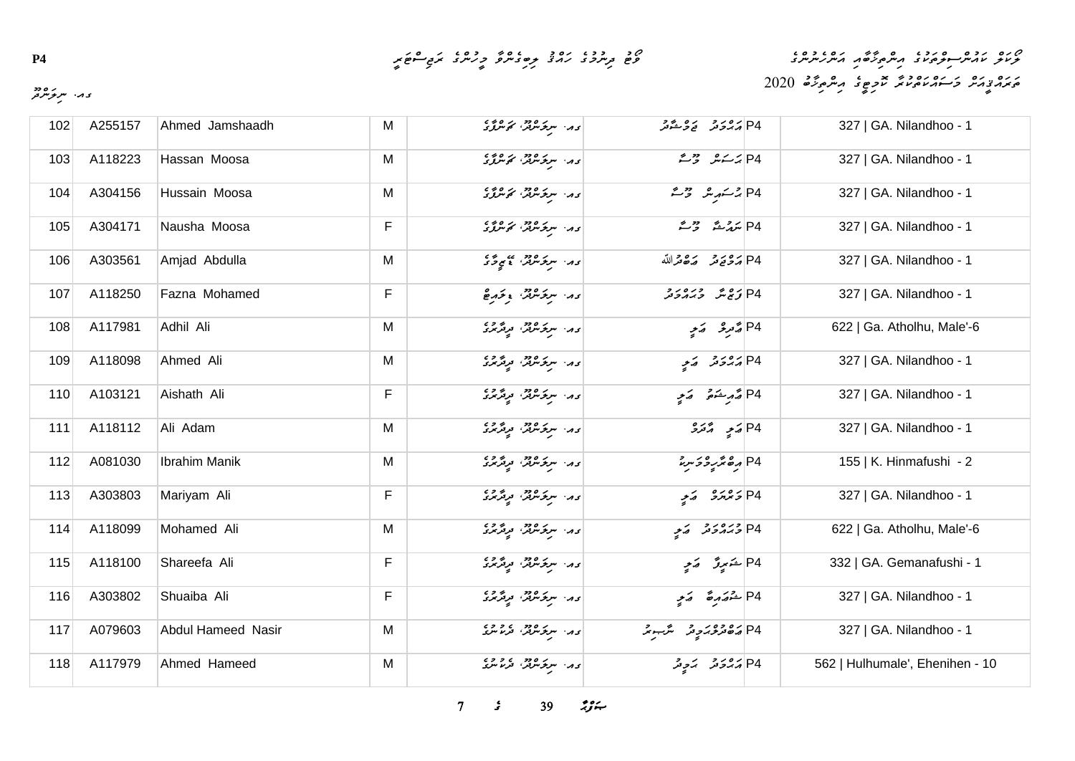*sCw7q7s5w7m< o<n9nOoAw7o< sCq;mAwBoEw7q<m; wBm;vB* م من المرة المرة المرة المرجع المرجع في المركبة 2020<br>مجم*د المريض المربوط المربع المرجع في المراجع المركبة* 

| 102 | A255157 | Ahmed Jamshaadh           | M           | در سرگرس در ۶۶۵ و                                       | P4 كەندى قىم ئىقى ئىسىمبىر                           | 327   GA. Nilandhoo - 1         |
|-----|---------|---------------------------|-------------|---------------------------------------------------------|------------------------------------------------------|---------------------------------|
| 103 | A118223 | Hassan Moosa              | M           | ى مەسىرى ئىگەن ئەس ئى                                   | P4 پرسک وینگ                                         | 327   GA. Nilandhoo - 1         |
| 104 | A304156 | Hussain Moosa             | M           | ى مەستىر ئىش كۆستۈر                                     | P4 پرڪ <i>ي پر چي</i> ءُ                             | 327   GA. Nilandhoo - 1         |
| 105 | A304171 | Nausha Moosa              | $\mathsf F$ | ى مەسىر ئەسىر ئەھمەدى                                   | 44 سَرَمْتُہُ حَرْثَہُ                               | 327   GA. Nilandhoo - 1         |
| 106 | A303561 | Amjad Abdulla             | M           | ى ئەستۇش ئەتى ئ                                         | P4 مَرْوَمَ مَرْ مَرْهُ مِّرَاللَّه                  | 327   GA. Nilandhoo - 1         |
| 107 | A118250 | Fazna Mohamed             | F           | ىم سركرمركز وكرموه                                      | P4 زَجْ شَرَ وَبَرُودَوَرَ                           | 327   GA. Nilandhoo - 1         |
| 108 | A117981 | Adhil Ali                 | M           | د ۱۰ سرتوسرس مرسمبرد ع<br>  د ۱۰ سرتوسرس مرسمبرد        | P4 صُّمِر حُمَّ مِيَّةٍ مِيْتِي                      | 622   Ga. Atholhu, Male'-6      |
| 109 | A118098 | Ahmed Ali                 | M           | ا دە. سرىگەش مەسىرى<br>ئەمەسىرىگەنگە مەسىرى             | P4  كەبۇرى كەم يە                                    | 327   GA. Nilandhoo - 1         |
| 110 | A103121 | Aishath Ali               | $\mathsf F$ | ى مەسىرى ئىقى بېرىترىنى ئ                               | P4 مُصِيَّمَة مَعِ                                   | 327   GA. Nilandhoo - 1         |
| 111 | A118112 | Ali Adam                  | M           | ى مەسىرىگەنى بېرىگرىنى                                  | P4 كەبىي مەترى                                       | 327   GA. Nilandhoo - 1         |
| 112 | A081030 | <b>Ibrahim Manik</b>      | M           | دە. سرگەشتى مەمگەدى                                     | P4 <sub>مر</sub> ە ئ <sub>ىرى</sub> ئى ئىرى <i>ق</i> | 155   K. Hinmafushi - 2         |
| 113 | A303803 | Mariyam Ali               | $\mathsf F$ | در سروکرد.<br>در سروکرد پرترمرد                         | P4 كانترنى كەم ب                                     | 327   GA. Nilandhoo - 1         |
| 114 | A118099 | Mohamed Ali               | M           | .<br>۱۵۶ سرخ شرقل مرفر برد .<br>۱۵۶ سرخ شرقل مرفر برد . | P4 ديرورو ک <i>ړي</i>                                | 622   Ga. Atholhu, Male'-6      |
| 115 | A118100 | Shareefa Ali              | $\mathsf F$ | دە سرىگەنگرى موتگرىنى                                   | P4 ڪيپو <i>گا ڪچ</i>                                 | 332   GA. Gemanafushi - 1       |
| 116 | A303802 | Shuaiba Ali               | F           | دە سرىگەنگرى مەترىرى                                    | P4 شەمەھ مەر                                         | 327   GA. Nilandhoo - 1         |
| 117 | A079603 | <b>Abdul Hameed Nasir</b> | M           | در سرگرمریں مرماسی                                      | P4 مَ®ترو2 برج مَّر سَّرَسِيمَ                       | 327   GA. Nilandhoo - 1         |
| 118 | A117979 | Ahmed Hameed              | M           | وړ٠ سرنځسرتن افراد سره.<br>د پر سرنځسرتن افراد سره.     | P4 كەندى كەر بۇ ئىگە                                 | 562   Hulhumale', Ehenihen - 10 |

*7 sC 39 nNw?mS*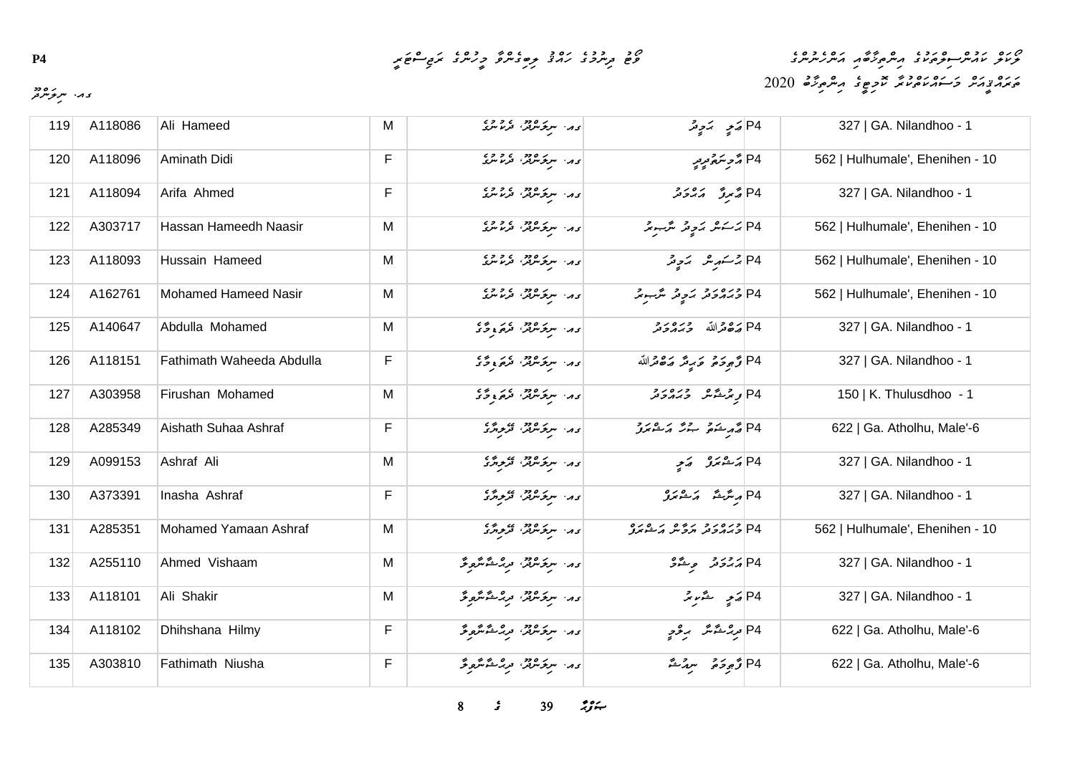*sCw7q7s5w7m< o<n9nOoAw7o< sCq;mAwBoEw7q<m; wBm;vB* م من المسجد المسجد المسجد المسجد المسجد العام 2020<br>مسجد المسجد المسجد المسجد المسجد المسجد المسجد المسجد المسجد ال

| 119 | A118086 | Ali Hameed                  | M            | ى مەسىر ئىروم ئى ئالاش ئى                           | P4  رَمِ بَرَدِيْرُ                       | 327   GA. Nilandhoo - 1         |
|-----|---------|-----------------------------|--------------|-----------------------------------------------------|-------------------------------------------|---------------------------------|
| 120 | A118096 | Aminath Didi                | $\mathsf{F}$ | ی د سرنگریزی فرماسری                                | P4 مُ <i>وِ سَهوْ مِ</i> رِمِرِ           | 562   Hulhumale', Ehenihen - 10 |
| 121 | A118094 | Arifa Ahmed                 | F            | وړ٠ سرنځسرتن افراد سره.<br>د پر سرنځسرتن افراد سره. | P4 صَّمِرَةٌ صَدَّدَتَرُ                  | 327   GA. Nilandhoo - 1         |
| 122 | A303717 | Hassan Hameedh Naasir       | M            | ی د سربوسی او د د د د                               | P4 كەسكەش كەچەتمە ئىگرىيەتتى              | 562   Hulhumale', Ehenihen - 10 |
| 123 | A118093 | Hussain Hameed              | M            | در سرخس ده در ده<br>در سرخس در مرد سر               | P4 پر کے مربائل کے برقد                   | 562   Hulhumale', Ehenihen - 10 |
| 124 | A162761 | <b>Mohamed Hameed Nasir</b> | M            | در سروکرده و دوه<br>در سروکرد ترم سر                | P4 دُبَرْدْدَتْدْ بَرْدِيْرْ مُرْسِدِيْرْ | 562   Hulhumale', Ehenihen - 10 |
| 125 | A140647 | Abdulla Mohamed             | M            | ىم سركەنلەر ئەر ئەت                                 | P4 مَەھْمَراللە م <i>ەرەب</i> و           | 327   GA. Nilandhoo - 1         |
| 126 | A118151 | Fathimath Waheeda Abdulla   | F            | ى مەسرىكەن مەم ئەت                                  | P4 وَجِعَةً تَدَبِعَّهُ صَهْدَاللّهَ      | 327   GA. Nilandhoo - 1         |
| 127 | A303958 | Firushan Mohamed            | M            | ىم سركەشلى مەدە                                     | P4 وير شگ <i>مر وبرودو</i> ر              | 150   K. Thulusdhoo - 1         |
| 128 | A285349 | Aishath Suhaa Ashraf        | F            | ى مەسىر ئىروم ئەرگەنى                               | P4 مەم ئىسىم ھايىر كى ئىشلىرى ئىس         | 622   Ga. Atholhu, Male'-6      |
| 129 | A099153 | Ashraf Ali                  | M            | ىمىستېرىقى قرىزلىقى                                 | P4 كەشقىقى كەمچە                          | 327   GA. Nilandhoo - 1         |
| 130 | A373391 | Inasha Ashraf               | $\mathsf F$  | ىمە سرىگىرى ترىرىدى                                 | P4 مِسَّرْتُ مَسْمَو <i>رٌ</i>            | 327   GA. Nilandhoo - 1         |
| 131 | A285351 | Mohamed Yamaan Ashraf       | M            | .<br>15. سرکوسرتر، ترم پر د                         | P4 ورەرو روما مەمدەرە                     | 562   Hulhumale', Ehenihen - 10 |
| 132 | A255110 | Ahmed Vishaam               | M            | ىم سرقىرى مركىشىگونۇ                                | P4 كەيرى قىم ھەر بىر يۇنجا ئىش            | 327   GA. Nilandhoo - 1         |
| 133 | A118101 | Ali Shakir                  | M            | ىم سرىقلۇر قرىرىشكى ئى                              | P4 ڪپو گھو <i>نگ</i> ر                    | 327   GA. Nilandhoo - 1         |
| 134 | A118102 | Dhihshana Hilmy             | F            | ىم سركرود مركز شگرېگر                               | P4 مربر شرکتر ہوتے <sub>ہے</sub>          | 622   Ga. Atholhu, Male'-6      |
| 135 | A303810 | Fathimath Niusha            | F            | ىە سۆسى قويىشگىدۇ.                                  | P4 زَّەپرەَ ئ <sup>و</sup> ر سرەڭ ب       | 622   Ga. Atholhu, Male'-6      |

**8** *s* **39** *n***<sub>s</sub>**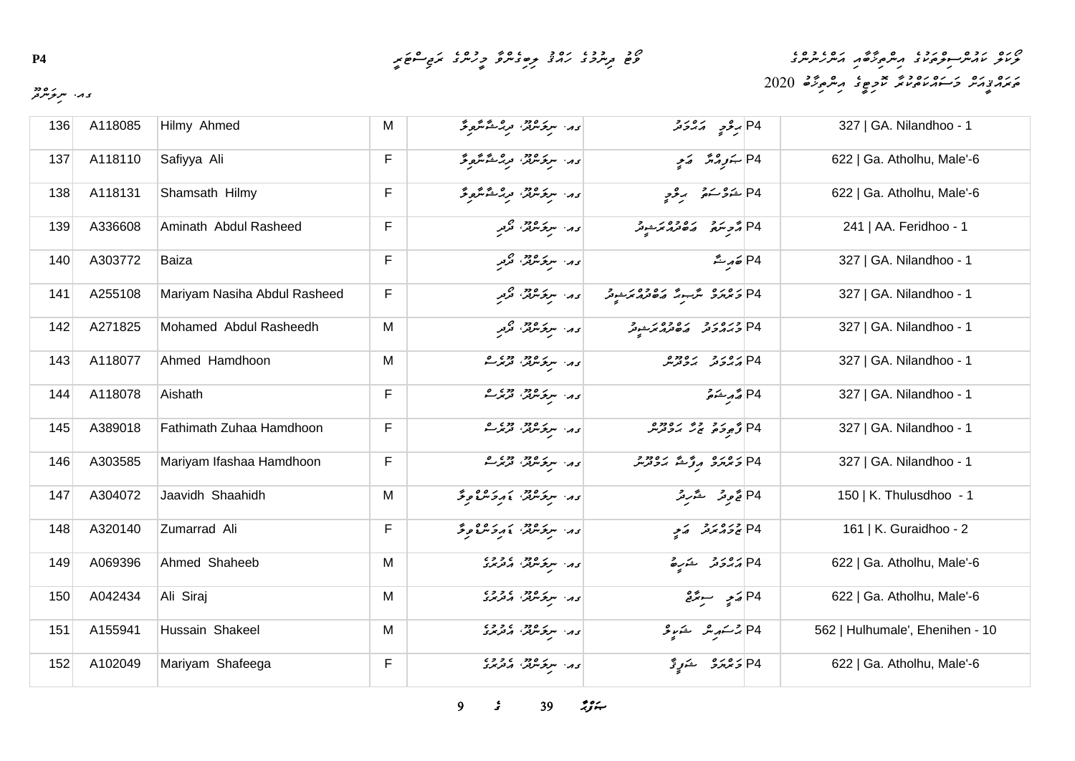*sCw7q7s5w7m< o<n9nOoAw7o< sCq;mAwBoEw7q<m; wBm;vB 2020<sup>, م</sup>وجدة المصرورة المجموعة المستورجة والم*جموعة والمجموعة والمجموعة والمجموعة والمجموعة والمجموعة والمجموعة

| 136 | A118085 | Hilmy Ahmed                  | M | ى مەسىر ئىرىگە ئورگەڭ ئىگرىمۇ ئى        | P4 برقوي <i>م برون</i> گر           | 327   GA. Nilandhoo - 1         |
|-----|---------|------------------------------|---|-----------------------------------------|-------------------------------------|---------------------------------|
| 137 | A118110 | Safiyya Ali                  | F | ىم سركەندى مەرشەتكى گ                   | P4 ج <i>زوده م</i> َر               | 622   Ga. Atholhu, Male'-6      |
| 138 | A118131 | Shamsath Hilmy               | F | ىما سركان بررىشگرېگر                    | P4 خەۋىس <i>ەۋە بە</i> ۋەپە         | 622   Ga. Atholhu, Male'-6      |
| 139 | A336608 | Aminath Abdul Rasheed        | F | ى مەسىر سىر ئىس ئىقلىر                  | P4 مُجِسَع مَصْرَمْ مَشْرِيْنِ مِنْ | 241   AA. Feridhoo - 1          |
| 140 | A303772 | Baiza                        | F | ى مەسىر سىر ئەر                         | P4 عَهريثَهِ                        | 327   GA. Nilandhoo - 1         |
| 141 | A255108 | Mariyam Nasiha Abdul Rasheed | F | دەستىر ئىرلىقى ئىرلىر                   | P4 كرەرە شەر مەدە برەر كىشى         | 327   GA. Nilandhoo - 1         |
| 142 | A271825 | Mohamed Abdul Rasheedh       | M | ى مەسىرى ئىس ئىقرىسى قىلىپ قىل          | P4 ورورو دووور روديد                | 327   GA. Nilandhoo - 1         |
| 143 | A118077 | Ahmed Hamdhoon               | M |                                         | P4 كەردىس بەھ دەھ                   | 327   GA. Nilandhoo - 1         |
| 144 | A118078 | Aishath                      | F | ى مەسىرى ئىزىدىن ھەر ئىلىمى ئىسىم       | P4 مەم شەم                          | 327   GA. Nilandhoo - 1         |
| 145 | A389018 | Fathimath Zuhaa Hamdhoon     | F | ا دار . سرگر سرگر به در در ه            | P4 ژَجِرَ ۾ پِرَ بَروترين           | 327   GA. Nilandhoo - 1         |
| 146 | A303585 | Mariyam Ifashaa Hamdhoon     | F | ى مەسرى مەسىر بولى ئە                   | P4 كەبەر ئەرگە ئەرەدە يە            | 327   GA. Nilandhoo - 1         |
| 147 | A304072 | Jaavidh Shaahidh             | M | ىمە سۆسىل ئەرىكى ئوگ                    | P4 قَ مِ قَدْ سُنَّةٍ مِرْدَّ       | 150   K. Thulusdhoo - 1         |
| 148 | A320140 | Zumarrad Ali                 | F | ىمە سۆسىل ئەرىكى ئوگ                    | P4 ىن <i>25 مىڭ ھەم</i>             | 161   K. Guraidhoo - 2          |
| 149 | A069396 | Ahmed Shaheeb                | M | ی د سرپوسی و د ده                       | P4 كەبرى تەرىخ                      | 622   Ga. Atholhu, Male'-6      |
| 150 | A042434 | Ali Siraj                    | M | در سرگرمرد ، دوره<br>در سرگرمرد ، دومرد | P4 <i>ھَ۔</i> سِگُھُ                | 622   Ga. Atholhu, Male'-6      |
| 151 | A155941 | Hussain Shakeel              | M | ى دار سرپۇش كەر دەرى                    | P4 پرستمبر بھر جنگ تھے۔<br>ا        | 562   Hulhumale', Ehenihen - 10 |
| 152 | A102049 | Mariyam Shafeega             | F | وړ٠ سربوکلونو، د وروه                   | P4 كۆچر <i>ى ئىمو</i> گە            | 622   Ga. Atholhu, Male'-6      |

*9 s* 39  $23$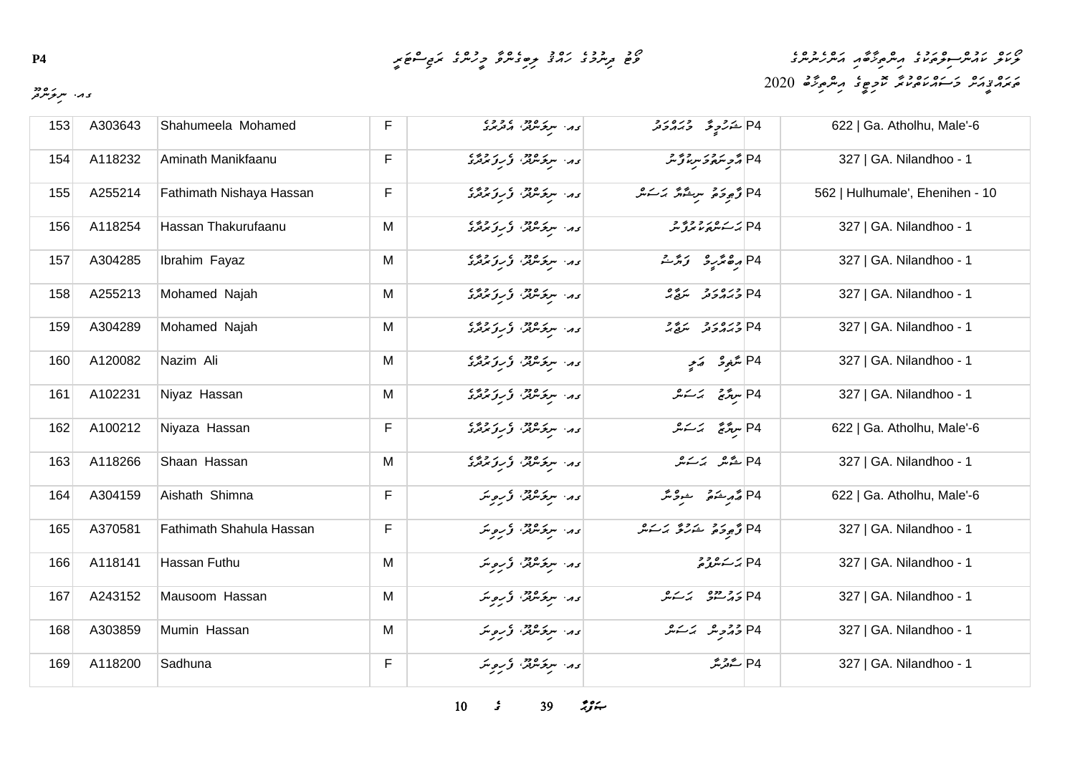*sCw7q7s5w7m< o<n9nOoAw7o< sCq;mAwBoEw7q<m; wBm;vB* م من المرة المرة المرة المرجع المرجع في المركبة 2020<br>مجم*د المريض المربوط المربع المرجع في المراجع المركبة* 

| 153 | A303643 | Shahumeela Mohamed       | F           | در سرگرس دود.<br>در سرگرس      | P4 خەرىچە ئەرەپە دىر                                                                                | 622   Ga. Atholhu, Male'-6      |
|-----|---------|--------------------------|-------------|--------------------------------|-----------------------------------------------------------------------------------------------------|---------------------------------|
| 154 | A118232 | Aminath Manikfaanu       | F           | دە سرىۋىرى قرىرى دەر           | P4 مَّ حِ سَمَعْ حَ سِرْءٌ وَّ سَر                                                                  | 327   GA. Nilandhoo - 1         |
| 155 | A255214 | Fathimath Nishaya Hassan | F           | دەس بىر ھەدە بىر كەر دەپ ق     | P4 ژَمِوَدَةُ سِشَهَّرَ بَرَسَسَّ                                                                   | 562   Hulhumale', Ehenihen - 10 |
| 156 | A118254 | Hassan Thakurufaanu      | M           | دەس بىر ھەدە بىر كەر دەپ ق     | P4 ئەسەھەر <i>مەرۋىت</i> ر                                                                          | 327   GA. Nilandhoo - 1         |
| 157 | A304285 | Ibrahim Fayaz            | M           | .<br>دەسىرى ئىرلىق كۆپەر ئەيرى | P4 مەھەرىرى ئەمەت                                                                                   | 327   GA. Nilandhoo - 1         |
| 158 | A255213 | Mohamed Najah            | M           | .<br>دەسىرى ئىرلىق كۆپەر ئەيرى | P4 <i>32823</i> سَمَةَ بَرْ                                                                         | 327   GA. Nilandhoo - 1         |
| 159 | A304289 | Mohamed Najah            | M           | .<br>دەسىرى ئىرلىق كۆپەر ئەيرى | P4 <i>3222 سرق بر</i>                                                                               | 327   GA. Nilandhoo - 1         |
| 160 | A120082 | Nazim Ali                | M           | ىما سرىقىدى كۆركەندى           | P4 سَّمَوِدَ - مَ <sup>م</sup> ِرِ                                                                  | 327   GA. Nilandhoo - 1         |
| 161 | A102231 | Niyaz Hassan             | M           | ىما سرىقىدى كۆركەندى           | P4 س <i>رمزی بر ش</i> ہر                                                                            | 327   GA. Nilandhoo - 1         |
| 162 | A100212 | Niyaza Hassan            | $\mathsf F$ | ىمە سەئەس كېرىتىدى             | P4 سرگريج کرک کر                                                                                    | 622   Ga. Atholhu, Male'-6      |
| 163 | A118266 | Shaan Hassan             | M           | ىما سرىمىدە ئۇرۇپرىدى          | P4 حَدَّش بَرَسَسْ                                                                                  | 327   GA. Nilandhoo - 1         |
| 164 | A304159 | Aishath Shimna           | F           | ىمە سرىگەنگە كۆرۈش             | P4 مَيْ مِ شَوَقَ مَدْ اللَّهِ عَلَى اللَّهِ مِنْ اللَّهِ مِنْ اللَّهِ مِنْ اللَّهِ مِنْ اللَّهِ مِ | 622   Ga. Atholhu, Male'-6      |
| 165 | A370581 | Fathimath Shahula Hassan | F           | دەر سرىگەنگرى كۆرۈشكە          | P4 <i>وَّجِ وَجَمْ شَرْكَةَ</i> بَرَسَةَ شَرْ                                                       | 327   GA. Nilandhoo - 1         |
| 166 | A118141 | Hassan Futhu             | M           | ىمە سرىگىرىگە كۆرۈش            | P4 ئەستەمىۋە                                                                                        | 327   GA. Nilandhoo - 1         |
| 167 | A243152 | Mausoom Hassan           | M           | ىمە سىۋىترىش ۋىرەپتر           | P4 كەرمىيى ئەسكەنلەر                                                                                | 327   GA. Nilandhoo - 1         |
| 168 | A303859 | Mumin Hassan             | M           | دەر سرىگەنگە كۆرۈش             | P4  35 مربر برسکر میں م                                                                             | 327   GA. Nilandhoo - 1         |
| 169 | A118200 | Sadhuna                  | F           | ىمە سەكەش ۋىرەش                | P4 گىقرىتر                                                                                          | 327   GA. Nilandhoo - 1         |

*10 s* 39 *if*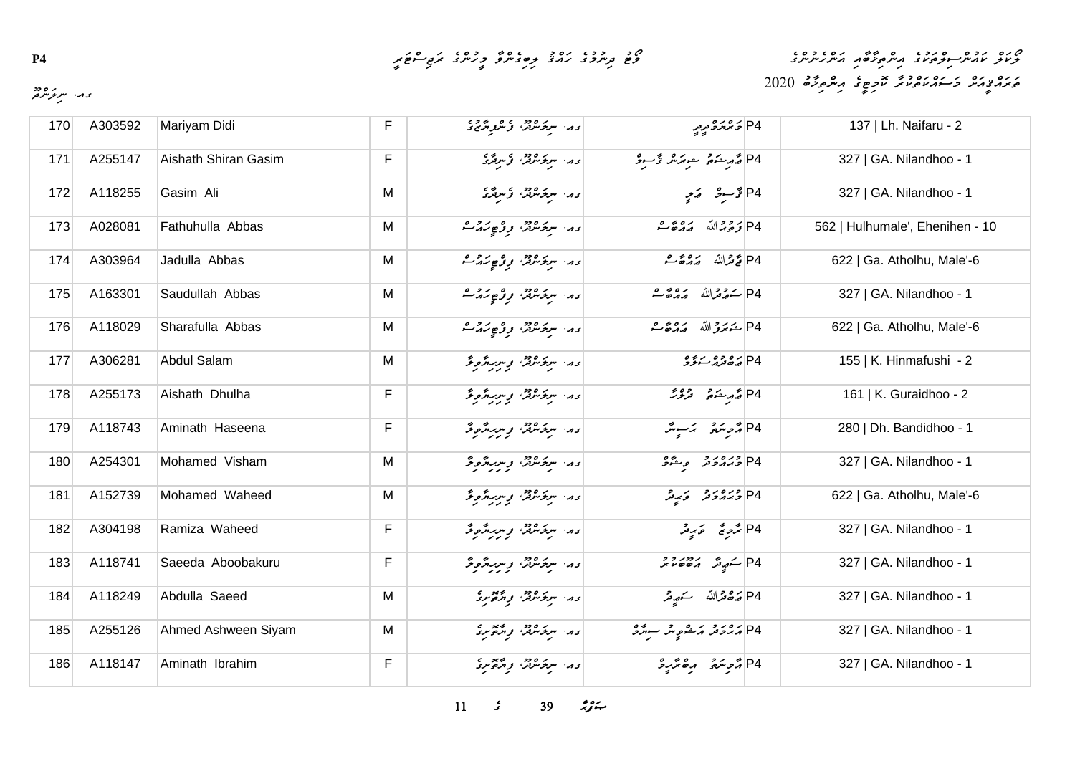*sCw7q7s5w7m< o<n9nOoAw7o< sCq;mAwBoEw7q<m; wBm;vB* م من المرة المرة المرة المرجع المرجع في المركبة 2020<br>مجم*د المريض المربوط المربع المرجع في المراجع المركبة* 

| 170 | A303592 | Mariyam Didi         | $\mathsf F$ | .<br>دەسرىگىرى ئۇيغۇر ئويغۇر ئىرى | P4 كەنگەتك <sub>ە</sub> تەرىپە          | 137   Lh. Naifaru - 2           |
|-----|---------|----------------------|-------------|-----------------------------------|-----------------------------------------|---------------------------------|
| 171 | A255147 | Aishath Shiran Gasim | F           | ىم سركەشتى كەستركى                | P4 مەم شەھ سىمەتكى ئۇسىرى               | 327   GA. Nilandhoo - 1         |
| 172 | A118255 | Gasim Ali            | M           | ىما سركرىمى كسرمى                 | P4 تخ ہے میں پر                         | 327   GA. Nilandhoo - 1         |
| 173 | A028081 | Fathuhulla Abbas     | M           | ىما سركان بورومات                 | P4 وَحْدَاللّه صَدْرَةَ هُ              | 562   Hulhumale', Ehenihen - 10 |
| 174 | A303964 | Jadulla Abbas        | M           | ىما سركان ووي كروم                |                                         | 622   Ga. Atholhu, Male'-6      |
| 175 | A163301 | Saudullah Abbas      | M           | ىما سركان وويور م                 | $2222$ سَمَّدَتَّرَاللَّهُ $222$ $ P4 $ | 327   GA. Nilandhoo - 1         |
| 176 | A118029 | Sharafulla Abbas     | M           | ىما سركان بورومات                 | P4 خەتترىق الله كەرگە ئەت               | 622   Ga. Atholhu, Male'-6      |
| 177 | A306281 | Abdul Salam          | M           | ىما سركەنگە ۋىرىدىگوڭ             | P4 ھۇھەر مەمۇر                          | 155   K. Hinmafushi - 2         |
| 178 | A255173 | Aishath Dhulha       | F           | ىمە سۆسىگە ۋسىدىگەنج              | P4 مەم شىم قىمى قىلىمىتىگە              | 161   K. Guraidhoo - 2          |
| 179 | A118743 | Aminath Haseena      | F           | ىمە سۆسىگە ۋسىدىگەنج              | P4 مُتَّحِسَمُ مَسِيَّتَر               | 280   Dh. Bandidhoo - 1         |
| 180 | A254301 | Mohamed Visham       | M           | ىمە سۆسى ۋسرىرگوڭ                 | P4  ج <i>زہ جو جھ</i> ی ع               | 327   GA. Nilandhoo - 1         |
| 181 | A152739 | Mohamed Waheed       | M           | ىما سركەنگە وسرىرگوگ              | P4 <i>\$ بَرُوْدَوْ وَبِ</i> وْرَ       | 622   Ga. Atholhu, Male'-6      |
| 182 | A304198 | Ramiza Waheed        | $\mathsf F$ | ىما سركەنگە وسرىرگوگ              |                                         | 327   GA. Nilandhoo - 1         |
| 183 | A118741 | Saeeda Aboobakuru    | F           | ىما سركەشتى وسرىرگوگ              | P4 کوپونگر م <i>صف پ</i> ر              | 327   GA. Nilandhoo - 1         |
| 184 | A118249 | Abdulla Saeed        | M           | در سرگرمرفر و پژونرد              | P4 مَەھمَّدَاللَّهُ سَمَّصِمَّر         | 327   GA. Nilandhoo - 1         |
| 185 | A255126 | Ahmed Ashween Siyam  | M           | ىمە سرىگەنگە ۋەگەنزى              | P4 كەبرى <i>تەر كەشمۇ بىر سەرگ</i> ۇ    | 327   GA. Nilandhoo - 1         |
| 186 | A118147 | Aminath Ibrahim      | F           | ىمە سرىگىرى ۋە ئىچ ئ              | P4 مَّحِسَمَّة مِنْ مَّرْبِة مَّ        | 327   GA. Nilandhoo - 1         |

 $11$  *s* 39  $23$   $-$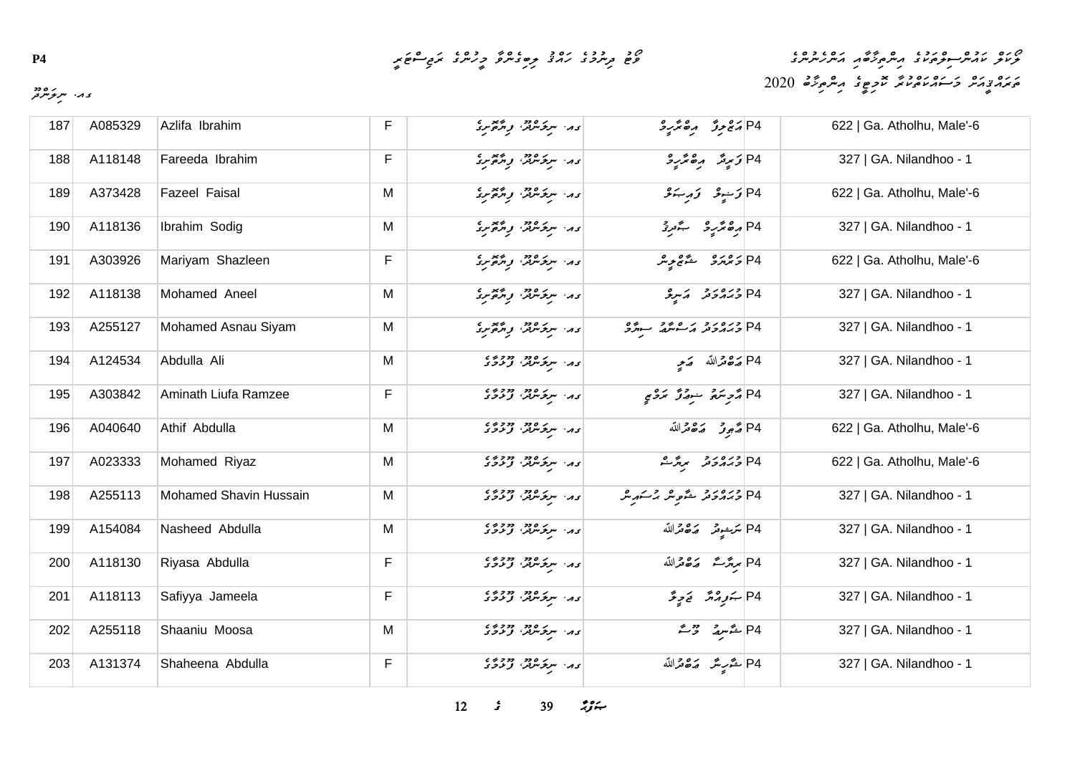*sCw7q7s5w7m< o<n9nOoAw7o< sCq;mAwBoEw7q<m; wBm;vB* م من المرة المرة المرة المرجع المرجع في المركبة 2020<br>مجم*د المريض المربوط المربع المرجع في المراجع المركبة* 

| 187 | A085329 | Azlifa Ibrahim                | F            | ىمە سرىگىرى ۋە ئەسرى           | P4 أَرَجْعِرْزٌ مِنْ مُرْسِرْدٌ                      | 622   Ga. Atholhu, Male'-6 |
|-----|---------|-------------------------------|--------------|--------------------------------|------------------------------------------------------|----------------------------|
| 188 | A118148 | Fareeda Ibrahim               | F            | ىما سرىگىرى و ئىچ ئ            | P4 وَمِرِمَّر مِرْهُ مَرْرِدْ                        | 327   GA. Nilandhoo - 1    |
| 189 | A373428 | <b>Fazeel Faisal</b>          | M            | ىمە سرىۋىنىڭ بەلگەندى          | P4 ۇىيدۇ   تەرىبكى                                   | 622   Ga. Atholhu, Male'-6 |
| 190 | A118136 | Ibrahim Sodig                 | M            | ىمە سرىگەنگە و ئەترى           | P4 م <i>ەھتىر بى</i> ئىستى <i>ر قى</i>               | 327   GA. Nilandhoo - 1    |
| 191 | A303926 | Mariyam Shazleen              | F            | در سرگرمرفز، و معر             | P4  <i>5 پر<sub>م</sub>رو</i> گھج م <sub>و</sub> یٹر | 622   Ga. Atholhu, Male'-6 |
| 192 | A118138 | Mohamed Aneel                 | M            | ىما سرىگەنگە و ئەترىپى         | P4 <i>3222 كەيدى</i>                                 | 327   GA. Nilandhoo - 1    |
| 193 | A255127 | Mohamed Asnau Siyam           | M            | در سرگرمرفر و پژونرد           | P4 כממכנג מיישית היית                                | 327   GA. Nilandhoo - 1    |
| 194 | A124534 | Abdulla Ali                   | M            | ىد. سرىگەنگە ئۇلارى            | P4 كەڭداللە ك <i>ە</i> م                             | 327   GA. Nilandhoo - 1    |
| 195 | A303842 | Aminath Liufa Ramzee          | F            | ىما سرىگەن ۋىرەپ               | P4 مُرْحِسَةُ سِيمَةٌ مَرْدْمٍ                       | 327   GA. Nilandhoo - 1    |
| 196 | A040640 | Athif Abdulla                 | M            | ىد. سرىگەنگە ئۇلارى            | P4 صَعِرِ قَ صَنْ صَدَاللّه                          | 622   Ga. Atholhu, Male'-6 |
| 197 | A023333 | Mohamed Riyaz                 | M            | ىد. سرىگەنگە ئۇلارى            | P4 دېرونه په پرسه                                    | 622   Ga. Atholhu, Male'-6 |
| 198 | A255113 | <b>Mohamed Shavin Hussain</b> | M            | در سرکرسربی ودود .<br>در سرکرس | P4 <i>وبرودو حقو</i> مر بر <i>سکر</i> مر             | 327   GA. Nilandhoo - 1    |
| 199 | A154084 | Nasheed Abdulla               | M            | .<br>۱۸۶ سرخسرتی و دوم         | P4 سَرَسْوِتْر     رَصْحَرْ اللّه                    | 327   GA. Nilandhoo - 1    |
| 200 | A118130 | Riyasa Abdulla                | $\mathsf{F}$ | ورا البرنج مروج ودواء          | P4 بربز مصر کی تھوراللہ                              | 327   GA. Nilandhoo - 1    |
| 201 | A118113 | Safiyya Jameela               | $\mathsf{F}$ | ىما سرىگىرى دوەن               | P4 جَو <i>َهُ مَدَّ فَيَ</i> حِرَّدُ                 | 327   GA. Nilandhoo - 1    |
| 202 | A255118 | Shaaniu Moosa                 | M            | ى دار سرپۇسى ئەرەپ ئ           | $23$ $202$ $\degree$ P4                              | 327   GA. Nilandhoo - 1    |
| 203 | A131374 | Shaheena Abdulla              | F            | ىد. سرىگەنگە ۋىزدە             | P4 ڪُرپِسَ 525ْرالله                                 | 327   GA. Nilandhoo - 1    |

*12 s* 39 *if*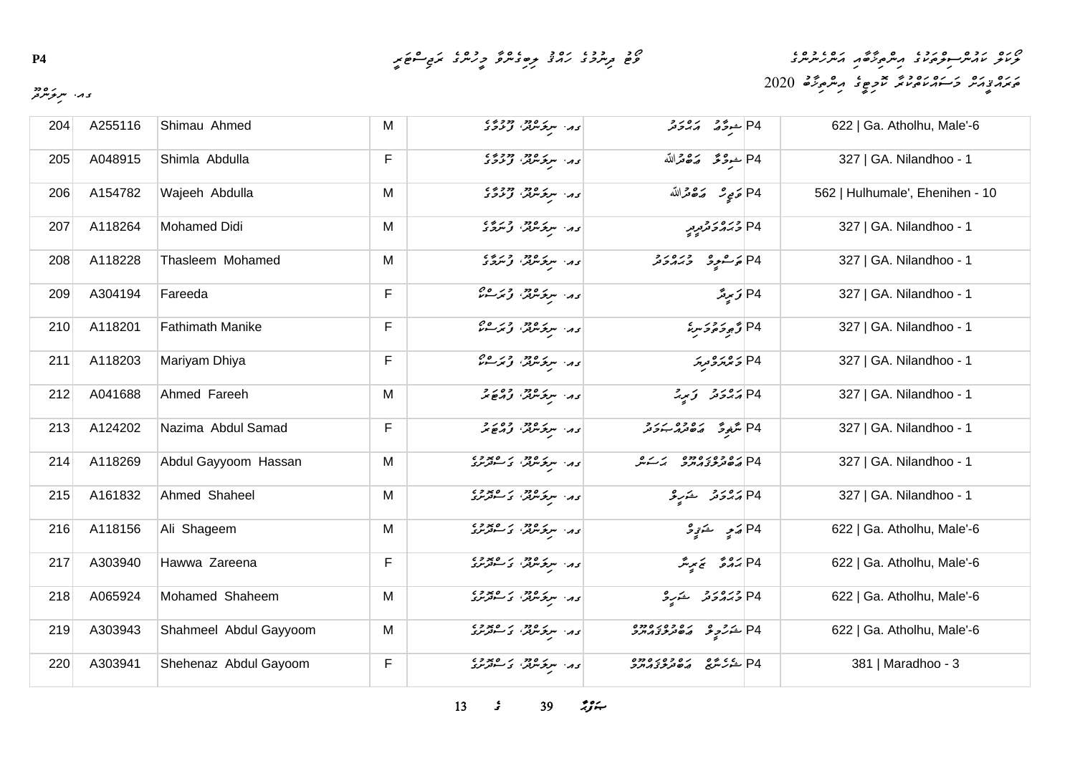*sCw7q7s5w7m< o<n9nOoAw7o< sCq;mAwBoEw7q<m; wBm;vB* م من المسجد المسجد المسجد المسجد المسجد العام 2020<br>مسجد المسجد المسجد المسجد المسجد المسجد المسجد المسجد المسجد ال

| 204 | A255116 | Shimau Ahmed            | M           | ى يە سۆسى تەرەپ ئ                                                                                                                                                                                                               | P4   شو <i>دَّة كەندۇن</i> تر            | 622   Ga. Atholhu, Male'-6      |
|-----|---------|-------------------------|-------------|---------------------------------------------------------------------------------------------------------------------------------------------------------------------------------------------------------------------------------|------------------------------------------|---------------------------------|
| 205 | A048915 | Shimla Abdulla          | F           | در سرکرسربی ورود .<br>در سرکرسربی و دود                                                                                                                                                                                         | P4 جومو كەھەراللە                        | 327   GA. Nilandhoo - 1         |
| 206 | A154782 | Wajeeh Abdulla          | M           | ىد. سرىگەنگرى ۋىزدى                                                                                                                                                                                                             | P4 حَ مِي صِ صَرَّةَ مَدَّاللَّهَ        | 562   Hulhumale', Ehenihen - 10 |
| 207 | A118264 | Mohamed Didi            | M           | ىما سرىگەنى ۋىرە ئ                                                                                                                                                                                                              | P4   تر پر پر تورمبر پر                  | 327   GA. Nilandhoo - 1         |
| 208 | A118228 | Thasleem Mohamed        | M           | ا دە. سرۇشلار قاسىدە ئا                                                                                                                                                                                                         | P4 يَرْسْعِوِدْ - وَبَرْدُونْدْ          | 327   GA. Nilandhoo - 1         |
| 209 | A304194 | Fareeda                 | F           | ى سوڭىدى ئەرەپ                                                                                                                                                                                                                  | P4 وَمَدِمَّر                            | 327   GA. Nilandhoo - 1         |
| 210 | A118201 | <b>Fathimath Manike</b> | F           | ىمە سرىگەنگە ۋىرسىر                                                                                                                                                                                                             | P4 ۇ <sub>جو</sub> رۇ ئ <sub>ە</sub> رئە | 327   GA. Nilandhoo - 1         |
| 211 | A118203 | Mariyam Dhiya           | F           | ىمە سەئەس كەنتىسى                                                                                                                                                                                                               | P4 كەنگەرگە بىرى <i>گە</i>               | 327   GA. Nilandhoo - 1         |
| 212 | A041688 | Ahmed Fareeh            | M           | ىد. سركەشتى، ۋە جەر                                                                                                                                                                                                             | P4 كەنزى كى كى مور <sup>2</sup>          | 327   GA. Nilandhoo - 1         |
| 213 | A124202 | Nazima Abdul Samad      | $\mathsf F$ | ىما سركرسى وەرد                                                                                                                                                                                                                 | P4 شَهْرَ 2014 بروفر                     | 327   GA. Nilandhoo - 1         |
| 214 | A118269 | Abdul Gayyoom Hassan    | M           | وړ . سربوسربن کی ستورن                                                                                                                                                                                                          | P4 رە دەرە دەدە بەر بىر                  | 327   GA. Nilandhoo - 1         |
| 215 | A161832 | Ahmed Shaheel           | M           | وه سرخ سرق د ۱۵۶۵<br>ده سرخ سرق کاستورنری                                                                                                                                                                                       | P4  پَرْتِرَ پَرْ شَرِيْتِي              | 327   GA. Nilandhoo - 1         |
| 216 | A118156 | Ali Shageem             | M           | وه سرخ سرق د ۱۵۶۵<br>ده سرخ سرق کاستورنری                                                                                                                                                                                       | P4 <i>۾َ ڇِ</i> حَتَّةٍ وُ               | 622   Ga. Atholhu, Male'-6      |
| 217 | A303940 | Hawwa Zareena           | F           | و پر سربوسوی کر مصوبو ہ<br>اوپر سربوسویں کی سوٹرس                                                                                                                                                                               | P4 بَرَدْهٌ ت <sub>َ</sub> بِرِيْتَر     | 622   Ga. Atholhu, Male'-6      |
| 218 | A065924 | Mohamed Shaheem         | M           | و پر سربوسوی کر مصدو تا<br>او پر سربوسویں کا سطر مری                                                                                                                                                                            | P4  32,25 مَتَّمَرِ 2                    | 622   Ga. Atholhu, Male'-6      |
| 219 | A303943 | Shahmeel Abdul Gayyoom  | M           | ر ۲۵ ده در ۲۵ ور در ۲۵ ور در ۲۵ ور در ۲۵ در در ۲۵ در ۲۵ در ۲۵ در ۲۵ در ۲۵ در ۲۵ در ۲۵ در ۲۵ در ۲۵ در ۲۵ در ۲۵<br>در ۲۵ در سربو سربو سربو تر ۲۵ در ۲۵ در ۲۵ در ۲۵ در ۲۵ در ۲۵ در ۲۵ در ۲۵ در ۲۵ در ۲۵ در ۲۵ در ۲۵ در ۲۵ در ۲۵ در | P4 خەروپۇ ھەمر <i>ە دەرە</i>             | 622   Ga. Atholhu, Male'-6      |
| 220 | A303941 | Shehenaz Abdul Gayoom   | F           | ر ہے جو دوسرے میں دے<br>براہ سرپوسریں کی سوٹر کری                                                                                                                                                                               | P4 شورشی ره وه یره دوه                   | 381   Maradhoo - 3              |

*13 s* 39 *if*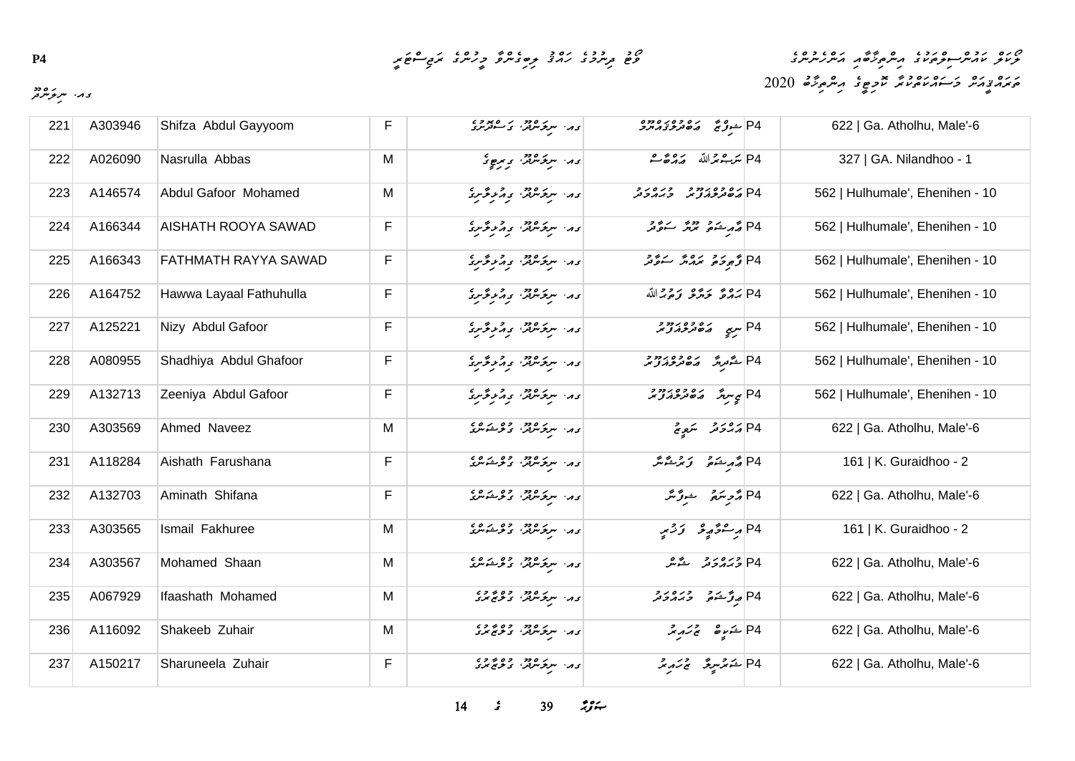*sCw7q7s5w7m< o<n9nOoAw7o< sCq;mAwBoEw7q<m; wBm;vB* م من المرة المرة المرة المرجع المرجع في المركبة 2020<br>مجم*د المريض المربوط المربع المرجع في المراجع المركبة* 

| 221 | A303946 | Shifza Abdul Gayyoom        | F | و پر سربورتور، کر مصور و د<br>د پر سربورتور، کار مقرمزی                                 | P4 خوڅ مەھىر <i>و ۋە دە</i> رە            | 622   Ga. Atholhu, Male'-6      |
|-----|---------|-----------------------------|---|-----------------------------------------------------------------------------------------|-------------------------------------------|---------------------------------|
| 222 | A026090 | Nasrulla Abbas              | M | ى مەستىر ئىرى ئىستاق ئىستان ئىستان ئى                                                   | P4 يَرْبُ مِرْاللّه     رَمْرَةُ بِّ      | 327   GA. Nilandhoo - 1         |
| 223 | A146574 | Abdul Gafoor Mohamed        | M | ىمە سرىگەنگە ئەمرىگىرى                                                                  | P4 ره وه برود و و پره د و                 | 562   Hulhumale', Ehenihen - 10 |
| 224 | A166344 | <b>AISHATH ROOYA SAWAD</b>  | F | ىمە سرىگەنگە ئەمرىگىرى                                                                  | P4 مەم شەم ئىمەم سىمى تە                  | 562   Hulhumale', Ehenihen - 10 |
| 225 | A166343 | <b>FATHMATH RAYYA SAWAD</b> | F | ىمە سرىگەنى دېرىمى ئەرە                                                                 | P4 تُجِرِحَةَ بِرَوْشَ سَوَسَ             | 562   Hulhumale', Ehenihen - 10 |
| 226 | A164752 | Hawwa Layaal Fathuhulla     | F | ىە سۆسى بەر ئەر                                                                         | P4 بَرْدْعٌ تَحَمَّدُ وَقْرَبُّهُ اللَّهُ | 562   Hulhumale', Ehenihen - 10 |
| 227 | A125221 | Nizy Abdul Gafoor           | F | ى ئەسىر ئەھىرى ئەسىر ئەسىرى ئەسىرى ئەسىرى ئەسىرى ئەسىرى ئەسىرى ئەسىرى ئەسىرى ئەسىرى ئەس | P4 سعي ص <i>قاد دوج</i> ر                 | 562   Hulhumale', Ehenihen - 10 |
| 228 | A080955 | Shadhiya Abdul Ghafoor      | F | ىمە سرىق ھەر ئەر ئۇسرى                                                                  | P4 شوره مەھەردە د                         | 562   Hulhumale', Ehenihen - 10 |
| 229 | A132713 | Zeeniya Abdul Gafoor        | F | ىمە سىگەش بەر ئەتتى بەر                                                                 | P4 يې سرگر مەھىر <i>خەردە د</i>           | 562   Hulhumale', Ehenihen - 10 |
| 230 | A303569 | Ahmed Naveez                | M | وە سرپۇس ئەھمەدە ئ                                                                      | P4 كەندى كىم ئىككى تىل ئىككى تىل بىل      | 622   Ga. Atholhu, Male'-6      |
| 231 | A118284 | Aishath Farushana           | F | ىمە سرىۋىنىڭ كەنتىشى كەنت                                                               | P4 <sub>م</sub> ەمرىسىمى ئىمرىشىتىر       | 161   K. Guraidhoo - 2          |
| 232 | A132703 | Aminath Shifana             | F | ی پر سربوسوی وہ برہ ہے                                                                  | P4 مَرْحِ سَرَمَّۃٌ مُسْبِرَتَ سَرَّ      | 622   Ga. Atholhu, Male'-6      |
| 233 | A303565 | <b>Ismail Fakhuree</b>      | M | ى پەر سوپۇرى تەھ بەھ ئارە                                                               | P4 مرڪو <i>ڻ وڏي</i> ديا                  | 161   K. Guraidhoo - 2          |
| 234 | A303567 | Mohamed Shaan               | M | ی پر سربوسوی وہ برہ ہے                                                                  | P4 <i>5585 مەممى</i> ر                    | 622   Ga. Atholhu, Male'-6      |
| 235 | A067929 | Ifaashath Mohamed           | M | ده ۱۰ سربومبرد وه بروه<br>ده ۱۰ سربومبرد و برویمبر                                      | P4 موثر شده و دره د و                     | 622   Ga. Atholhu, Male'-6      |
| 236 | A116092 | Shakeeb Zuhair              | M | وه به موتونتونو وه بو و ه<br>وه ب موتونتونو از موتغ نور                                 | P4 ڪَمِدٍ <i>ھ</i> ي تي <i>جي پر</i>      | 622   Ga. Atholhu, Male'-6      |
| 237 | A150217 | Sharuneela Zuhair           | F | ده ا سرنگریزی وه ۶۶ وه<br>ده ا سرنگریزی و نوم مرد                                       | P4 ڪويٽر سوچر ۾ <i>جي تام</i> ريٽر        | 622   Ga. Atholhu, Male'-6      |

*14 s* 39 *if*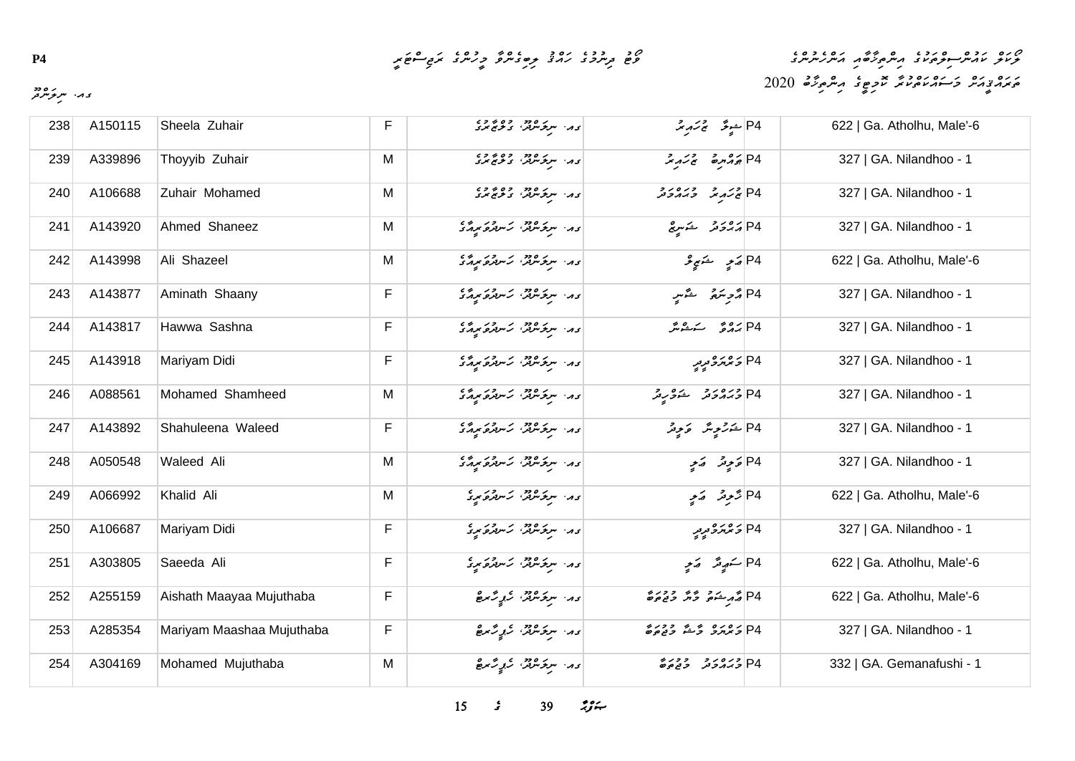*sCw7q7s5w7m< o<n9nOoAw7o< sCq;mAwBoEw7q<m; wBm;vB* م من المسجد المسجد المسجد المسجد المسجد العام 2020<br>مسجد المسجد المسجد المسجد المسجد المسجد المسجد المسجد المسجد ال

| 238 | A150115 | Sheela Zuhair             | $\mathsf F$  | ده ۱۰ سربومبرد وه بود و د                | P4 حيوتر كان تركي بر                  | 622   Ga. Atholhu, Male'-6 |
|-----|---------|---------------------------|--------------|------------------------------------------|---------------------------------------|----------------------------|
| 239 | A339896 | Thoyyib Zuhair            | M            | ده ۱۰ سرخ سربی د وه بود و د              | $2.22$ $3.27$ $8.72$ $74$             | 327   GA. Nilandhoo - 1    |
| 240 | A106688 | Zuhair Mohamed            | M            | در سرگرس در ده ده.<br>در سرگرس           | P4 ىخ ئەمەر ئەمەد ئەرگە               | 327   GA. Nilandhoo - 1    |
| 241 | A143920 | Ahmed Shaneez             | M            | ى مەسىر ھەجەب سىر ئەس بىر مەسىر ئەس      | P4 كەبرى قىرىقى ھەسرىتى               | 327   GA. Nilandhoo - 1    |
| 242 | A143998 | Ali Shazeel               | M            | ى مەسىر ھەجەب سىر ئەس بىر مەسىر ئەس      | P4 کړ <i>و</i> شمېو گ                 | 622   Ga. Atholhu, Male'-6 |
| 243 | A143877 | Aminath Shaany            | $\mathsf F$  | ور سروسرتي كسرور وه                      | P4 مُرْحِسَة مُسَّسِ                  | 327   GA. Nilandhoo - 1    |
| 244 | A143817 | Hawwa Sashna              | $\mathsf F$  | ى مەسىر ھەدە ئەس ھەر ئە                  | P4 بَرْدَةَ سَنَسْتَدَسَّر            | 327   GA. Nilandhoo - 1    |
| 245 | A143918 | Mariyam Didi              | $\mathsf F$  | ى مەسىر ھەجەب سىر ئەس بىر مەسىر ئەس      | P4 كەبەر ئەرەپ <sub>ر</sub>           | 327   GA. Nilandhoo - 1    |
| 246 | A088561 | Mohamed Shamheed          | M            | .<br>در سرگرس کسیرکو مهر                 | P4 دېرو دو شکورنگر                    | 327   GA. Nilandhoo - 1    |
| 247 | A143892 | Shahuleena Waleed         | $\mathsf F$  | در سرگرس کرس در در                       | P4 ڪر <i>گي سگر و</i> گريگر           | 327   GA. Nilandhoo - 1    |
| 248 | A050548 | Waleed Ali                | M            | ى مەسىر ھەدە ئەس ھەر ئە                  | P4 أَوَجِعْرَ - أَرْجِبِ              | 327   GA. Nilandhoo - 1    |
| 249 | A066992 | Khalid Ali                | M            | ى مەسىر ھەر ئەس ئەرەپ ئە                 | P4 جحوفہ کھیے                         | 622   Ga. Atholhu, Male'-6 |
| 250 | A106687 | Mariyam Didi              | $\mathsf{F}$ | ى مەسرىق سىر ئەسرىمى ئەسرىم كەنتى ئەر ئە | P4   <i>5 پر پر 9 پر</i> پر           | 327   GA. Nilandhoo - 1    |
| 251 | A303805 | Saeeda Ali                | F            | ىم سركومونى كسرترى                       | P4 ڪ <sub>ھي</sub> قر کرمي            | 622   Ga. Atholhu, Male'-6 |
| 252 | A255159 | Aishath Maayaa Mujuthaba  | F            | دە. سەئەشتى، ئابار ئىل                   | P4 مُمرِ شَوَءٌ وَمَمَّ وَمِعَ وَهِ   | 622   Ga. Atholhu, Male'-6 |
| 253 | A285354 | Mariyam Maashaa Mujuthaba | F            | ى مەسىر ئىرىش ئىر ئىر ئى                 | P4 وَيُرْمَرُو وَشَدَّ وَيَهْرَهُ     | 327   GA. Nilandhoo - 1    |
| 254 | A304169 | Mohamed Mujuthaba         | M            | ىم سرىرىدى ئېر ئىرى                      | P4 وبره د و و دره<br>P4 وبرورو د و وه | 332   GA. Gemanafushi - 1  |

*15 s* 39 *if*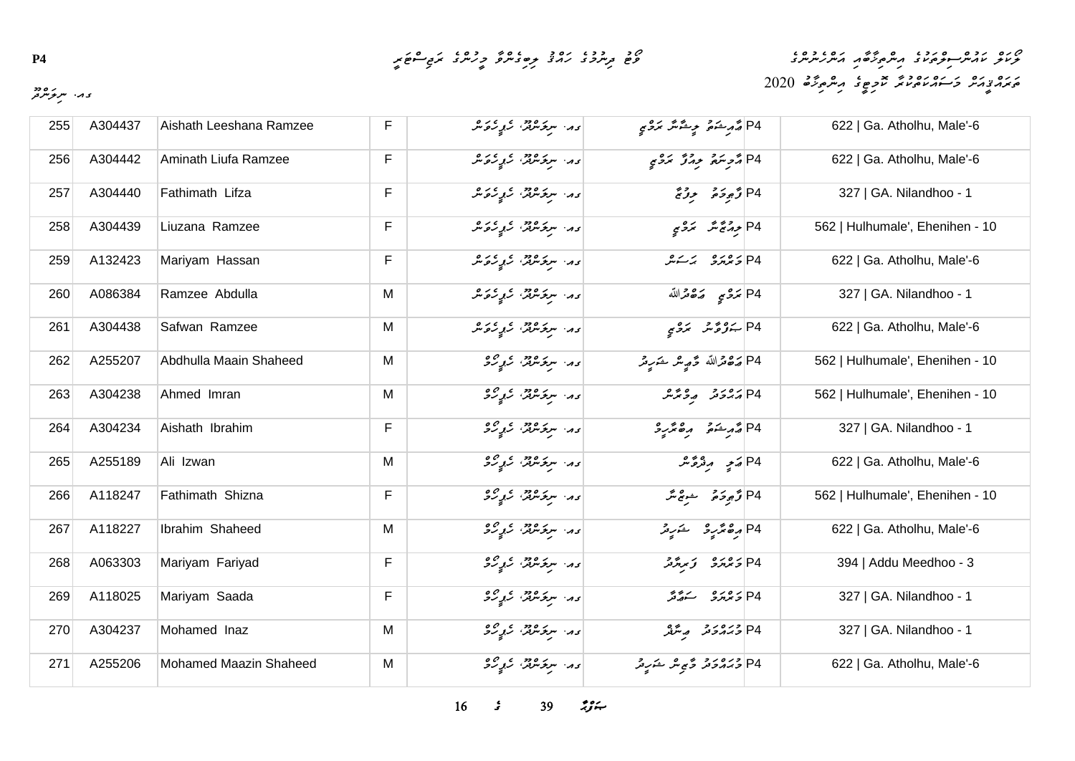*sCw7q7s5w7m< o<n9nOoAw7o< sCq;mAwBoEw7q<m; wBm;vB* م من المرة المرة المرة المرجع المرجع في المركبة 2020<br>مجم*د المريض المربوط المربع المرجع في المراجع المركبة* 

| 255 | A304437 | Aishath Leeshana Ramzee       | F            | ىمە سرىۋىلوق ئوپرىكىش   | P4 مُرمِشَمُ مِرمُدَّسَ مَرَوْمٍ        | 622   Ga. Atholhu, Male'-6      |
|-----|---------|-------------------------------|--------------|-------------------------|-----------------------------------------|---------------------------------|
| 256 | A304442 | Aminath Liufa Ramzee          | $\mathsf{F}$ | ىمە سەكەشكە ئېرىكتىر    | P4 مُرْحِسَمُ مِعْرُوْ مَرْدُمِ         | 622   Ga. Atholhu, Male'-6      |
| 257 | A304440 | Fathimath Lifza               | F            | ىمە سرىكىنىڭ ئەربىكىش   | P4 وَجِعَةٍ وَقَمَّةٍ                   | 327   GA. Nilandhoo - 1         |
| 258 | A304439 | Liuzana Ramzee                | F            | ىمە سىركىتىش كېرىمى ئىر | P4 <i>جەم ئا</i> ش ئىر <sub>قى</sub> يو | 562   Hulhumale', Ehenihen - 10 |
| 259 | A132423 | Mariyam Hassan                | F            | ىمە سىزىكى ئېرىمىگە     | P4 كەبىر بەر بەر يەر يەر يەر ب          | 622   Ga. Atholhu, Male'-6      |
| 260 | A086384 | Ramzee Abdulla                | M            | ىمە سىرىكىنى ئېرىكتىر   | P4 <i>بَدَدْ بِهِ مَ</i> هُ مَدَاللّه   | 327   GA. Nilandhoo - 1         |
| 261 | A304438 | Safwan Ramzee                 | M            | ىمە سىزىكى ئېرىمىگە     | P4 سەرۋە ئىر ئىردىپى                    | 622   Ga. Atholhu, Male'-6      |
| 262 | A255207 | Abdhulla Maain Shaheed        | M            | ىما سرىكى ئۇرگ          |                                         | 562   Hulhumale', Ehenihen - 10 |
| 263 | A304238 | Ahmed Imran                   | M            | ىمە سىزىكى ئېرىكى       | P4 <i>ב بدو تر مو بر</i> هر             | 562   Hulhumale', Ehenihen - 10 |
| 264 | A304234 | Aishath Ibrahim               | F            | ىمە سىۋىلىق ئېرىكى      | P4 مەم ئىقى مەھەر ي                     | 327   GA. Nilandhoo - 1         |
| 265 | A255189 | Ali Izwan                     | M            | ىمە سىۋىلىق ئېرىكى      | P4 <i>ھَ۔ مِ</i> فَر <i>َقَ مَّرَ</i>   | 622   Ga. Atholhu, Male'-6      |
| 266 | A118247 | Fathimath Shizna              | F            | ىم سرىمى ئۇرى           | P4 <i>وَّجوحَ</i> هُمَ شَبِّعْ مَدَّ    | 562   Hulhumale', Ehenihen - 10 |
| 267 | A118227 | Ibrahim Shaheed               | M            | ىمە سىزىكى ئېرىكى       | P4 م <i>ەھترى</i> رو شىرىتر             | 622   Ga. Atholhu, Male'-6      |
| 268 | A063303 | Mariyam Fariyad               | $\mathsf{F}$ | ىمە سۆسى ئېرىكى         | P4 <i>وَيُرْمَرُوْ وَيُرِمُّرُوْ</i>    | 394   Addu Meedhoo - 3          |
| 269 | A118025 | Mariyam Saada                 | $\mathsf F$  | ىمە سىۋىلىق ئېرىكى      | P4 كەبىر بىر سىر ئىقرىتىك               | 327   GA. Nilandhoo - 1         |
| 270 | A304237 | Mohamed Inaz                  | M            | ى يە سرىكىرى كۆرگۈ      | P4 <i>5525 م</i> ېنگر                   | 327   GA. Nilandhoo - 1         |
| 271 | A255206 | <b>Mohamed Maazin Shaheed</b> | M            | در سرگرسرس کرد کرد      | P4 <i>وَبَهُ وَبِ</i> وَ مِ مِ شَرِيرٌ  | 622   Ga. Atholhu, Male'-6      |

*16 s* 39 *if*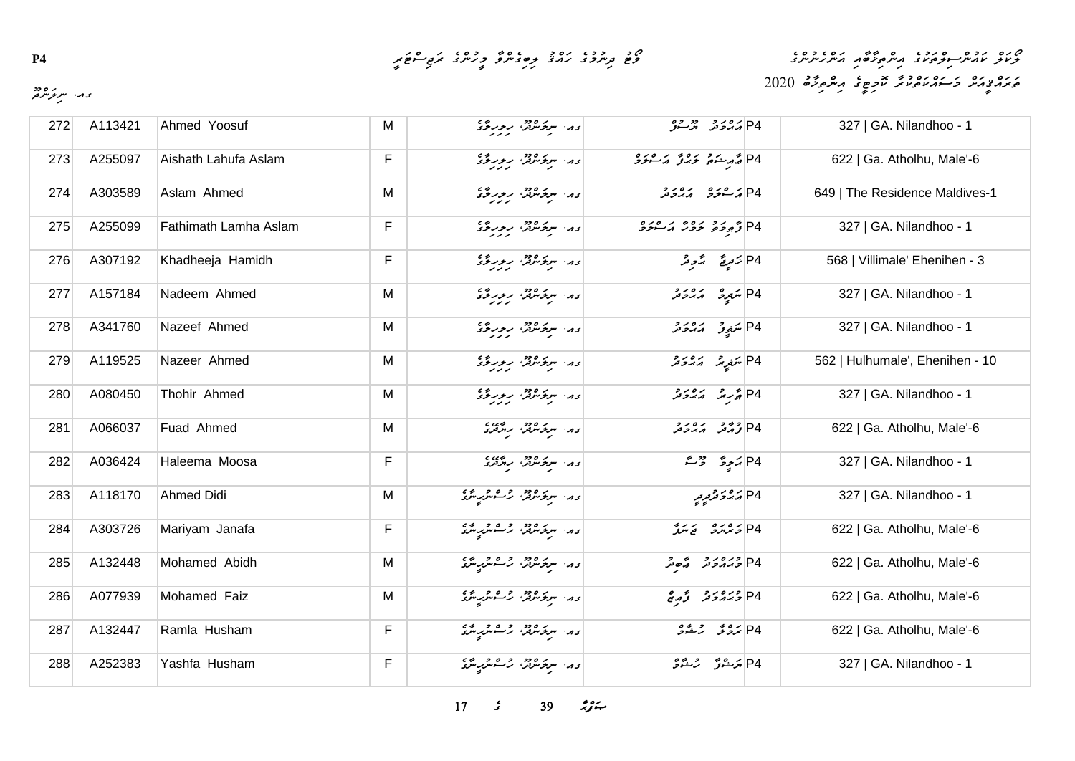*sCw7q7s5w7m< o<n9nOoAw7o< sCq;mAwBoEw7q<m; wBm;vB 2020*<br>*په پوهر وسوډيرونو لومو د موجو د مرمونه* 2020

| 272 | A113421 | Ahmed Yoosuf          | M           | ى سوكىمە سورگۇ                       | P4 كەبرى تەرىپى تۈرگىنى ئىلگەنلەر بول | 327   GA. Nilandhoo - 1         |
|-----|---------|-----------------------|-------------|--------------------------------------|---------------------------------------|---------------------------------|
| 273 | A255097 | Aishath Lahufa Aslam  | F           | ى مەسرى ئىرى بەلبەن ئ                | P4 مەم ھەر ئەرگە مەسىر ئەركىتى ئىشلار | 622   Ga. Atholhu, Male'-6      |
| 274 | A303589 | Aslam Ahmed           | M           | دەس سرىگەنگە بەلولىدىگە              | P4 كەشكى ھەر بەر دىر                  | 649   The Residence Maldives-1  |
| 275 | A255099 | Fathimath Lamha Aslam | $\mathsf F$ | دە، سرىگەنگە رىۋىرىگە                | P4 تَصِرَم بِمَرْدَ بِمَسْتَرَدَّ     | 327   GA. Nilandhoo - 1         |
| 276 | A307192 | Khadheeja Hamidh      | F           | ى ئەسىرىگەنى بەربەتى                 | P4 كَتْمِيعٌ مُتَّارِقْدُ ا           | 568   Villimale' Ehenihen - 3   |
| 277 | A157184 | Nadeem Ahmed          | M           | ى مەسرى ئىرى بەلبەت كە               | P4 سَعِرِدَ 12.2 مَدَ 2 مَد           | 327   GA. Nilandhoo - 1         |
| 278 | A341760 | Nazeef Ahmed          | M           | ى ئەسىرىگەنى بەربەتى                 | P4 سَمِرٍ <i>5 مَدَحَ</i> مَر         | 327   GA. Nilandhoo - 1         |
| 279 | A119525 | Nazeer Ahmed          | M           | در سروکرده روروی                     | P4 سَمْدِيْر - 1945 هـ                | 562   Hulhumale', Ehenihen - 10 |
| 280 | A080450 | Thohir Ahmed          | M           | ىمە سەق ئىڭ سۈرلۈكى                  | P4 پچ په په ډېر د کال                 | 327   GA. Nilandhoo - 1         |
| 281 | A066037 | Fuad Ahmed            | M           | ور سرتوسری رود.<br>در سرتوسری ربرتری | P4 زَیَرٌ پَرَ دَرَ                   | 622   Ga. Atholhu, Male'-6      |
| 282 | A036424 | Haleema Moosa         | $\mathsf F$ | دە سرگەش سەمدى                       | P4 ټرونځ تخ <sup>من</sup> گ           | 327   GA. Nilandhoo - 1         |
| 283 | A118170 | <b>Ahmed Didi</b>     | M           | ىمە سۆس ئەسەر ئەن                    | P4 كەبرى تۈپۈپىيە                     | 327   GA. Nilandhoo - 1         |
| 284 | A303726 | Mariyam Janafa        | $\mathsf F$ | در سروسرس رقم در در در               | P4 وَ بَرْبَرْدَ مَحَ سَمَدٌ          | 622   Ga. Atholhu, Male'-6      |
| 285 | A132448 | Mohamed Abidh         | M           | ى مەسرىمەن ئەسەر بەر                 | P4 دېم دې ه محمد پر                   | 622   Ga. Atholhu, Male'-6      |
| 286 | A077939 | Mohamed Faiz          | M           | در سروسری رفت در ده                  | P4 دُبَرْدْدَنْدْ كَرْمِنْجْ          | 622   Ga. Atholhu, Male'-6      |
| 287 | A132447 | Ramla Husham          | F           | ى مەسرىمەن ئەسەر بەر                 | P4 بَرْوْتَرْ گِسْتُوْ                | 622   Ga. Atholhu, Male'-6      |
| 288 | A252383 | Yashfa Husham         | F           | دە سرىر مەدەب ھەر ئەن                | P4 بَرْشْوَ گِسْتَوْتَ                | 327   GA. Nilandhoo - 1         |

*17 s* 39 *if*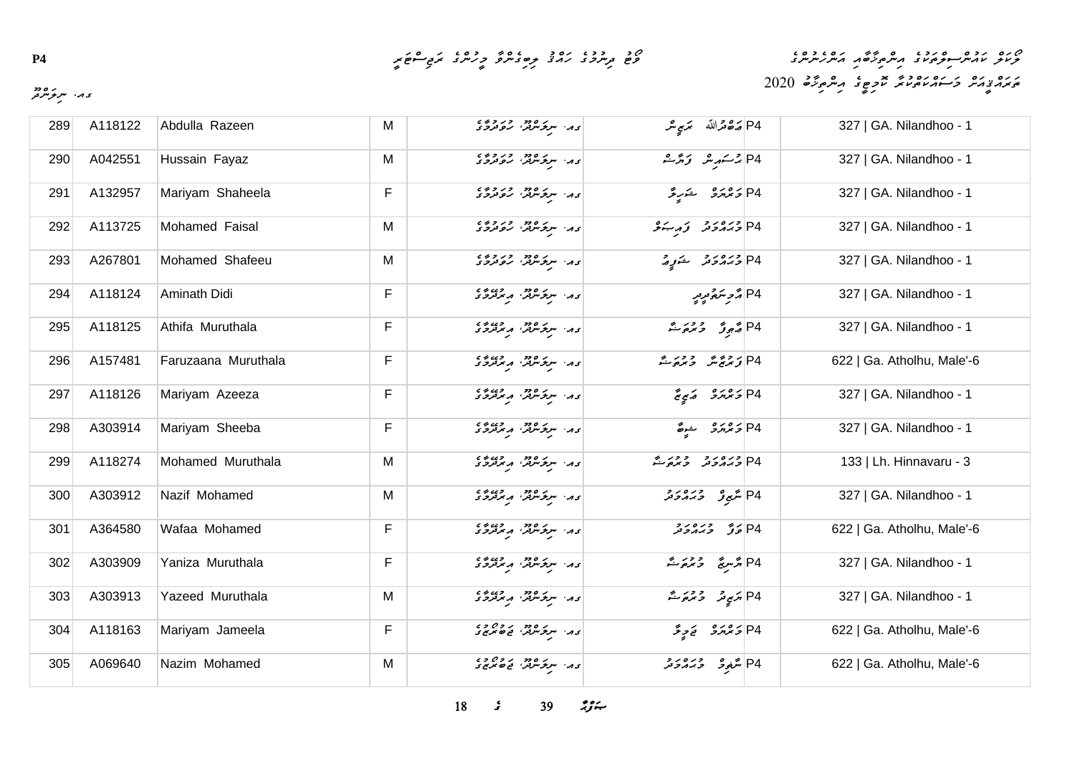*sCw7q7s5w7m< o<n9nOoAw7o< sCq;mAwBoEw7q<m; wBm;vB* م من المسجد المسجد المسجد المسجد المسجد العام 2020<br>مسجد المسجد المسجد المسجد المسجد المسجد المسجد المسجد المسجد ال

| 289 | A118122 | Abdulla Razeen      | M           | ى مەسىر شەھەر ئەرەپ ئەندىكى ئەندىكى ئەندىكى ئەندىكى ئەندىكى ئەندىكى ئەندىكى ئەندىكى ئەندىكى ئەندىكى ئ | P4  رَدْهُ قَرْاللَّهُ     مَرَى مَرْ            | 327   GA. Nilandhoo - 1    |
|-----|---------|---------------------|-------------|-------------------------------------------------------------------------------------------------------|--------------------------------------------------|----------------------------|
| 290 | A042551 | Hussain Fayaz       | M           | ی د سرنوشود. در دره د                                                                                 | P4 يُرْسَمبر مَثَر وَتَرْسُدُ                    | 327   GA. Nilandhoo - 1    |
| 291 | A132957 | Mariyam Shaheela    | F           | ىمە سرىۋىلون رەپرول                                                                                   | P4 <i>وَبُرْبُرْدُ</i> شَرِبُرُّ                 | 327   GA. Nilandhoo - 1    |
| 292 | A113725 | Mohamed Faisal      | M           | در سرکرسربر، دروده د                                                                                  | P4  <i>وُټرونو وَم</i> ِسَوَ                     | 327   GA. Nilandhoo - 1    |
| 293 | A267801 | Mohamed Shafeeu     | M           | . ده. سرنوکلون روم ده.<br>ده. سرنوکلون رومرو د                                                        | P4 <i>32828 شورة</i>                             | 327   GA. Nilandhoo - 1    |
| 294 | A118124 | Aminath Didi        | $\mathsf F$ | ور سروکرد وجه ده                                                                                      | P4 مُتَّحِ سَمَةٌ مَرِمْرٍ                       | 327   GA. Nilandhoo - 1    |
| 295 | A118125 | Athifa Muruthala    | F           | وړ سرنومونو پر ده، د د                                                                                | P4 مَّ مِوتَر حَمْدَ مَّتَ                       | 327   GA. Nilandhoo - 1    |
| 296 | A157481 | Faruzaana Muruthala | F           | وړ سرگرمون پر وړه ده<br>وړ سرگرمون                                                                    | P4 كَرْمَرْيَجْ مَثَرٍ حَمْرَ مِرْمَدٍ مِسَنَّمْ | 622   Ga. Atholhu, Male'-6 |
| 297 | A118126 | Mariyam Azeeza      | F           | وړ٠ سرتوسرټر٢ پر برورو و                                                                              | P4 حَمَد مَرَ صَبِي مَنْ مَ                      | 327   GA. Nilandhoo - 1    |
| 298 | A303914 | Mariyam Sheeba      | $\mathsf F$ | در سرنگریزی بر دوره د                                                                                 | P4 ك <i>رورو</i> ش <sub>و</sub> ڭ                | 327   GA. Nilandhoo - 1    |
| 299 | A118274 | Mohamed Muruthala   | M           | وړ سربوسربی پر وړونو                                                                                  | P4 دره د د در په                                 | 133   Lh. Hinnavaru - 3    |
| 300 | A303912 | Nazif Mohamed       | M           | ور سروکرد وجه ده                                                                                      | P4 مَّدْبِع وَمُسَرَّدَ قَرْ                     | 327   GA. Nilandhoo - 1    |
| 301 | A364580 | Wafaa Mohamed       | F           | وړ سرنومونو پر ده، د د                                                                                | P4 وَتَرَ وَبَرُودَتَرَ                          | 622   Ga. Atholhu, Male'-6 |
| 302 | A303909 | Yaniza Muruthala    | F           | وړ٠ سرتوسرټر٢ پر برورو و                                                                              |                                                  | 327   GA. Nilandhoo - 1    |
| 303 | A303913 | Yazeed Muruthala    | M           | در سرنگریز رورود                                                                                      | P4 كىرىم قىرىم ئىگە                              | 327   GA. Nilandhoo - 1    |
| 304 | A118163 | Mariyam Jameela     | F           | ور سرگرس ده.<br>در سرگرس در فص                                                                        | P4 وَبَرْبَرْدَ کَے جِرَّدَّ                     | 622   Ga. Atholhu, Male'-6 |
| 305 | A069640 | Nazim Mohamed       | M           | وړ . سرگرسرګر ، ده ده د                                                                               | P4 سَّمَٰوِ 25000 د                              | 622   Ga. Atholhu, Male'-6 |

*18 s* 39 *if*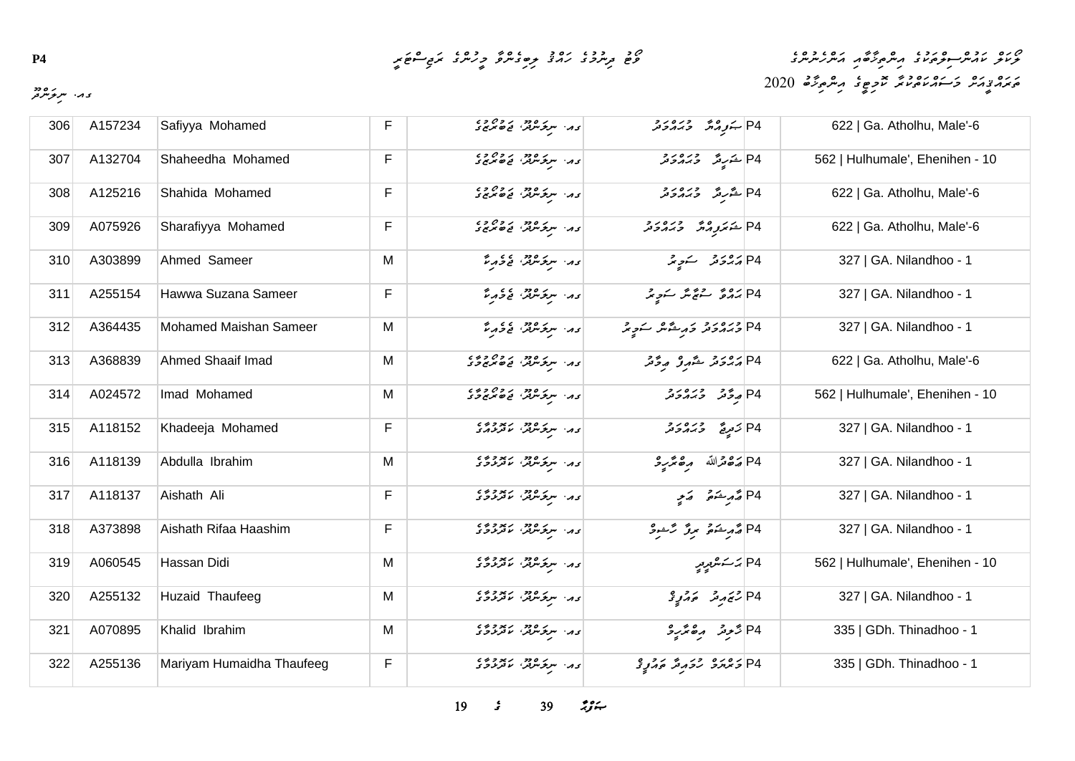*sCw7q7s5w7m< o<n9nOoAw7o< sCq;mAwBoEw7q<m; wBm;vB* م من المرة المرة المرة المرجع المرجع في المركبة 2020<br>مجم*د المريض المربوط المربع المرجع في المراجع المركبة* 

| 306 | A157234 | Safiyya Mohamed               | F           | وړ٠ سربر مرد د د د د د د                                | P4 بەروپۇ ئەمەدىر                      | 622   Ga. Atholhu, Male'-6      |
|-----|---------|-------------------------------|-------------|---------------------------------------------------------|----------------------------------------|---------------------------------|
| 307 | A132704 | Shaheedha Mohamed             | F           | ور سرکوروژ ده ده                                        | P4 خەرى <i>گە 25مەم</i> تىر            | 562   Hulhumale', Ehenihen - 10 |
| 308 | A125216 | Shahida Mohamed               | $\mathsf F$ | در سرگرس وه در دره د                                    | P4 شَرِيرٌ وَبَرُودَرٌ                 | 622   Ga. Atholhu, Male'-6      |
| 309 | A075926 | Sharafiyya Mohamed            | $\mathsf F$ | و در مرکز سرگرده و د<br>د د سرگز سرگران و همدی د        | P4 خەترومەر مەمەدىر                    | 622   Ga. Atholhu, Male'-6      |
| 310 | A303899 | Ahmed Sameer                  | M           | ى مەستۇسىلى ئەمەم                                       | P4 كەبرى بىر سىمبرىتى P4               | 327   GA. Nilandhoo - 1         |
| 311 | A255154 | Hawwa Suzana Sameer           | $\mathsf F$ | ى مەسىر ئىرى ئىچ ئەرە                                   | P4 بَرَدْهُ سَبَعْ مَّرْ سَوِيْرَ      | 327   GA. Nilandhoo - 1         |
| 312 | A364435 | <b>Mohamed Maishan Sameer</b> | M           | ى مەسىرى ئىش ئىق ئىچرىد                                 | P4 وبرووتر تروشگر سکوپر                | 327   GA. Nilandhoo - 1         |
| 313 | A368839 | <b>Ahmed Shaaif Imad</b>      | M           | وړ سرکوسرنۍ د وه وه و<br>وړ سرکوسرنۍ فاص پرې و و        | P4  كەندى كىرى ھەر ئەسلىم              | 622   Ga. Atholhu, Male'-6      |
| 314 | A024572 | Imad Mohamed                  | M           | ور سرکرس ور ده ده.<br>در سرکرس و صرح در                 | P4 مەۋتىر بەردە بىر                    | 562   Hulhumale', Ehenihen - 10 |
| 315 | A118152 | Khadeeja Mohamed              | F           | ى دا سرپۇشون مەندە دە                                   | P4 زَمرِيحَ - 3 دُمَرَ قر              | 327   GA. Nilandhoo - 1         |
| 316 | A118139 | Abdulla Ibrahim               | M           | در سرکرسربر ریدون<br>در سرکرسربر، مافرنزوی              | P4 مَـُ صَعْرَ اللّهُ مِنْ صَغَّرِ وَ  | 327   GA. Nilandhoo - 1         |
| 317 | A118137 | Aishath Ali                   | F           | ا د پرسر شود. از برور د د ا                             | P4 مُجم <i>دِ شَمْرِ</i> مَرَمِّرِ     | 327   GA. Nilandhoo - 1         |
| 318 | A373898 | Aishath Rifaa Haashim         | $\mathsf F$ | وړ . سربوسربو . ریدو ده د<br>وړ . سربوسربو . مافرنز و د | P4 مُەمِسْتَمْ مِرَدٌ گَسْوِدٌ         | 327   GA. Nilandhoo - 1         |
| 319 | A060545 | Hassan Didi                   | M           | در سرگرمود ریدون د                                      | P4 ټر شروپور                           | 562   Hulhumale', Ehenihen - 10 |
| 320 | A255132 | <b>Huzaid Thaufeeg</b>        | M           | ر د سرنومبرد رود د د                                    | P4 جنج م <i>رقر</i> محمد مرکز محمد الس | 327   GA. Nilandhoo - 1         |
| 321 | A070895 | Khalid Ibrahim                | M           | وړ . سربوسربي ریزونو ته<br>وړ . سربوسربي تافرنزو ته     | P4 تَرْمِتْرُ مِنْ مَّرْرِدْ           | 335   GDh. Thinadhoo - 1        |
| 322 | A255136 | Mariyam Humaidha Thaufeeg     | F           | دړ٠ سرکرسرګر٢ د برو دي                                  | P4 كەمەر 2 كەرىگە مەرىپى               | 335   GDh. Thinadhoo - 1        |

*19 s* 39 *i*<sub>s</sub> *n*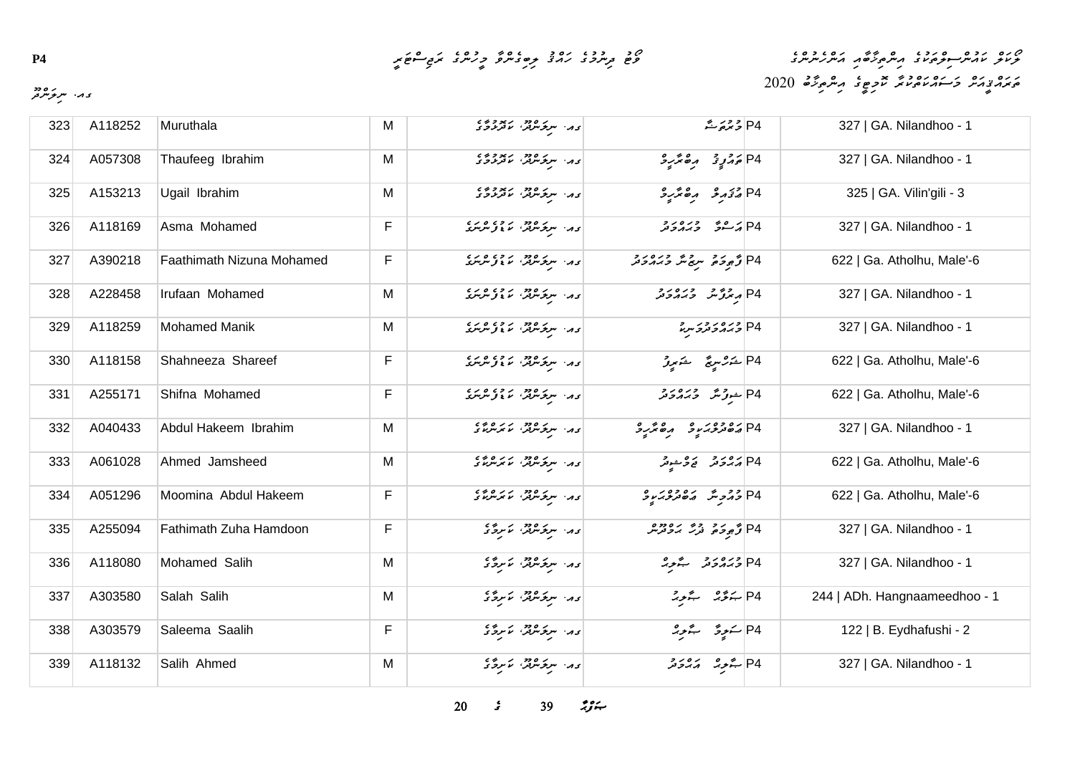*sCw7q7s5w7m< o<n9nOoAw7o< sCq;mAwBoEw7q<m; wBm;vB* م من المرة المرة المرة المرجع المرجع في المركبة 2020<br>مجم*د المريض المربوط المربع المرجع في المراجع المركبة* 

| 323 | A118252 | Muruthala                 | M           | وړ٠ سربوسربو ريووون                                                                                                               | P4 د نړۍ گ                              | 327   GA. Nilandhoo - 1       |
|-----|---------|---------------------------|-------------|-----------------------------------------------------------------------------------------------------------------------------------|-----------------------------------------|-------------------------------|
| 324 | A057308 | Thaufeeg Ibrahim          | M           | در سرکرسربر ریدون<br>در سرکرسربر، مافرنزوی                                                                                        | P4 <i>وَدُوِيْهِ م</i> ِهْ مُرْرِدْ     | 327   GA. Nilandhoo - 1       |
| 325 | A153213 | Ugail Ibrahim             | M           | ا د د سرخسین استاده در در دارد.<br>استاد سرخسین استرلاح د                                                                         | P4 مۇت <sub>ە</sub> رى مەھرىپى          | 325   GA. Vilin'gili - 3      |
| 326 | A118169 | Asma Mohamed              | $\mathsf F$ | د پر سرخ سرچ در دره دره<br>د پر سرخ سرچر او د سرس                                                                                 | P4 كەسىرى جەم دىر                       | 327   GA. Nilandhoo - 1       |
| 327 | A390218 | Faathimath Nizuna Mohamed | $\mathsf F$ | .<br>۱۵۶ - سرخ سرفر، ۱۵۶۲ سرس                                                                                                     | P4 زٌمودَة مِنْ مِنْ دَبَرُ دَدَ        | 622   Ga. Atholhu, Male'-6    |
| 328 | A228458 | Irufaan Mohamed           | M           | د پر سرخ سرچار د ده د د د کار د د کار د د کار د د د د کار د د کار د د کار د د کار د د کار د د کار د کار د کار<br>د کار د سرخ سرچر | P4 معروش وبرەر د                        | 327   GA. Nilandhoo - 1       |
| 329 | A118259 | <b>Mohamed Manik</b>      | M           | در سرخسین استان مرد.<br>استاد سرخسین استانی مرس                                                                                   | P4 دېم د دور سره                        | 327   GA. Nilandhoo - 1       |
| 330 | A118158 | Shahneeza Shareef         | $\mathsf F$ | د پر سرخ سرچار د ده د د د کار د د کار د د کار د د د د کار د د کار د د کار د د کار د د کار د د کار د کار د کار<br>د کار د سرخ سرچر | P4 ڪر <i>گري</i> نج ڪ <sub>لا</sub> پور | 622   Ga. Atholhu, Male'-6    |
| 331 | A255171 | Shifna Mohamed            | F           | در سروسربر به دره دره                                                                                                             | P4 خوتر متر 25,050                      | 622   Ga. Atholhu, Male'-6    |
| 332 | A040433 | Abdul Hakeem Ibrahim      | M           | ا دە سرگەشلى ئاتىرسرىدى                                                                                                           | P4 مەھىرى <i>مىرى مەھەرد</i>            | 327   GA. Nilandhoo - 1       |
| 333 | A061028 | Ahmed Jamsheed            | M           | ا دار استخدام در ۱۳۵۵ وراستاند.<br>استخدام استخدام میکند براستاند.                                                                | P4   پروژو کی و شیوٹر                   | 622   Ga. Atholhu, Male'-6    |
| 334 | A051296 | Moomina Abdul Hakeem      | $\mathsf F$ | ى مەسرى ھەدە بەر ھەم ئ                                                                                                            | P4 <i>جەمجەنگە مەھەر جەرى</i> ر بو      | 622   Ga. Atholhu, Male'-6    |
| 335 | A255094 | Fathimath Zuha Hamdoon    | $\mathsf F$ | ىمە سىزىكەن ئابىردى                                                                                                               | P4 تُجوحَمُ نَرْبٌ بَرُونَزْسُ          | 327   GA. Nilandhoo - 1       |
| 336 | A118080 | Mohamed Salih             | M           | ى مەسىر ئىرىشى ئابرىقى                                                                                                            | P4  3 <i>3 2 3 2 3 2 3 2 3</i>          | 327   GA. Nilandhoo - 1       |
| 337 | A303580 | Salah Salih               | M           | ى مەسىرى ئىگە ئەس ئارى                                                                                                            | P4  ہند تری سڈ پر                       | 244   ADh. Hangnaameedhoo - 1 |
| 338 | A303579 | Saleema Saalih            | $\mathsf F$ | ى مەسىرىكى ئىگە ئىگەنى                                                                                                            | P4 سَوِءٌ سُدَوِيْر                     | 122   B. Eydhafushi - 2       |
| 339 | A118132 | Salih Ahmed               | M           | ىمە سرىگەن ئابروكى                                                                                                                | P4 جنوبر برودير                         | 327   GA. Nilandhoo - 1       |

*20 sC 39 nNw?mS*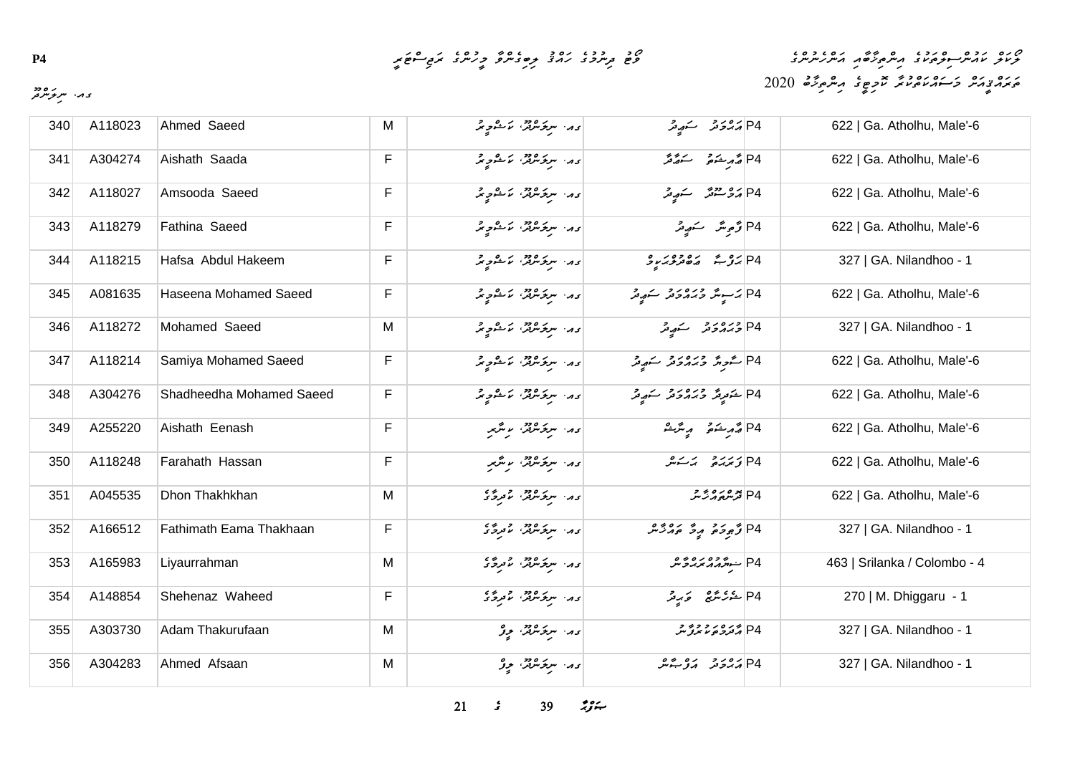*sCw7q7s5w7m< o<n9nOoAw7o< sCq;mAwBoEw7q<m; wBm;vB* م من المرة المرة المرة المرجع المرجع في المركبة 2020<br>مجم*د المريض المربوط المربع المرجع في المراجع المركبة* 

| 340 | A118023 | Ahmed Saeed                  | M            | ى مەسىر ھەقتى، ئەھمەم چى | P4 كەبرى ئەر سىكەر ئىگە                        | 622   Ga. Atholhu, Male'-6   |
|-----|---------|------------------------------|--------------|--------------------------|------------------------------------------------|------------------------------|
| 341 | A304274 | Aishath Saada                | F            | ىمە سىۋىلىكى ئاشلوپتى    | P4 مەم ئىق سىمەتىر                             | 622   Ga. Atholhu, Male'-6   |
| 342 | A118027 | Amsooda Saeed                | F            | ىما سرىگىرى ئاھىي ئى     | P4 كەر ئەيمى سىمبەتر                           | 622   Ga. Atholhu, Male'-6   |
| 343 | A118279 | Fathina Saeed                | $\mathsf F$  | ىمە سىزىكرى ئالقونم      | P4 وَّحِيشَ سَمَهِ مِّرْ                       | 622   Ga. Atholhu, Male'-6   |
| 344 | A118215 | Hafsa Abdul Hakeem           | $\mathsf{F}$ | ىما سرىكى ئاھىرىم        | P4 ئۇشە مەھىر <i>ۈر ب</i> و                    | 327   GA. Nilandhoo - 1      |
| 345 | A081635 | <b>Haseena Mohamed Saeed</b> | $\mathsf{F}$ | ى مەسرىكەنلەر كەشرىرىگە  | P4 كەسپەنگ 3 كەم3ىل سەمپەنگە                   | 622   Ga. Atholhu, Male'-6   |
| 346 | A118272 | Mohamed Saeed                | M            | ى ئەسىرىكى ئىگە ئەسىر    | P4 دُبَرْدُدَ مَدْ سَنَ سَرَ بِرَ              | 327   GA. Nilandhoo - 1      |
| 347 | A118214 | Samiya Mohamed Saeed         | $\mathsf{F}$ | ىمە سىۋىترى ئاشروپر      | P4 سُمْحِ مَرَ مُرَ مَرَ مِنْ مَسْرَ مِرْ مِرْ | 622   Ga. Atholhu, Male'-6   |
| 348 | A304276 | Shadheedha Mohamed Saeed     | F            | ىما سرىگىرى ئاھىي ئى     | P4 شَرَىږِ <i>ئُنْ دَوَنْز سَهِي</i> ْرَ       | 622   Ga. Atholhu, Male'-6   |
| 349 | A255220 | Aishath Eenash               | F            | ى مەسىر قىرىش بىر ئىگە   | P4 مَّ مِشَعْرِ مِسَّرْشَہِ                    | 622   Ga. Atholhu, Male'-6   |
| 350 | A118248 | Farahath Hassan              | $\mathsf F$  | ىما سرىگەنى باشىر        | P4 كۆتىرىمى كەسكەنلە                           | 622   Ga. Atholhu, Male'-6   |
| 351 | A045535 | Dhon Thakhkhan               | M            | ىە سىزىگە ئەرگە          | P4 تېرىئەچەر ئەتىر                             | 622   Ga. Atholhu, Male'-6   |
| 352 | A166512 | Fathimath Eama Thakhaan      | F            | ى ئەستۇش ئەرگە           | P4 <i>وَّجِودَة وِدُّ ءَدْ</i> دُسُ            | 327   GA. Nilandhoo - 1      |
| 353 | A165983 | Liyaurrahman                 | M            | در سرگرس در در در        | P4 خو <i>ره بره و ه</i>                        | 463   Srilanka / Colombo - 4 |
| 354 | A148854 | Shehenaz Waheed              | F            | ىە سرىگەن ئەرگە          | P4 ڪريمينج <sub>حربو</sub> ر                   | 270   M. Dhiggaru - 1        |
| 355 | A303730 | Adam Thakurufaan             | M            | ىد. سرىگەن بول           | P4 <sub>م</sub> ەترە بەر دەپر                  | 327   GA. Nilandhoo - 1      |
| 356 | A304283 | Ahmed Afsaan                 | M            | ىمىسىرىگەنگە بول         | P4 كەبروتىر كەنى ئەشر                          | 327   GA. Nilandhoo - 1      |

*21 sC 39 nNw?mS*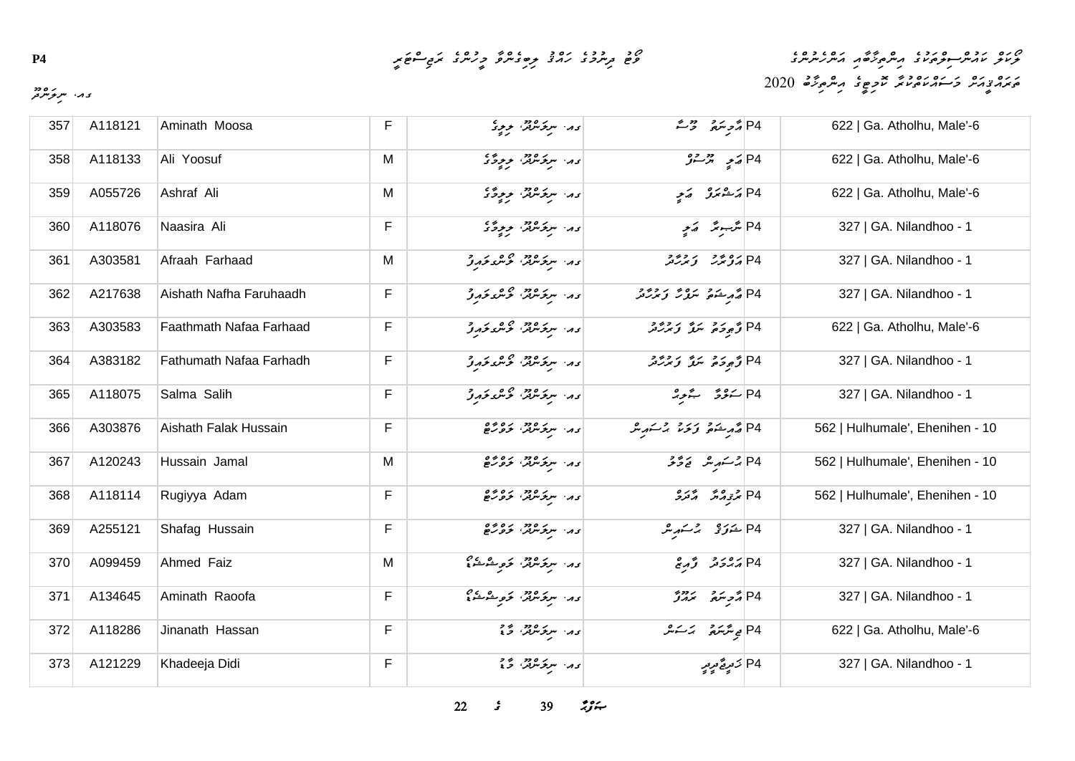*sCw7q7s5w7m< o<n9nOoAw7o< sCq;mAwBoEw7q<m; wBm;vB* م من المرة المرة المرة المرجع المرجع في المركبة 2020<br>مجم*د المريض المربوط المربع المرجع في المراجع المركبة* 

| 357 | A118121 | Aminath Moosa           | F           | ىد. سرۇشۇش مەمەك          | P4 أَمَّ مِسَمَّدٍ حَمَّدٌ      | 622   Ga. Atholhu, Male'-6      |
|-----|---------|-------------------------|-------------|---------------------------|---------------------------------|---------------------------------|
| 358 | A118133 | Ali Yoosuf              | M           | ىما سرىگەنى مەمەدى        | P4 کی پیم میں شوشوں<br>ا        | 622   Ga. Atholhu, Male'-6      |
| 359 | A055726 | Ashraf Ali              | M           | ىد سرقىدى وودى            | P4 كەشىمى كەم                   | 622   Ga. Atholhu, Male'-6      |
| 360 | A118076 | Naasira Ali             | $\mathsf F$ | ىد سرقىدى وودى            | P4 بٹر ہے کہ تھے ج              | 327   GA. Nilandhoo - 1         |
| 361 | A303581 | Afraah Farhaad          | M           | ىمە سۆشۈش كۈشكەتلەر       | P4 <i>ړوند ویرد</i>             | 327   GA. Nilandhoo - 1         |
| 362 | A217638 | Aishath Nafha Faruhaadh | $\mathsf F$ | ىمە سەئەس ئۇسمەتمەتى      | P4 مەم شەم سرور ئەسرىس          | 327   GA. Nilandhoo - 1         |
| 363 | A303583 | Faathmath Nafaa Farhaad | $\mathsf F$ | ىمە سەئەس ئۇسمەتمەتى      | P4 وَّجِعَةٍ حَمَّدٌ وَمَرْسُرٌ | 622   Ga. Atholhu, Male'-6      |
| 364 | A383182 | Fathumath Nafaa Farhadh | F           | ىمە سەئەس ئۇسمەتمەتى      | P4 وَجِعَةٍ حَمَدٍ وَمَرَسٌ     | 327   GA. Nilandhoo - 1         |
| 365 | A118075 | Salma Salih             | F           | ىمە سەكەش كەشمەتمەتى      | P4 سَوْوٌ سِرْمِهِ مِ           | 327   GA. Nilandhoo - 1         |
| 366 | A303876 | Aishath Falak Hussain   | $\mathsf F$ | ى مەسىر ئىش ئىچە ئەھم     | P4 مەم ئىققى توقرىق بر سىمبرىش  | 562   Hulhumale', Ehenihen - 10 |
| 367 | A120243 | Hussain Jamal           | M           | ى مەسىر ئىقلىق ئىچە ئىق   | P4 يُرْسَمَ مِنْ صَوَّرْ حَمَ   | 562   Hulhumale', Ehenihen - 10 |
| 368 | A118114 | Rugiyya Adam            | F           | ى مەسىر ئىقى ئەم ئەھ      | P4 برت <sub>و</sub> م برگ مرکزی | 562   Hulhumale', Ehenihen - 10 |
| 369 | A255121 | Shafag Hussain          | F           | ى مەسىر ئىرىمى ئەرەبىي    | P4 خۇتى ئەسكەرلىر               | 327   GA. Nilandhoo - 1         |
| 370 | A099459 | Ahmed Faiz              | M           | ى مەسىر ئىرلىق كەم ئىش ئى | P4 كەندى قىدىم ئىق              | 327   GA. Nilandhoo - 1         |
| 371 | A134645 | Aminath Raoofa          | F           | ى مەسىر ھەس كەھ شەشق      | P4 مُجِسَع بِرْمَرُوْ           | 327   GA. Nilandhoo - 1         |
| 372 | A118286 | Jinanath Hassan         | $\mathsf F$ | ىد. سرپۇس بەر             | P4 ي <i>ج مگرمکو تر سک</i> مبر  | 622   Ga. Atholhu, Male'-6      |
| 373 | A121229 | Khadeeja Didi           | F           | ا در سروسریں کرد          | P4 کرمرفج مرمر<br>14 ک          | 327   GA. Nilandhoo - 1         |

*22 sC 39 nNw?mS*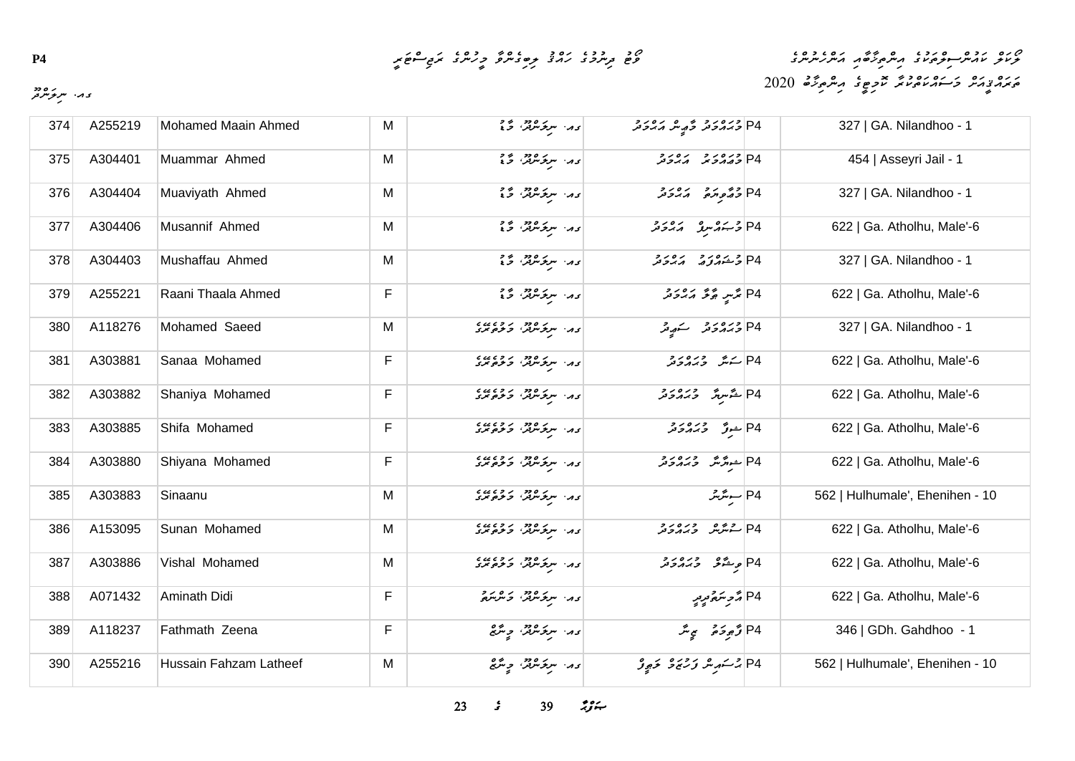*sCw7q7s5w7m< o<n9nOoAw7o< sCq;mAwBoEw7q<m; wBm;vB* م من المسجد المسجد المسجد المسجد المسجد العام 2020<br>مسجد المسجد المسجد المسجد المسجد المسجد المسجد المسجد المسجد ال

| 374 | A255219 | <b>Mohamed Maain Ahmed</b>    | M           | ى يەستۇشى ئ                      | P4 <i>دېن</i> مرکتر گړينگر <b>ډ</b> ېرکتر           | 327   GA. Nilandhoo - 1         |
|-----|---------|-------------------------------|-------------|----------------------------------|-----------------------------------------------------|---------------------------------|
| 375 | A304401 | Muammar Ahmed                 | M           | ىم سرىق شەدە                     | P4 دره د بره در د                                   | 454   Asseyri Jail - 1          |
| 376 | A304404 | Muaviyath Ahmed               | M           | ىد. سروسربى ود                   | P4 <i>وَهُوِمُرُوْ مُدُونُو</i> ْ                   | 327   GA. Nilandhoo - 1         |
| 377 | A304406 | Musannif Ahmed                | M           | ىم سرىق شەھقى ئەھم               | P4 ۇبەر سور مەدەر                                   | 622   Ga. Atholhu, Male'-6      |
| 378 | A304403 | Mushaffau Ahmed               | M           | ىد. سرپۇس بەر                    | P4 وحده ده بره دور                                  | 327   GA. Nilandhoo - 1         |
| 379 | A255221 | Raani Thaala Ahmed            | F           | ىم سرىق شەھقى ئەھم               | P4 تَرْسٍ بِرُبُّرَ <sub>م</sub> ُرَدَّدَ           | 622   Ga. Atholhu, Male'-6      |
| 380 | A118276 | Mohamed Saeed                 | M           | ىما سرىگىرى كەلگەن ئە            | P4 <i>وُبَرُوْدَوْ</i> سَمَ <i>مِ</i> تْرُ          | 327   GA. Nilandhoo - 1         |
| 381 | A303881 | Sanaa Mohamed                 | F           | ر ده ده دود کرد و د د د د د د    | P4 سەشر بەرەبەر بورىتە                              | 622   Ga. Atholhu, Male'-6      |
| 382 | A303882 | Shaniya Mohamed               | F           | وړ . سرنوکري د وه ده د           | P4 شَمْسِرَّ وَبَرْدُونَر                           | 622   Ga. Atholhu, Male'-6      |
| 383 | A303885 | Shifa Mohamed                 | F           | در سرگرموژ دوه بده               | P4 خوتر وبرود و                                     | 622   Ga. Atholhu, Male'-6      |
| 384 | A303880 | Shiyana Mohamed               | $\mathsf F$ | در سرگرموژ دوه بده               | P4 خەترىتر ئ <i>ەتمەدىر</i>                         | 622   Ga. Atholhu, Male'-6      |
| 385 | A303883 | Sinaanu                       | M           | ىما سرىگىرى كەلگەن ئە            | P4 سبهگریگر                                         | 562   Hulhumale', Ehenihen - 10 |
| 386 | A153095 | Sunan Mohamed                 | M           | وړ سرگرمون د وه بره.<br>وړ سرگرس | P4 كەشرىر مەمدەرد                                   | 622   Ga. Atholhu, Male'-6      |
| 387 | A303886 | Vishal Mohamed                | M           | در سرگرموژ دوه بده               | P4 وڅو <i>وره دو</i>                                | 622   Ga. Atholhu, Male'-6      |
| 388 | A071432 | Aminath Didi                  | F           | ىما سركەشكە كەسىر                | P4   پژو سرچ مرمر                                   | 622   Ga. Atholhu, Male'-6      |
| 389 | A118237 | Fathmath Zeena                | F           | ىما سرىكروه بەشھ                 | P4 ژ <sub>ېوخ</sub> و پ <sub>ې</sub> تر             | 346   GDh. Gahdhoo - 1          |
| 390 | A255216 | <b>Hussain Fahzam Latheef</b> | M           | ىما سرىرىدى بەشقى                | P4 يُرْسَمَ مِيرْ تَرْبَى \$ تَحْرَ وَ الْمَجْمَعِي | 562   Hulhumale', Ehenihen - 10 |

**23** *s* **39** *n***<sub>s</sub>***n***<sub>s</sub>**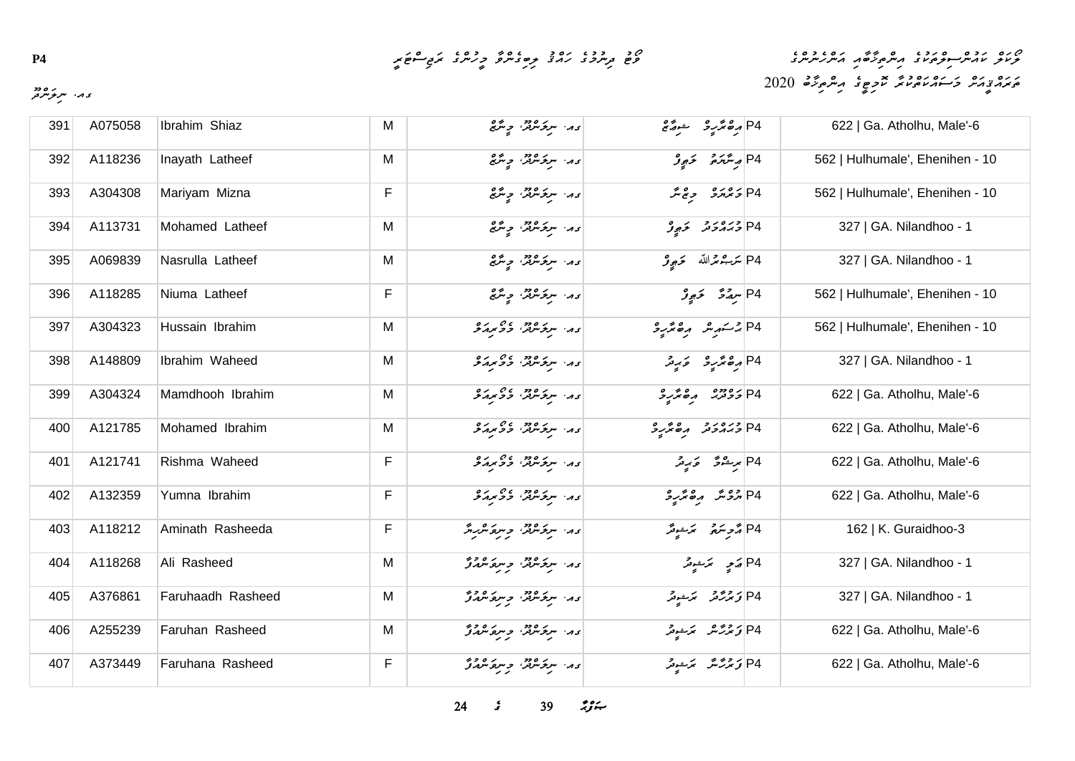*sCw7q7s5w7m< o<n9nOoAw7o< sCq;mAwBoEw7q<m; wBm;vB* م من المرة المرة المرة المرجع المرجع في المركبة 2020<br>مجم*د المريض المربوط المربع المرجع في المراجع المركبة* 

| 391 | A075058 | Ibrahim Shiaz     | M           | ى. سرىگرىق چەگھ         | P4 م <i>ِ هُ مُّرِ دُ</i> مُش <i>ِ مُ</i> مُ     | 622   Ga. Atholhu, Male'-6      |
|-----|---------|-------------------|-------------|-------------------------|--------------------------------------------------|---------------------------------|
| 392 | A118236 | Inayath Latheef   | M           | ىما سرىگرى بەشى         | P4 م <i>ېنگونو خو</i> ړو                         | 562   Hulhumale', Ehenihen - 10 |
| 393 | A304308 | Mariyam Mizna     | F           | ىمە سۆسرىتى بېشى        | P4 <i>خ</i> مبرد و په ش                          | 562   Hulhumale', Ehenihen - 10 |
| 394 | A113731 | Mohamed Latheef   | M           | ىمە سۆسىگە جىگىج        | P4 دېم دې د توپون                                | 327   GA. Nilandhoo - 1         |
| 395 | A069839 | Nasrulla Latheef  | M           | دە. سرۇشۇر ئەسىم        | P4 ىتربىجىتى\للە <del>ك</del> رې <sub>و</sub> تر | 327   GA. Nilandhoo - 1         |
| 396 | A118285 | Niuma Latheef     | $\mathsf F$ | ىما سركرى ئۇيگى         | P4 سرقە ئى ئۇچۇ ئى                               | 562   Hulhumale', Ehenihen - 10 |
| 397 | A304323 | Hussain Ibrahim   | M           | ىم سركان ودى كالمحمد    | P4 يُرْسَمبر شَر مِرْهُ مَدْرِ دَّ               | 562   Hulhumale', Ehenihen - 10 |
| 398 | A148809 | Ibrahim Waheed    | M           | وړ٠ سروسربر٥ ده کړه ک   | P4 مەھم <i>گى</i> ر قىمىق                        | 327   GA. Nilandhoo - 1         |
| 399 | A304324 | Mamdhooh Ibrahim  | M           | ىم سركە ئەھم كەن        | P4  رەددە مەھم <i>گى</i> رۇ                      | 622   Ga. Atholhu, Male'-6      |
| 400 | A121785 | Mohamed Ibrahim   | M           | ىم سركان ود بالمحمد و   | P4 دُبَرْدُونَ مِعْبَرِدْ                        | 622   Ga. Atholhu, Male'-6      |
| 401 | A121741 | Rishma Waheed     | $\mathsf F$ | ىد. سركەشكى دوممەر      | P4 مرشرمح قربرتر                                 | 622   Ga. Atholhu, Male'-6      |
| 402 | A132359 | Yumna Ibrahim     | F           | ىم سركان ودى كالمحمد    | P4 مرونٹر م <i>ی مڈی</i> رو                      | 622   Ga. Atholhu, Male'-6      |
| 403 | A118212 | Aminath Rasheeda  | F           | בו יינביתה כיינביתה     | P4 مُتَّحِسَمَةٌ مَمَسْوِمُّ                     | 162   K. Guraidhoo-3            |
| 404 | A118268 | Ali Rasheed       | M           | ىم سركان به سركان دارد. | P4 <i>ھَ۔ پرَجو</i> ٹر                           | 327   GA. Nilandhoo - 1         |
| 405 | A376861 | Faruhaadh Rasheed | M           | ى مەسرىمىتى، جەسھ سمەن  | P4 كۆيۈرگە كەن يىتى بىر                          | 327   GA. Nilandhoo - 1         |
| 406 | A255239 | Faruhan Rasheed   | M           | ىم سركوش وسركومۇ        | P4 ۇىر <i>گىر</i> ئىر <sub>شو</sub> تر           | 622   Ga. Atholhu, Male'-6      |
| 407 | A373449 | Faruhana Rasheed  | F           | ىما سركرى ئەسكەن ئەر    | P4 كَرْمَرْدَّسَّرْ - مَرْشِيْتْرْ               | 622   Ga. Atholhu, Male'-6      |

*24 sC 39 nNw?mS*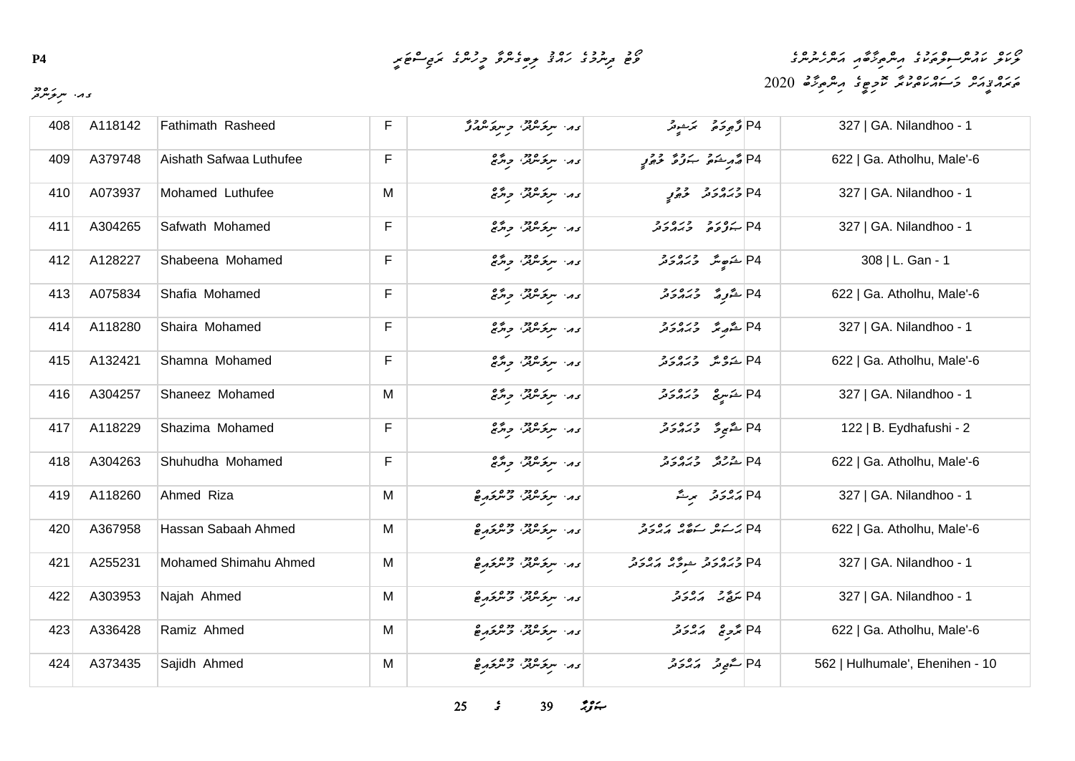*sCw7q7s5w7m< o<n9nOoAw7o< sCq;mAwBoEw7q<m; wBm;vB* م من المسجد المسجد المسجد المسجد المسجد العام 2020<br>مسجد المسجد المسجد المسجد المسجد المسجد المسجد المسجد المسجد ال

| 408 | A118142 | Fathimath Rasheed       | F           | ىما سركەنگە دىسكەنگەن     | P4 <i>وَّجودَة مَرْ</i> حِيقَ          | 327   GA. Nilandhoo - 1         |
|-----|---------|-------------------------|-------------|---------------------------|----------------------------------------|---------------------------------|
| 409 | A379748 | Aishath Safwaa Luthufee | F           | دە. سرىگەنگر، جاڭگى       | P4 مەم شەكەر بىردە ئىچ ئوجۇر           | 622   Ga. Atholhu, Male'-6      |
| 410 | A073937 | Mohamed Luthufee        | M           | ى مەسىر ئىرلىق بەرگە      | P4 <i>\$222 قوم</i> ور                 | 327   GA. Nilandhoo - 1         |
| 411 | A304265 | Safwath Mohamed         | F           | ى مەسترىسى ئەركى          | P4 يتووه وبره دو                       | 327   GA. Nilandhoo - 1         |
| 412 | A128227 | Shabeena Mohamed        | F           | در سروکتری و پر م         | P4 شَوْمٍ مَنْ دَبَرْ دَور             | 308   L. Gan - 1                |
| 413 | A075834 | Shafia Mohamed          | $\mathsf F$ | ىد. سرىگرىقى جادى         | P4 شَوِرَ وَبَرُودَرَ                  | 622   Ga. Atholhu, Male'-6      |
| 414 | A118280 | Shaira Mohamed          | F           | ى مەسىر ئىرلىق بەرگە      | P4 شەمەتتى ئ <i>ەندە</i> تىر           | 327   GA. Nilandhoo - 1         |
| 415 | A132421 | Shamna Mohamed          | $\mathsf F$ | ىد. سرىگرى دەرى           | P4 خۇش <i>دىمەدەر</i>                  | 622   Ga. Atholhu, Male'-6      |
| 416 | A304257 | Shaneez Mohamed         | M           | ىد. سرىگرى دەرى           | P4 خەسرىج ئ <i>ۇنەم</i> ۇتر            | 327   GA. Nilandhoo - 1         |
| 417 | A118229 | Shazima Mohamed         | F           | ى مەسرىكى ئەركىتى ئ       | P4 شَمِعَ وَرَمْدَوْرٌ                 | 122   B. Eydhafushi - 2         |
| 418 | A304263 | Shuhudha Mohamed        | $\mathsf F$ | ى مەسترىسى ئەركى          | P4 شەرىر دىرەرد                        | 622   Ga. Atholhu, Male'-6      |
| 419 | A118260 | Ahmed Riza              | M           | در سروسربر، وسروره        | P4 كەندى كىمى مېرىگە                   | 327   GA. Nilandhoo - 1         |
| 420 | A367958 | Hassan Sabaah Ahmed     | M           | ور سروسربر، وسروره        | P4 يَرْسَسْ سَنَصْرُ مَدَوْمُر         | 622   Ga. Atholhu, Male'-6      |
| 421 | A255231 | Mohamed Shimahu Ahmed   | M           | أور سركر سركر والمركز وهي | P4 ويرەبرو جوڭ مەدوم                   | 327   GA. Nilandhoo - 1         |
| 422 | A303953 | Najah Ahmed             | M           | ور سروسربر، وسروره        | P4 سَهَّ پَر دَر دَو                   | 327   GA. Nilandhoo - 1         |
| 423 | A336428 | Ramiz Ahmed             | M           | ور سروسرين وسروره         | P4 بَرَّ <sub>حِ</sub> بِهِ مَدْدَمَّر | 622   Ga. Atholhu, Male'-6      |
| 424 | A373435 | Sajidh Ahmed            | M           | ىما سركرسرفرا وسركرما ع   | P4 ڪيمي تر <i>مرد و</i> تر             | 562   Hulhumale', Ehenihen - 10 |

*25 sC 39 nNw?mS*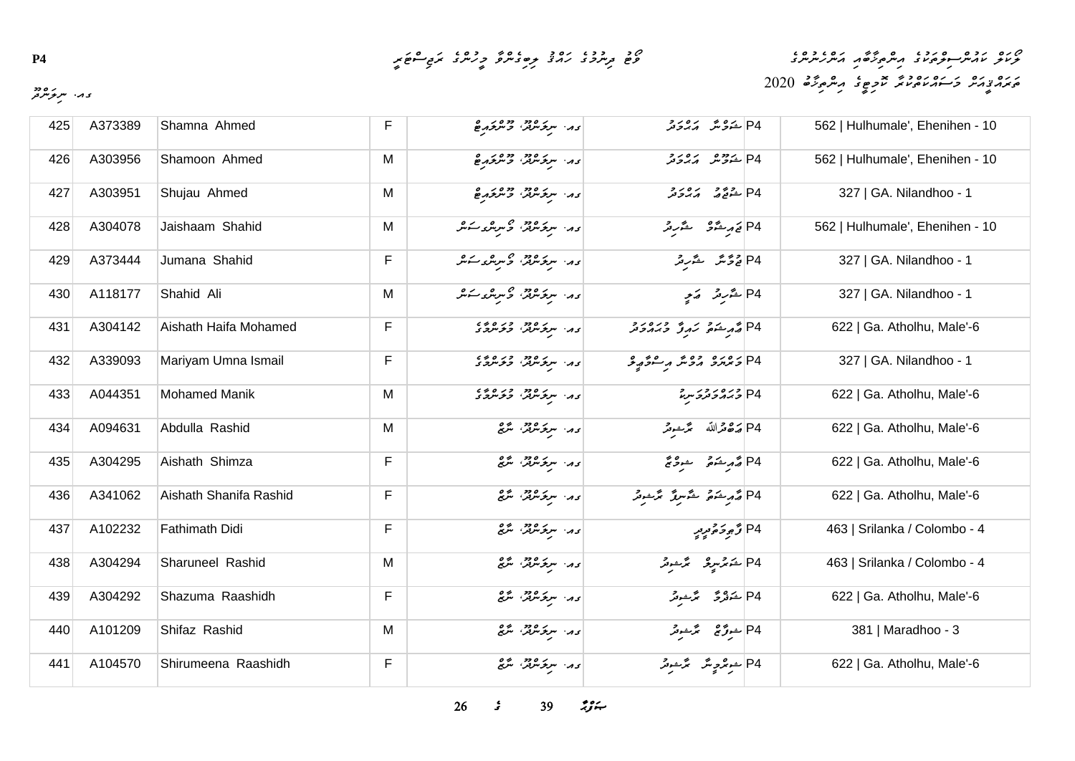*sCw7q7s5w7m< o<n9nOoAw7o< sCq;mAwBoEw7q<m; wBm;vB* م من المرة المرة المرة المرجع المرجع في المركبة 2020<br>مجم*د المريض المربوط المربع المرجع في المراجع المركبة* 

| 425 | A373389 | Shamna Ahmed           | F           | در سروسري وسروره                                 | P4 خۇمىگە كەندى تەر                    | 562   Hulhumale', Ehenihen - 10 |
|-----|---------|------------------------|-------------|--------------------------------------------------|----------------------------------------|---------------------------------|
| 426 | A303956 | Shamoon Ahmed          | M           | وړ٠ سربرسربر٬ وسربر ده                           | P4 شەخ ھەر كەردىتە                     | 562   Hulhumale', Ehenihen - 10 |
| 427 | A303951 | Shujau Ahmed           | M           | وړ٠ سربرسربر٬ وسربر ده                           | P4 شوق پر پر پر د                      | 327   GA. Nilandhoo - 1         |
| 428 | A304078 | Jaishaam Shahid        | M           | ىم سركان به كسر مى سكار                          | P4 فَي مِسْتَوْسِ سُتَمَرِيْر          | 562   Hulhumale', Ehenihen - 10 |
| 429 | A373444 | Jumana Shahid          | F           | ىم سركان به كسر مى سكار                          | P4 فِرْحَمَّدَ شَرِيرُ                 | 327   GA. Nilandhoo - 1         |
| 430 | A118177 | Shahid Ali             | M           | در سرکرسرفرا و سرسر<br>در سرکرسرفرا و سرسر       | P4 يَشْرِيْرُ صَعِي                    | 327   GA. Nilandhoo - 1         |
| 431 | A304142 | Aishath Haifa Mohamed  | F           | أورسير ودود وتراوي                               | P4 مُمبِّحْمَةٍ رَمِزٌ وَرَمْدَوْرٌ    | 622   Ga. Atholhu, Male'-6      |
| 432 | A339093 | Mariyam Umna Ismail    | F           | د ۱۸ سرخ سره ور ۲۵ ور<br>دار سرخ سربل و خر سرچ د | P4 كەمەرە مەمگە مەش <i>ۇم</i> ۇ        | 327   GA. Nilandhoo - 1         |
| 433 | A044351 | <b>Mohamed Manik</b>   | M           | ىدا سرىكى ئەرەپ                                  | P4 دېم د دور سره                       | 622   Ga. Atholhu, Male'-6      |
| 434 | A094631 | Abdulla Rashid         | M           | ى مەسىرى ھەدە ئىسى                               | P4 \$ \$ قرالله گرشونر                 | 622   Ga. Atholhu, Male'-6      |
| 435 | A304295 | Aishath Shimza         | F           | ى مەسىرى ئۆز ئىسى                                | P4 مُرمِشَمُو سُودُمَّ                 | 622   Ga. Atholhu, Male'-6      |
| 436 | A341062 | Aishath Shanifa Rashid | F           | أى ما سر كارود من من المرجع                      | P4 مُرمِ شَمَعٌ مُرَسِّرٌ مُرَسِّدِتْر | 622   Ga. Atholhu, Male'-6      |
| 437 | A102232 | <b>Fathimath Didi</b>  | $\mathsf F$ | ى مەسىرى ھەدە ئىسى                               | P4   قُرْجوحَ حُوبور                   | 463   Srilanka / Colombo - 4    |
| 438 | A304294 | Sharuneel Rashid       | M           | ى مەسىر ئىرى ئىسى                                | P4 ڪنگرسري گرھونگر                     | 463   Srilanka / Colombo - 4    |
| 439 | A304292 | Shazuma Raashidh       | $\mathsf F$ | ى مەسىرى ھەدىرى ئىس                              | P4 شۇنرۇ گرىئونر                       | 622   Ga. Atholhu, Male'-6      |
| 440 | A101209 | Shifaz Rashid          | M           | ى مەسىرى ئۆز ئىسى                                | P4 شورٌ مُحْ سُمْ مِحْرِ مِحْرٍ مِ     | 381   Maradhoo - 3              |
| 441 | A104570 | Shirumeena Raashidh    | F           | ىمە سۆسىگە شى                                    | P4 سوټرو پنگر گر شوتر                  | 622   Ga. Atholhu, Male'-6      |

*26 sC 39 nNw?mS*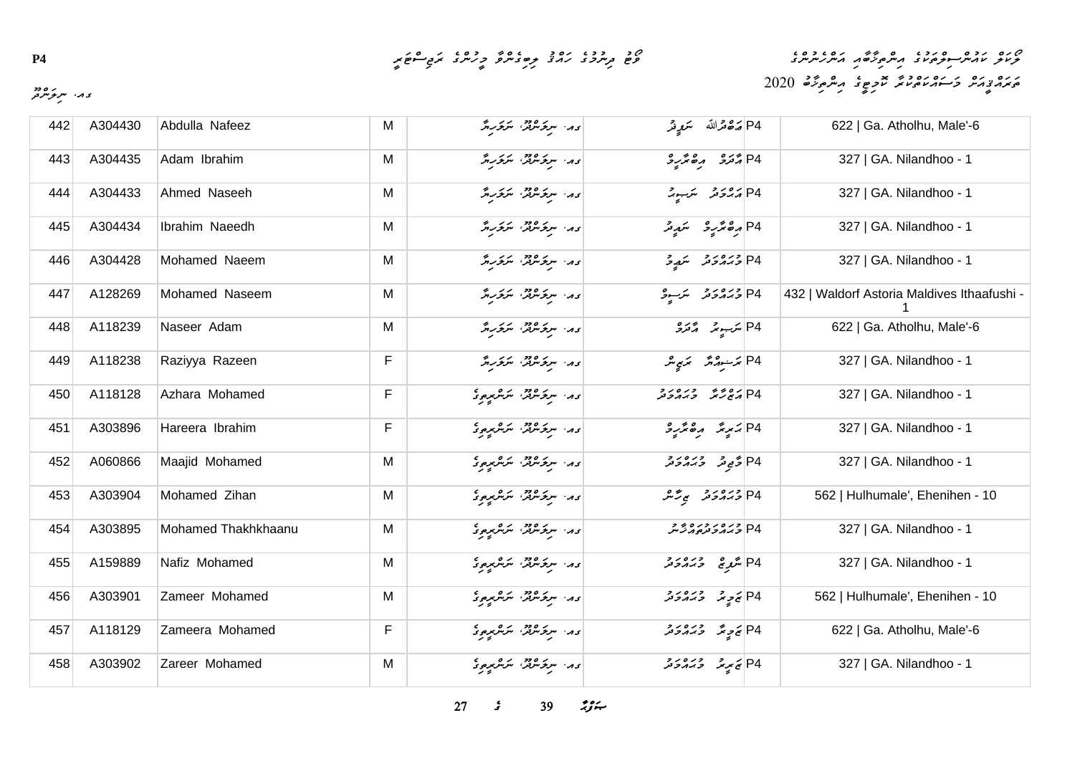*sCw7q7s5w7m< o<n9nOoAw7o< sCq;mAwBoEw7q<m; wBm;vB 2020<sup>, م</sup>وجدة المصرورة المجموعة المستورجة والم*جموعة والمجموعة والمجموعة والمجموعة والمجموعة والمجموعة والمجموعة

| 442 | A304430 | Abdulla Nafeez      | M           | ى مەسىرىگەنى سىزىر س                                                                                          | P4 مَەقْدَاللە سَمَع <sub>ْي</sub> غْر   | 622   Ga. Atholhu, Male'-6                  |
|-----|---------|---------------------|-------------|---------------------------------------------------------------------------------------------------------------|------------------------------------------|---------------------------------------------|
| 443 | A304435 | Adam Ibrahim        | M           | ى مەسىرىگەنى سىزىر بىر                                                                                        | P4 مُترَد مِنْ مِرْرِدْ                  | 327   GA. Nilandhoo - 1                     |
| 444 | A304433 | Ahmed Naseeh        | M           | ىمە سەكەشكە سەكرىد                                                                                            | P4 كەبروتى - س <i>ربى</i> دى             | 327   GA. Nilandhoo - 1                     |
| 445 | A304434 | Ibrahim Naeedh      | M           | ى مەسىرىگەنىڭ سىرىگەنگە                                                                                       | P4 م <i>ِرەْ ئُرْرٍدْ سَمِي</i> ْتُر     | 327   GA. Nilandhoo - 1                     |
| 446 | A304428 | Mohamed Naeem       | M           | ى مەسىرى ئىرىگە ئىرىگە ئىر                                                                                    | P4  3223 سَمِي <sup>و</sup>              | 327   GA. Nilandhoo - 1                     |
| 447 | A128269 | Mohamed Naseem      | M           | ى مەسىرىگەنىڭ سىرىكى سە                                                                                       | P4 <i>وُبَهُ دُوَ</i> تَرَ سَرَسِيوْ     | 432   Waldorf Astoria Maldives Ithaafushi - |
| 448 | A118239 | Naseer Adam         | M           | ى مەسىرىگەنىڭ سىرىگەنگە                                                                                       |                                          | 622   Ga. Atholhu, Male'-6                  |
| 449 | A118238 | Raziyya Razeen      | $\mathsf F$ | ى مەسىر ئەھىرى سىرى بىر                                                                                       | P4 <i>بترسوم مگر بتر بی</i> ر شر         | 327   GA. Nilandhoo - 1                     |
| 450 | A118128 | Azhara Mohamed      | $\mathsf F$ | ىما سرىگرى ئىر ئىر ئىر                                                                                        | P4 كەنتى ئەرگە دەر د                     | 327   GA. Nilandhoo - 1                     |
| 451 | A303896 | Hareera Ibrahim     | F           | ى مەسرىق سىر شەھىر بىرى ئىستىدىن كىيەت كىيەت كىيەت كىيەت كىيەت كىيەت كىيەت كىيەت كىيەت كىيەت كىيەت كىيەت كىيە |                                          | 327   GA. Nilandhoo - 1                     |
| 452 | A060866 | Maajid Mohamed      | M           | ى مەسىر ئىقى ئىكەن ئىر ئىرىم ئ                                                                                | P4 وَّمِهِ تَرَ وَبَرَ وَمَرَ وَمَدَ     | 327   GA. Nilandhoo - 1                     |
| 453 | A303904 | Mohamed Zihan       | M           | ى مەسىرى ھەر ئىس بىر ئىس بىر                                                                                  | P4 <i>5 جام 25 مئ</i> ي محمد من محمد الس | 562   Hulhumale', Ehenihen - 10             |
| 454 | A303895 | Mohamed Thakhkhaanu | M           | ى مەسرىق سىر شەھىر بىرى ئىستىدىن كىيەت كىيەت كىيەت كىيەت كىيەت كىيەت كىيەت كىيەت كىيەت كىيەت كىيەت كىيەت كىيە | P4 دېم د د ده وره شر                     | 327   GA. Nilandhoo - 1                     |
| 455 | A159889 | Nafiz Mohamed       | M           | ى مەسرىكرىمى سەسرىي ئ                                                                                         | P4 سَمَّدِجْ حَمَدَ حَرَفَ               | 327   GA. Nilandhoo - 1                     |
| 456 | A303901 | Zameer Mohamed      | M           | ى مەسىر ئىقى ئىكەن ئىر ئىرىم ئ                                                                                | P4 يَحوِيمُ وَيَرْدُونَرُ                | 562   Hulhumale', Ehenihen - 10             |
| 457 | A118129 | Zameera Mohamed     | F           | ى مەسرىق سىر شەھىر بىرى ئىستىدىن كىيەت كىيەت كىيەت كىيەت كىيەت كىيەت كىيەت كىيەت كىيەت كىيەت كىيەت كىيەت كىيە | P4 يَحرِ بَرٌ حَ بَرَ مَرَ وَ بَرَ مَرَ  | 622   Ga. Atholhu, Male'-6                  |
| 458 | A303902 | Zareer Mohamed      | M           | ى مەسرىۋىلوپى، سەنگرىي يونى                                                                                   | P4 ك <sup>ى</sup> مىيەتمە ئەمەد تىر      | 327   GA. Nilandhoo - 1                     |

*27 sC 39 nNw?mS*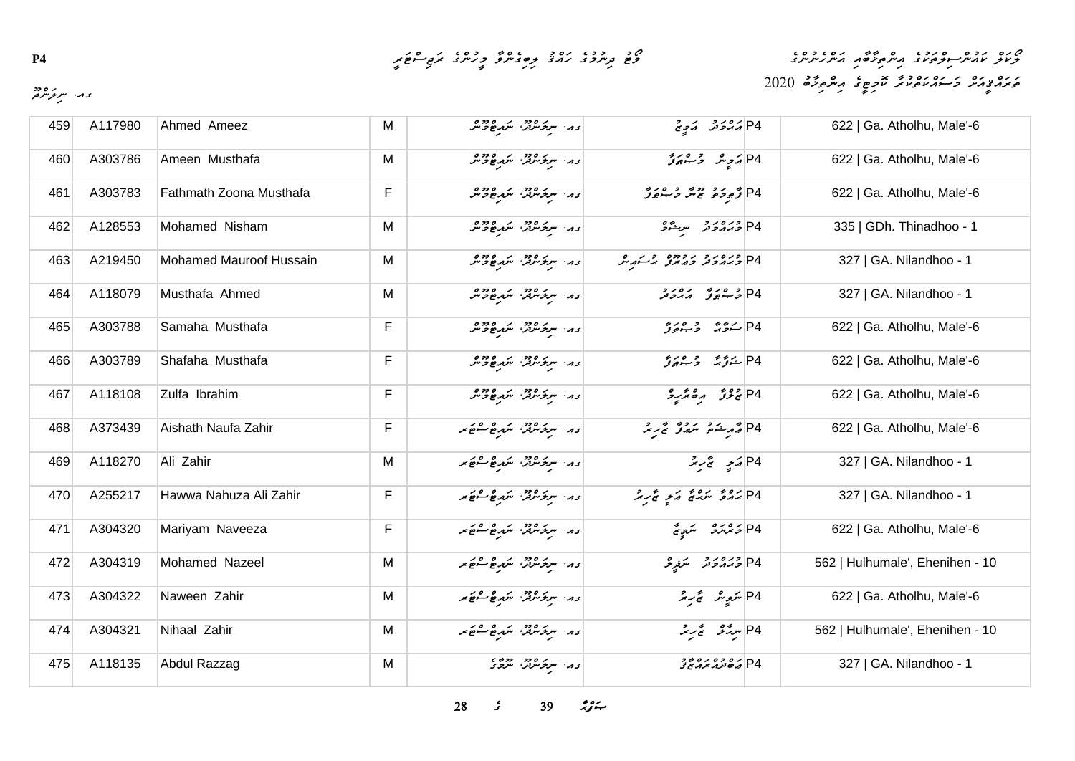*sCw7q7s5w7m< o<n9nOoAw7o< sCq;mAwBoEw7q<m; wBm;vB* م من المسجد المسجد المسجد المسجد المسجد العام 2020<br>مسجد المسجد المسجد المسجد المسجد المسجد المسجد المسجد المسجد ال

| 459 | A117980 | Ahmed Ameez                    | M | ى مەسكەن سەھ تەھ                             | P4  پ <i>روی تر پر چ</i>                       | 622   Ga. Atholhu, Male'-6      |
|-----|---------|--------------------------------|---|----------------------------------------------|------------------------------------------------|---------------------------------|
| 460 | A303786 | Ameen Musthafa                 | M | وړ. سروسربر، سرم وده<br>در سروسربر، سرم ووسر | P4 كەچ شەھ قەسبۇ ق                             | 622   Ga. Atholhu, Male'-6      |
| 461 | A303783 | Fathmath Zoona Musthafa        | F | وړ٠ سربرسربر، سرم وده.<br>د مربرس            | P4 ۇ <sub>ج</sub> وخۇ ئېتر ۋېدۇرۇ              | 622   Ga. Atholhu, Male'-6      |
| 462 | A128553 | Mohamed Nisham                 | M | ور سروسربو شرم وده<br>در سروسربو شرم ودس     | P4 وَيَرْدُونَرُ سِنْتُورُ                     | 335   GDh. Thinadhoo - 1        |
| 463 | A219450 | <b>Mohamed Mauroof Hussain</b> | M | ا دار سرکر سر مربع و ده د                    | P4 כממים מכנס כי מה                            | 327   GA. Nilandhoo - 1         |
| 464 | A118079 | Musthafa Ahmed                 | M | در سرگرس شروم وره<br>در سرگرس                | P4 ۋېتبوتۇ مەردىر                              | 327   GA. Nilandhoo - 1         |
| 465 | A303788 | Samaha Musthafa                | F | وړ. سروسربر، سرم وده<br>در سروسربر، سرم ووسر | P4 كەنزىق تەسبوق                               | 622   Ga. Atholhu, Male'-6      |
| 466 | A303789 | Shafaha Musthafa               | F | و مسرور مرد ده وده<br>د مسروسربر شهر ه وسر   | P4 خۇتر ئەسبەر ئ                               | 622   Ga. Atholhu, Male'-6      |
| 467 | A118108 | Zulfa Ibrahim                  | F | و مسرور مرد ده وده<br>د مسروسربر شهر ه وسر   | P4 ج و و م م محمد بر د                         | 622   Ga. Atholhu, Male'-6      |
| 468 | A373439 | Aishath Naufa Zahir            | F | ور سرومبرد شریع شیخ د                        | P4 مەم شەمۇر سىم ئىچى بىر                      | 622   Ga. Atholhu, Male'-6      |
| 469 | A118270 | Ali Zahir                      | M | ى مەسرىكرى ئىكرى ئىككى                       | P4 کھیے گھریٹر                                 | 327   GA. Nilandhoo - 1         |
| 470 | A255217 | Hawwa Nahuza Ali Zahir         | F | ىم سركوم مركز كالمحال                        | P4 بَرْدُوٌ سَرَدْجٌ <sub>مَ</sub> حِ جُرِيْرٌ | 327   GA. Nilandhoo - 1         |
| 471 | A304320 | Mariyam Naveeza                | F | ور سروسرين سرم ه شيخ مر                      | P4 كەبىر بىر كىم ئىس ئىس ئىس ئىس ئىس ئىس ئىس   | 622   Ga. Atholhu, Male'-6      |
| 472 | A304319 | Mohamed Nazeel                 | M | ى مەسرىكرى ئىكرى ئىككى                       | P4  352,3 \$ سَمْدِ تَرَ مَرْدِ                | 562   Hulhumale', Ehenihen - 10 |
| 473 | A304322 | Naween Zahir                   | M | ى مەسرىكرى ئىكرى ئىككى                       | P4 سَمِرِ سَمَّ سِمَّ سِمَّ                    | 622   Ga. Atholhu, Male'-6      |
| 474 | A304321 | Nihaal Zahir                   | M | ور سرومبرد شریع شیخ د                        | P4 س <i>ربر ب</i> ح مع سر بر                   | 562   Hulhumale', Ehenihen - 10 |
| 475 | A118135 | Abdul Razzag                   | M | זו ייתבייטר. די 25                           | P4 مەھەمەم بەرە يوج                            | 327   GA. Nilandhoo - 1         |

**28** *s* **39** *n***<sub>s</sub>***n***<sub>s</sub>**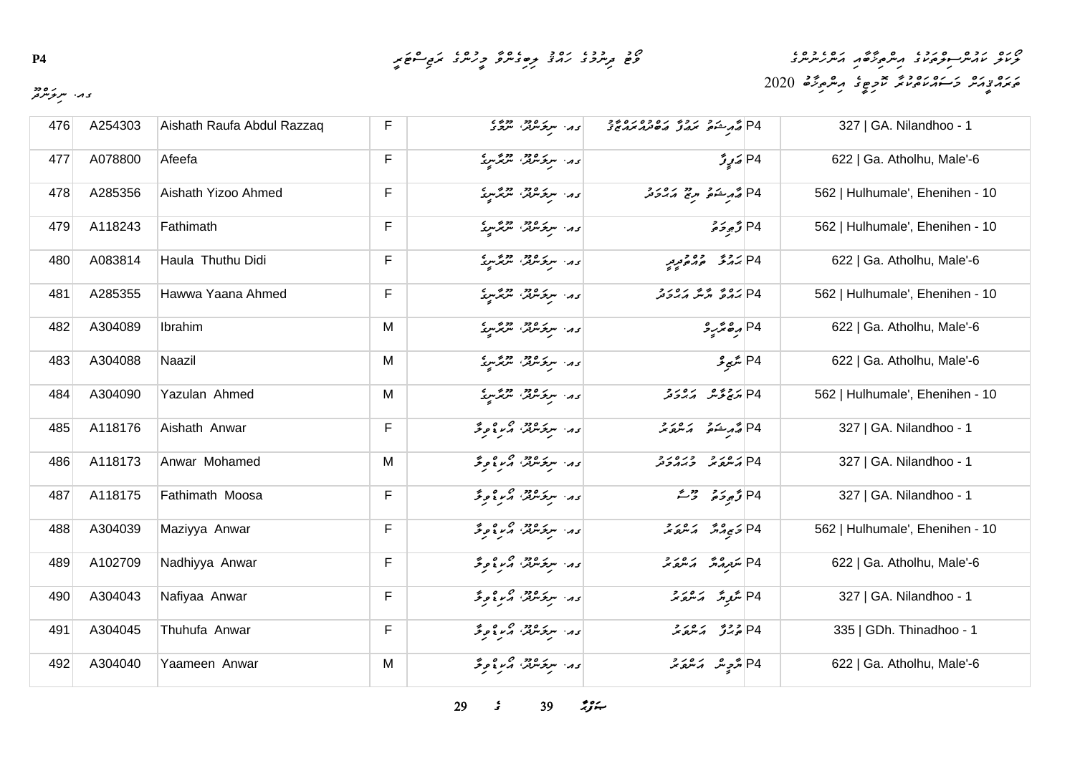*sCw7q7s5w7m< o<n9nOoAw7o< sCq;mAwBoEw7q<m; wBm;vB* م من المرة المرة المرة المرجع المرجع في المركبة 2020<br>مجم*د المريض المربوط المربع المرجع في المراجع المركبة* 

| 476 | A254303 | Aishath Raufa Abdul Razzaq | F           | دړ٠ سرکرسرګڼ شرحر د      | P4 ה'ה ג'ור ה' הם <i>נה זה ביצ</i>          | 327   GA. Nilandhoo - 1         |
|-----|---------|----------------------------|-------------|--------------------------|---------------------------------------------|---------------------------------|
| 477 | A078800 | Afeefa                     | $\mathsf F$ | ىم سرىگەن سرگەرى         | P4 ړَوِرَّ                                  | 622   Ga. Atholhu, Male'-6      |
| 478 | A285356 | Aishath Yizoo Ahmed        | $\mathsf F$ | .<br>15. سرچسرفر، سرچسری | P4 مەم شەھ بىرى مەردىر                      | 562   Hulhumale', Ehenihen - 10 |
| 479 | A118243 | Fathimath                  | $\mathsf F$ | ىم سرىگەن سرگەرى         | P4 وَجوحَ                                   | 562   Hulhumale', Ehenihen - 10 |
| 480 | A083814 | Haula Thuthu Didi          | F           | ىم سركەشتە ھەر بول       | P4 كەرگە ئەم قىرىر                          | 622   Ga. Atholhu, Male'-6      |
| 481 | A285355 | Hawwa Yaana Ahmed          | F           | ىم سرىگرىنى سرىگىرىگە    | P4 يَهُمَّ مَنْ يَهْدَدُ وَ                 | 562   Hulhumale', Ehenihen - 10 |
| 482 | A304089 | Ibrahim                    | M           | ىم سرىگەن سرگەرى         | P4 م <i>وڭ مۇر</i> ۇ                        | 622   Ga. Atholhu, Male'-6      |
| 483 | A304088 | Naazil                     | M           | ىم سرىگەن سرگەرى         | P4 سٌمٍ پُر                                 | 622   Ga. Atholhu, Male'-6      |
| 484 | A304090 | Yazulan Ahmed              | M           | ىم سرىگەن سرگەرى         | P4 يرتم تۇبىر بەر دىر                       | 562   Hulhumale', Ehenihen - 10 |
| 485 | A118176 | Aishath Anwar              | F           | ىمە سۆسىگە مىلمىمۇ       | P4 مەم ئىق ئەم ئەس ئىس ئىس ئىس ئىس          | 327   GA. Nilandhoo - 1         |
| 486 | A118173 | Anwar Mohamed              | M           | ىمە سىزىس كەرەپ ئوق      | P4 كەشھەر مەدەرە                            | 327   GA. Nilandhoo - 1         |
| 487 | A118175 | Fathimath Moosa            | $\mathsf F$ | ىمە سىزىكىن كەرلەپمۇ     | P4 وَجِعَة وَ حَيْثَة                       | 327   GA. Nilandhoo - 1         |
| 488 | A304039 | Maziyya Anwar              | $\mathsf F$ | ىمە سىزىكىن كەرلەپمۇ     | P4 كرىم <i>مەشكە</i> كەرم                   | 562   Hulhumale', Ehenihen - 10 |
| 489 | A102709 | Nadhiyya Anwar             | $\mathsf F$ | ىمە سۆسىلى كەن ئوق       | P4 سَعدِ مَشْرَ مَسْرَ مَسْرِ مِسْرِ مِسْرِ | 622   Ga. Atholhu, Male'-6      |
| 490 | A304043 | Nafiyaa Anwar              | $\mathsf F$ | ىمە سۆشۈش كەرەم ئوق      | P4 سَمَعِ جَمَّ مَسْمَعَ سَمَّ              | 327   GA. Nilandhoo - 1         |
| 491 | A304045 | Thuhufa Anwar              | $\mathsf F$ | ىمە سىزىس كەرەپ ئونۇ     | P4 جريز كم شهر ج                            | 335   GDh. Thinadhoo - 1        |
| 492 | A304040 | Yaameen Anwar              | M           | ىمە سرىگىرى كەر ياھ ئى   | P4 مَّرِجِسْ مَسْعَدَ مِ                    | 622   Ga. Atholhu, Male'-6      |

**29** *s* **39** *n***<sub>3</sub>***s*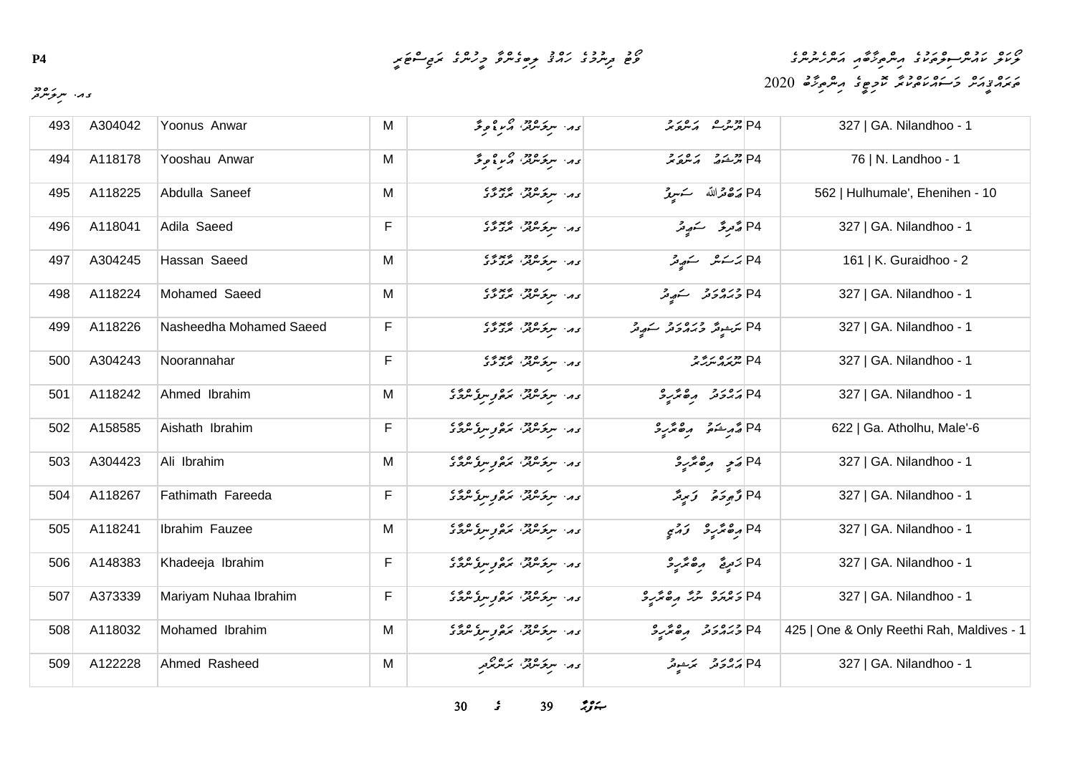*sCw7q7s5w7m< o<n9nOoAw7o< sCq;mAwBoEw7q<m; wBm;vB* م من المرة المرة المرة المرجع المرجع في المركبة 2020<br>مجم*د المريض المربوط المربع المرجع في المراجع المركبة* 

| 493 | A304042 | Yoonus Anwar            | M           | ىمە سرىگەنگە كەنبا ئوڭ       | P4 ټرین په ټروند                                           | 327   GA. Nilandhoo - 1                   |
|-----|---------|-------------------------|-------------|------------------------------|------------------------------------------------------------|-------------------------------------------|
| 494 | A118178 | Yooshau Anwar           | M           | ىمە سىزىكىن كەرەپمۇ          | P4 ترشيه برمبر د                                           | 76   N. Landhoo - 1                       |
| 495 | A118225 | Abdulla Saneef          | M           | وړ سرنوسونې نورونه د د       | P4 ض&قرالله سَمْسِيْرٌ                                     | 562   Hulhumale', Ehenihen - 10           |
| 496 | A118041 | Adila Saeed             | F           | ى پەر سوپۇسۇق ئەممەي ب       | P4 صَّعِرة سَمَّدٍ صَ                                      | 327   GA. Nilandhoo - 1                   |
| 497 | A304245 | Hassan Saeed            | M           | ى پەر سوپۇشۇش ئىرى بۈرى      | P4 پرستمبر سنہ <i>و</i> تر                                 | 161   K. Guraidhoo - 2                    |
| 498 | A118224 | Mohamed Saeed           | M           | ى دا سرىگەنى ئەندە ئ         | P4 <i>322.5 مئير شورة</i>                                  | 327   GA. Nilandhoo - 1                   |
| 499 | A118226 | Nasheedha Mohamed Saeed | $\mathsf F$ | .<br>۱۸۶ سرخ سربی مرد برد در | P4 سَرَشِيعٌ وَبَرَبَرُونَرَ سَرَرٍيْرَ                    | 327   GA. Nilandhoo - 1                   |
| 500 | A304243 | Noorannahar             | $\mathsf F$ | وړ سرنوسونې نورونه د د       | P4 تېر <i>ىز مەرتى</i> ر                                   | 327   GA. Nilandhoo - 1                   |
| 501 | A118242 | Ahmed Ibrahim           | M           | ىمەسىرىكەن ئىتمى سىرىمى ئ    | P4  رَبْر دَ مَر مِرْهُ بَرْرِ دَ                          | 327   GA. Nilandhoo - 1                   |
| 502 | A158585 | Aishath Ibrahim         | F           | ى مەسرىكەن ئىھىمەس ھەم       | P4 مەم شەھ مەھەر ي <sup>و</sup>                            | 622   Ga. Atholhu, Male'-6                |
| 503 | A304423 | Ali Ibrahim             | M           | ى مەسرىكەن ئىھىمەس ھەم       | P4 <i>ڇَجِ په ڇُئ</i> ِ و                                  | 327   GA. Nilandhoo - 1                   |
| 504 | A118267 | Fathimath Fareeda       | F           | ى مەسرىكەن ئىھىمەس ھەم       | P4 وَج <i>وحَمْ وَم</i> ِيمَّر                             | 327   GA. Nilandhoo - 1                   |
| 505 | A118241 | Ibrahim Fauzee          | M           | ى مەسرىكەن ئىھىمەس ھەم       | P4  <sub>مەھ</sub> مَّر <sub>ىپ</sub> و ز <sup>و</sup> مىي | 327   GA. Nilandhoo - 1                   |
| 506 | A148383 | Khadeeja Ibrahim        | F           | ىمەسىرىكەن ئىتروپىلاشقا      | P4 دَمِيعٌ مِنْ صُرِّرِ \$                                 | 327   GA. Nilandhoo - 1                   |
| 507 | A373339 | Mariyam Nuhaa Ibrahim   | F           | ى مەسرىكەن ئىقجۇ سرىم ھەم    |                                                            | 327   GA. Nilandhoo - 1                   |
| 508 | A118032 | Mohamed Ibrahim         | M           | ىمە سۆس بەرەپ مەدەب          | P4 ديرورو مەھرىرى                                          | 425   One & Only Reethi Rah, Maldives - 1 |
| 509 | A122228 | Ahmed Rasheed           | M           | ىە سۆسىگە ئەسمە              | P4 كەبرى كىم ئىر ئىرىدىگر                                  | 327   GA. Nilandhoo - 1                   |

**30** *s* **39** *n***<sub>s</sub>**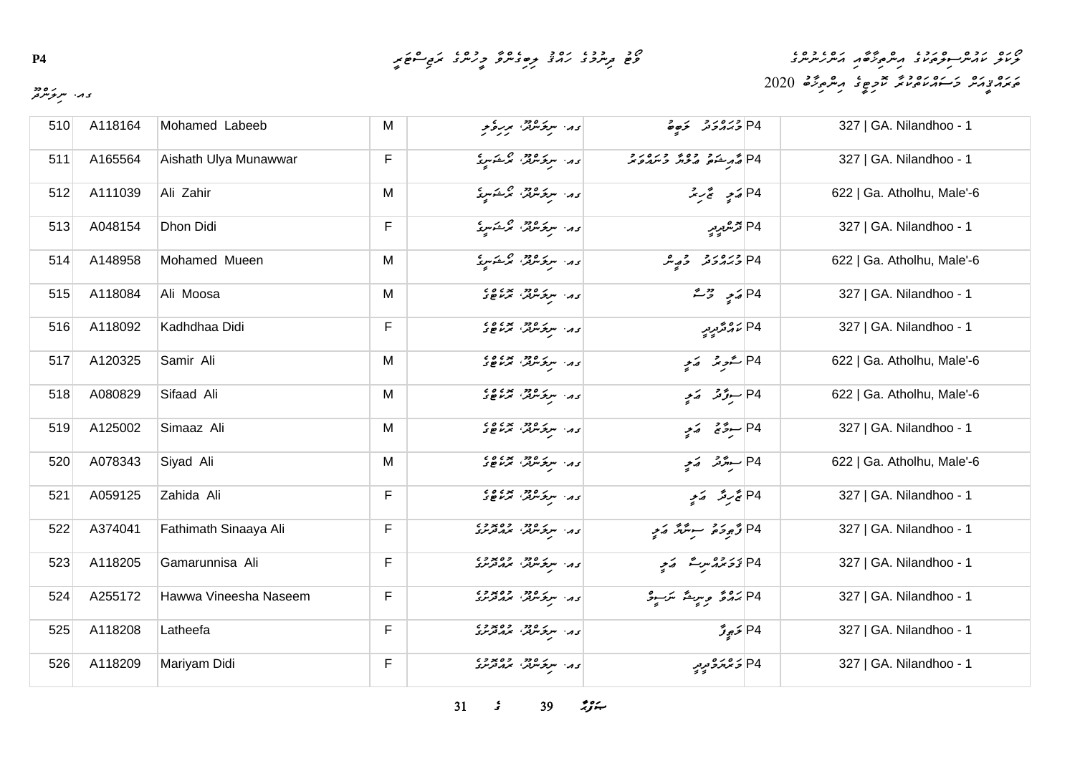*sCw7q7s5w7m< o<n9nOoAw7o< sCq;mAwBoEw7q<m; wBm;vB* م من المرة المرة المرة المرجع المرجع في المركبة 2020<br>مجم*د المريض المربوط المربع المرجع في المراجع المركبة* 

| 510 | A118164 | Mohamed Labeeb        | M            | ىمە سرىگەنگە مرىر ئومۇ                        | P4 دُبَرْدَدَتْرَ تَحْرَمُوْهُ    | 327   GA. Nilandhoo - 1    |
|-----|---------|-----------------------|--------------|-----------------------------------------------|-----------------------------------|----------------------------|
| 511 | A165564 | Aishath Ulya Munawwar | $\mathsf F$  | ى مەسرىكرىلىق ئوسكەسىگە                       | P4 مەم شەم مەم ئەمدە دىر          | 327   GA. Nilandhoo - 1    |
| 512 | A111039 | Ali Zahir             | M            | ىم سرىگەنى ئۇخەسرى                            | P4 <i>ھَ۔</i> جَ سِمَّر           | 622   Ga. Atholhu, Male'-6 |
| 513 | A048154 | Dhon Didi             | $\mathsf{F}$ | ى مەسىرى ئىگەن ئىگەنلىرى ئى                   | .<br>P4 قريرور                    | 327   GA. Nilandhoo - 1    |
| 514 | A148958 | Mohamed Mueen         | M            | ى ئەستۇش ئۇي ئىسكىرى                          | P4  دېرو د د و پر                 | 622   Ga. Atholhu, Male'-6 |
| 515 | A118084 | Ali Moosa             | M            | ى مەستىر سىر سىر ئ                            | P4 <sub>ھ</sub> ُنوِ جُنَّتُ      | 327   GA. Nilandhoo - 1    |
| 516 | A118092 | Kadhdhaa Didi         | F            | ى مەستىر سىر سىر ئ                            | P4   مَ وُقَرِّمِرِ مِرِ          | 327   GA. Nilandhoo - 1    |
| 517 | A120325 | Samir Ali             | M            | ى مەستىر سىر سىر ئەل                          | P4 گجويز ک <i>ړې</i>              | 622   Ga. Atholhu, Male'-6 |
| 518 | A080829 | Sifaad Ali            | M            | ورستومبرد برنام                               | P4 سودٌ مَد صَدِ                  | 622   Ga. Atholhu, Male'-6 |
| 519 | A125002 | Simaaz Ali            | M            | ورستوش بردود                                  | P4 سوڈی کھیے                      | 327   GA. Nilandhoo - 1    |
| 520 | A078343 | Siyad Ali             | M            | ورستوش بردود                                  | P4 س <i>وژنر م</i> َرمٍ           | 622   Ga. Atholhu, Male'-6 |
| 521 | A059125 | Zahida Ali            | $\mathsf{F}$ | در سرگرس در ۲۶۵ وی                            | P4 تج برقد - <sub>م</sub> حرم بر  | 327   GA. Nilandhoo - 1    |
| 522 | A374041 | Fathimath Sinaaya Ali | F            | وړ سرنومونو وه يوه وه<br>وړ سرنومونو مرد ترمر | P4 ژ <sub>ّجو</sub> ځنم سوشر زمني | 327   GA. Nilandhoo - 1    |
| 523 | A118205 | Gamarunnisa Ali       | $\mathsf{F}$ | در سرپژمرن ده ده بدد .<br>در سرپژمرن مرد ترس  | P4 تزىر <i>مەربىشەھى</i> چ        | 327   GA. Nilandhoo - 1    |
| 524 | A255172 | Hawwa Vineesha Naseem | $\mathsf F$  | در سرپژسرین بردوری<br>  در سرپژسرین بردورس    | P4 كَيْرُهُمُ وَسِرِيقُ مَرَسِودُ | 327   GA. Nilandhoo - 1    |
| 525 | A118208 | Latheefa              | $\mathsf{F}$ | در سرپژمرتر، بردورد.<br>در سرپژمرتر، بردوربرد | P4 كَرْجِوگر                      | 327   GA. Nilandhoo - 1    |
| 526 | A118209 | Mariyam Didi          | F            | وړ سربوسربی وه یو وه<br>وړ سربوسربی مرد ترس   | P4  كەچرىك <sub>ە</sub> تورىيە    | 327   GA. Nilandhoo - 1    |

**31** *s* **39** *n***<sub>s</sub> <b>***n*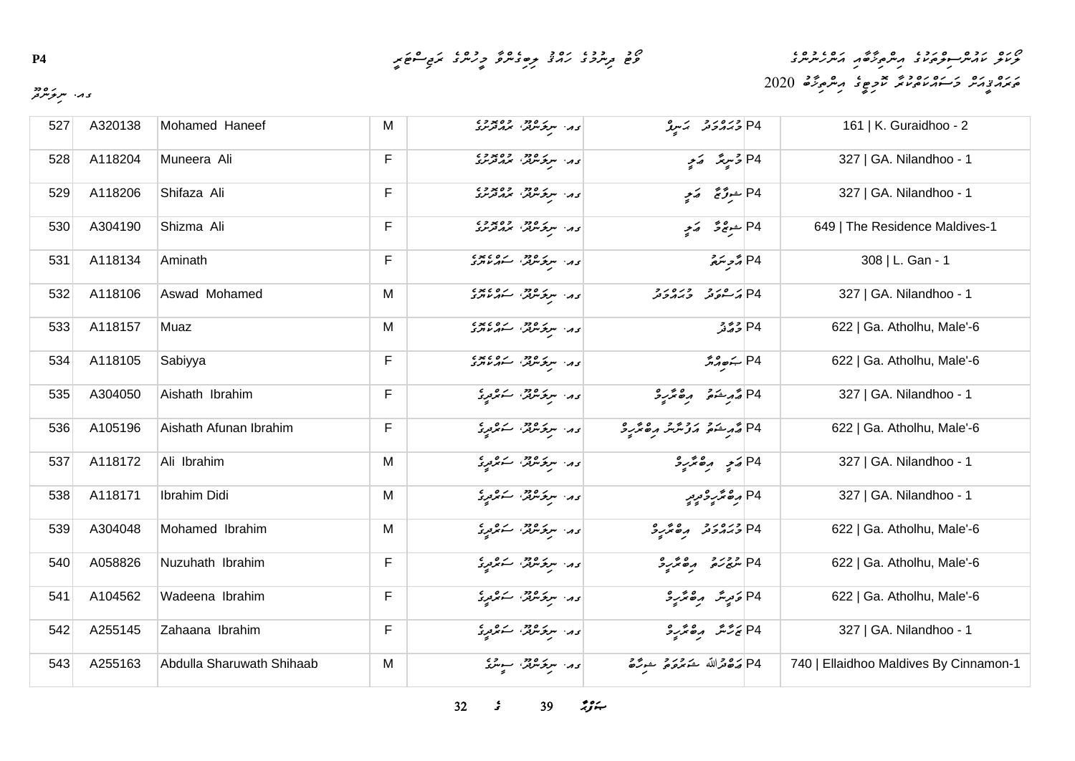*sCw7q7s5w7m< o<n9nOoAw7o< sCq;mAwBoEw7q<m; wBm;vB* م من المرة المرة المرة المرجع المرجع في المركبة 2020<br>مجم*د المريض المربوط المربع المرجع في المراجع المركبة* 

| 527 | A320138 | Mohamed Haneef            | M            | وړ٠ سربوسرتر٬ وه پود و                               | P4 \$ 32,25 سَرِيق                                    | 161   K. Guraidhoo - 2                 |
|-----|---------|---------------------------|--------------|------------------------------------------------------|-------------------------------------------------------|----------------------------------------|
| 528 | A118204 | Muneera Ali               | $\mathsf F$  | وړ . سربوسربو . وه پوو ،<br>وړ . سربوسربو . مربر ترس | P4 دُسِمَّہ کہ یہ                                     | 327   GA. Nilandhoo - 1                |
| 529 | A118206 | Shifaza Ali               | F            | وړ . سربوسربو . وه پوو ،<br>وړ . سربوسربو . مربر ترس | P4 شو <i>رٌجَ م</i> َر <sub>َمٍ</sub>                 | 327   GA. Nilandhoo - 1                |
| 530 | A304190 | Shizma Ali                | $\mathsf F$  | وه به مرکز ده ده بدوه<br>وه مرکز مرکز مرد ترمرد      | P4 شوچ تر کرم پر                                      | 649   The Residence Maldives-1         |
| 531 | A118134 | Aminath                   | F            | وړ سرخس کره وره ور                                   | P4 مُج بَنَعْهِ                                       | 308   L. Gan - 1                       |
| 532 | A118106 | Aswad Mohamed             | M            | وړ سربوسربی کے ملازی                                 | P4 كەسىر بول دىرە دىر                                 | 327   GA. Nilandhoo - 1                |
| 533 | A118157 | Muaz                      | M            | وړ سربوسربې کره ۶۶۲ و.<br>د پر سربوسربر              | P4 ترڅنگر                                             | 622   Ga. Atholhu, Male'-6             |
| 534 | A118105 | Sabiyya                   | F            | وړ سربوسربې کره ۶۶۲ و.<br>د پر سربوسربر              | $22.2$ P4                                             | 622   Ga. Atholhu, Male'-6             |
| 535 | A304050 | Aishath Ibrahim           | $\mathsf F$  | ى مەسرىكەنلەر ئەسكەرى                                | P4 مەم شەھ مەھەرد                                     | 327   GA. Nilandhoo - 1                |
| 536 | A105196 | Aishath Afunan Ibrahim    | $\mathsf F$  | ى مەسرىكەنلەر ئىسكەرى                                | P4 مەم شەم مەر مەمگەر مەھەر بو                        | 622   Ga. Atholhu, Male'-6             |
| 537 | A118172 | Ali Ibrahim               | M            | ى مەسرىكەنلەر كەنبەرى                                | P4 <i>ڇَجِ په ڇُئپ</i> و                              | 327   GA. Nilandhoo - 1                |
| 538 | A118171 | <b>Ibrahim Didi</b>       | M            | ى مەسرىكەنلەر كەنبەرى                                | P4 مەھ ئۇر دىرىر                                      | 327   GA. Nilandhoo - 1                |
| 539 | A304048 | Mohamed Ibrahim           | M            | ى مەسرىكەنلەر كەنبەرى                                | P4  <i>درەرو م</i> ەھرىرى                             | 622   Ga. Atholhu, Male'-6             |
| 540 | A058826 | Nuzuhath Ibrahim          | $\mathsf F$  | ى مەسرىكەنلەر ئەسكەرى                                |                                                       | 622   Ga. Atholhu, Male'-6             |
| 541 | A104562 | Wadeena Ibrahim           | $\mathsf{F}$ | ى مەسرىكرى ئىگەرى                                    | P4 كۆمىرىگە مەھەمگەرى <sub>د</sub> ى                  | 622   Ga. Atholhu, Male'-6             |
| 542 | A255145 | Zahaana Ibrahim           | $\mathsf F$  | ى مەسرىكەنلەش كەنگەرى                                | P4 ئۈر ئىگە مەھ <i>مگرى</i> ۋ                         | 327   GA. Nilandhoo - 1                |
| 543 | A255163 | Abdulla Sharuwath Shihaab | M            | ى يە سوڭسىڭ سېشى                                     | P4 يَرْجْعَرْاللَّهُ شَوَمِرْحَ مِّ شَ <i>رْحَ</i> حَ | 740   Ellaidhoo Maldives By Cinnamon-1 |

**32** *s* **39** *n***<sub>s</sub>***n***<sub>s</sub>**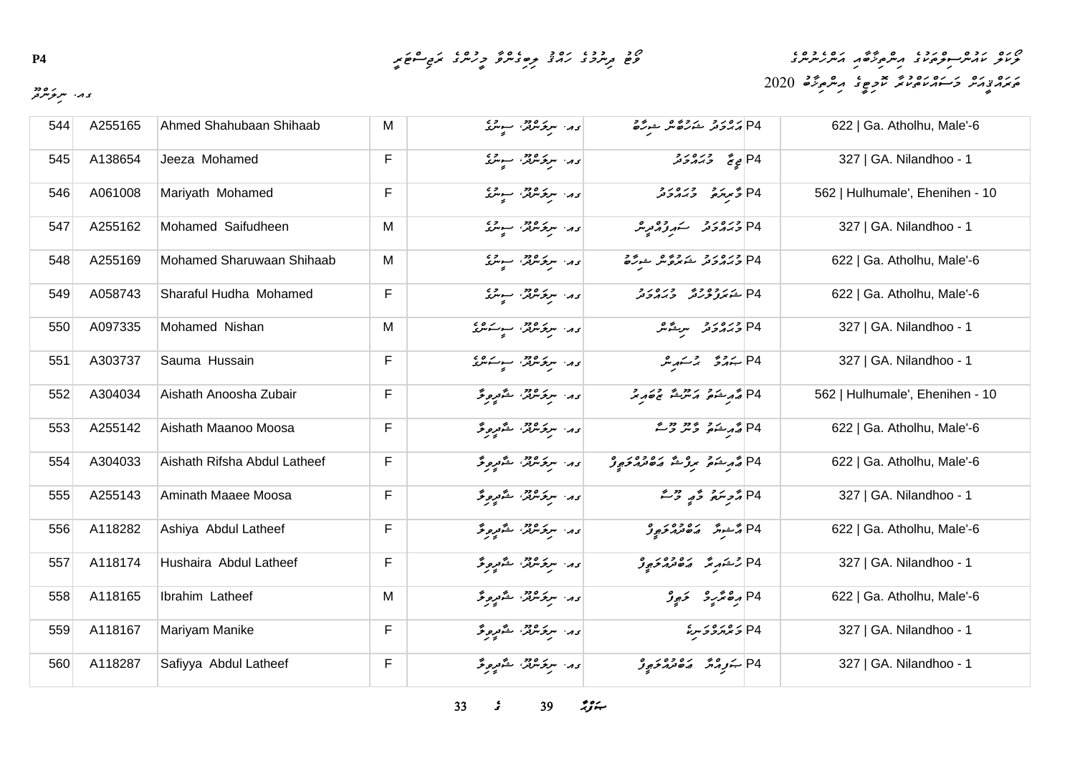*sCw7q7s5w7m< o<n9nOoAw7o< sCq;mAwBoEw7q<m; wBm;vB* م من المسجد المسجد المسجد المسجد المسجد العام 2020<br>مسجد المسجد المسجد المسجد المسجد المسجد المسجد المسجد المسجد ال

| 544 | A255165 | Ahmed Shahubaan Shihaab      | M           | ى يە سوڭلىرىش سولىرىگە      | P4   پر بر دی گردگانگر شوگرہ               | 622   Ga. Atholhu, Male'-6      |
|-----|---------|------------------------------|-------------|-----------------------------|--------------------------------------------|---------------------------------|
| 545 | A138654 | Jeeza Mohamed                | F           | ى مەسرىگەنگە سوسرى          | P4 مي پچ د <i>جن</i> دوند                  | 327   GA. Nilandhoo - 1         |
| 546 | A061008 | Mariyath Mohamed             | F           | ى مەسرىكى ھەر ئەسرى         | P4 <i>وُسِهُمْ وَسُمُوَتَر</i>             | 562   Hulhumale', Ehenihen - 10 |
| 547 | A255162 | Mohamed Saifudheen           | M           | دە. سرگەشلىر، سوسرى         | P4 <i>32.5 كمبر قرومبر شهر ق</i> رير       | 327   GA. Nilandhoo - 1         |
| 548 | A255169 | Mohamed Sharuwaan Shihaab    | M           | دور سرگرسرفرم سوسری         | P4 وبروبر و مرکز شرکت شرکت                 | 622   Ga. Atholhu, Male'-6      |
| 549 | A058743 | Sharaful Hudha Mohamed       | $\mathsf F$ | ا دە. سركۇشۇش سوسرى         | P4 شەيروەرەر بەرەردە چەرەپىر               | 622   Ga. Atholhu, Male'-6      |
| 550 | A097335 | Mohamed Nishan               | M           | ى مەسرىكرىلىقى سوسكىلىكى    | P4 <i>وُبروونو</i> سِيشَمَّر               | 327   GA. Nilandhoo - 1         |
| 551 | A303737 | Sauma Hussain                | F           | ور سرخسیں سوسکسی            | P4 جن <sub>د</sub> ومح بر مشهر مثر         | 327   GA. Nilandhoo - 1         |
| 552 | A304034 | Aishath Anoosha Zubair       | $\mathsf F$ | ى بەر سرىۋىترى ھەمرە ئ      | P4 مەم شەھ مەس شەھ بىھ بىر                 | 562   Hulhumale', Ehenihen - 10 |
| 553 | A255142 | Aishath Maanoo Moosa         | $\mathsf F$ | دە. سرىگرىقى شەرەپ          | P4 مەم شەھ كەنتر كەشتە                     | 622   Ga. Atholhu, Male'-6      |
| 554 | A304033 | Aishath Rifsha Abdul Latheef | $\mathsf F$ | دە. سرىگەنگە ھەمرە ئ        | P4 مُستَوْمٌ مِرْكَتْ مُصْرِمْ مُحِيرٌ     | 622   Ga. Atholhu, Male'-6      |
| 555 | A255143 | Aminath Maaee Moosa          | F           | ى بەسىرىگەنىڭ ھەمرە ئى      | P4 مُوسَع وُمٍ وَسَمَّ                     | 327   GA. Nilandhoo - 1         |
| 556 | A118282 | Ashiya Abdul Latheef         | $\mathsf F$ | ى مەسىر ئىرلىرى ئىشتېر بولۇ | P4 مُشِيعٌ مُصْرَمْ مُحْجَوْرٌ             | 622   Ga. Atholhu, Male'-6      |
| 557 | A118174 | Hushaira Abdul Latheef       | $\mathsf F$ | ى بەر سرىۋىترى ھەمرە ئ      | P4 جَسْمَهِ مَدَّ مَصْعَرْ مَعْرَفَ مِي وَ | 327   GA. Nilandhoo - 1         |
| 558 | A118165 | Ibrahim Latheef              | M           | ى بە سرىۋىترىش شەيرە ئ      | P4 مەھەمگەيى ئىمب <i>و</i> ر               | 622   Ga. Atholhu, Male'-6      |
| 559 | A118167 | Mariyam Manike               | $\mathsf F$ | دەسرىق سەھرەتى              | P4 كەنگە <i>مەڭگەنى</i> ر                  | 327   GA. Nilandhoo - 1         |
| 560 | A118287 | Safiyya Abdul Latheef        | F           | ى مەسىرىكەنلەر ھەمدە ئى     | P4 ب <i>ەرەش مەمەم كې</i> رو               | 327   GA. Nilandhoo - 1         |

**33** *s* **39** *n***<sub>y</sub> <b>***n*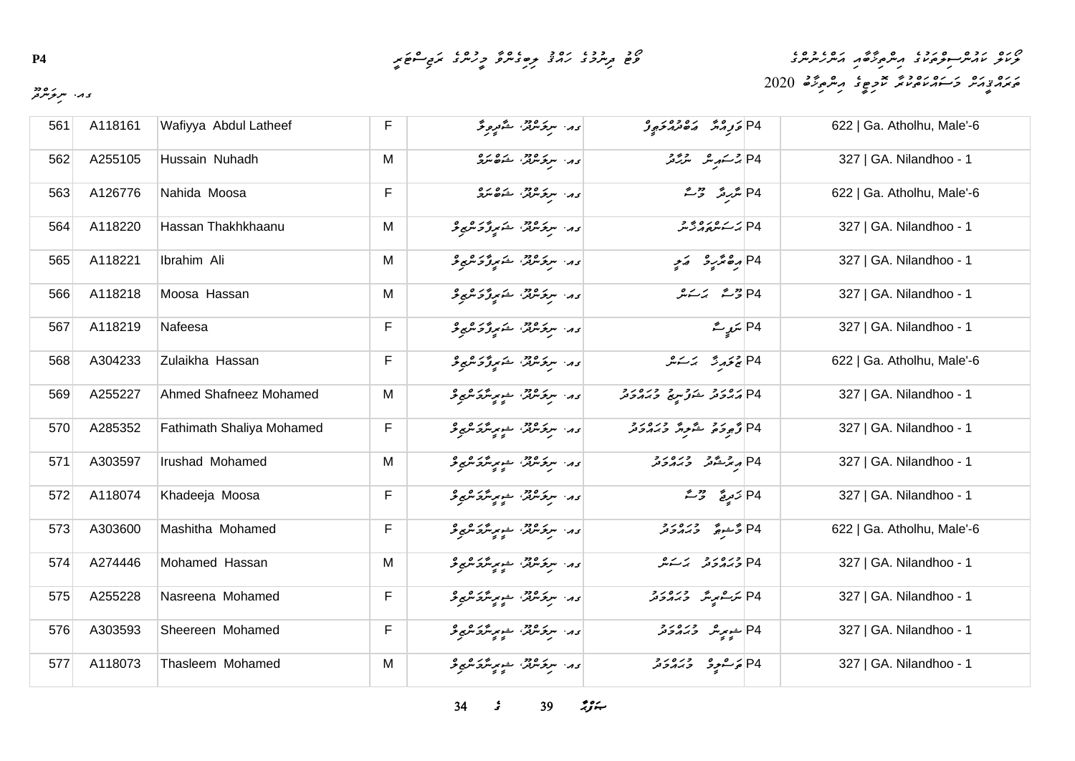*sCw7q7s5w7m< o<n9nOoAw7o< sCq;mAwBoEw7q<m; wBm;vB* م من المرة المرة المرة المرجع المرجع في المركبة 2020<br>مجم*د المريض المربوط المربع المرجع في المراجع المركبة* 

| 561 | A118161 | Wafiyya Abdul Latheef     | F | ى مەسىرى ئىرگە ئىش ئىر بولۇ                                                                                    | P4 <i>قَرِمْهُ مُ</i> مُقْرَ <i>مُ جَمِيْ</i> رُ                                                                                                                                                                                 | 622   Ga. Atholhu, Male'-6 |
|-----|---------|---------------------------|---|----------------------------------------------------------------------------------------------------------------|----------------------------------------------------------------------------------------------------------------------------------------------------------------------------------------------------------------------------------|----------------------------|
| 562 | A255105 | Hussain Nuhadh            | M | ى مەسرىكرىلىقى ئەھلىرى                                                                                         | P4 بر مسمور شرکت میں محمد اللہ ا                                                                                                                                                                                                 | 327   GA. Nilandhoo - 1    |
| 563 | A126776 | Nahida Moosa              | F | ى مەسىر ئەرەبى ئەھ ئىرو                                                                                        | P4 بَدَّرِيدٌ حَيْثٌ                                                                                                                                                                                                             | 622   Ga. Atholhu, Male'-6 |
| 564 | A118220 | Hassan Thakhkhaanu        | M | ىمە سىگەنگە خىمىرگەكلىمى گ                                                                                     | P4 ئەسىر مەرەبچە بىر                                                                                                                                                                                                             | 327   GA. Nilandhoo - 1    |
| 565 | A118221 | Ibrahim Ali               | M | ىمە سىگەنگە خىمىرگەكلىمى گ                                                                                     | P4 ب <i>رھنڙپ</i> و <i>پي</i> و                                                                                                                                                                                                  | 327   GA. Nilandhoo - 1    |
| 566 | A118218 | Moosa Hassan              | M | ىمە سۆسى ئىسكىرۇكىلىدۇ                                                                                         | P4 خرمے پر میر                                                                                                                                                                                                                   | 327   GA. Nilandhoo - 1    |
| 567 | A118219 | Nafeesa                   | F | ىمە سۆسى ئىسكىرۇكىلىدۇ                                                                                         | P4 سَمِي مَّہُ                                                                                                                                                                                                                   | 327   GA. Nilandhoo - 1    |
| 568 | A304233 | Zulaikha Hassan           | F | ىمە سىگەنگە خىمىرگەكلىمى گ                                                                                     | P4 تح تحرم بحر محد شرکت بر استر بر استر بر استر بر استر بر استر بر استر بر استر بر استر بر استر بر استر بر است<br>مستر بر استر بر استر بر استر بر استر بر استر بر استر بر استر بر استر بر استر بر استر بر استر بر استر بر استر ب | 622   Ga. Atholhu, Male'-6 |
| 569 | A255227 | Ahmed Shafneez Mohamed    | M | ىما سركاندا شومرسكى سى كى                                                                                      | P4 ג' <i>ב</i> ב شور سرچ و د د د د                                                                                                                                                                                               | 327   GA. Nilandhoo - 1    |
| 570 | A285352 | Fathimath Shaliya Mohamed | F | ى مەسرى ئىرگى سىيە ئىر ئىگرى ئىرىم ئى                                                                          | P4 تُجِرِّدَةً شُعِرَةً وَبَرَمُرُونَز                                                                                                                                                                                           | 327   GA. Nilandhoo - 1    |
| 571 | A303597 | Irushad Mohamed           | M | ى يەر سۆكىرى سوپرىگە كىرى ئ                                                                                    | P4 مریزشکس ویره در د                                                                                                                                                                                                             | 327   GA. Nilandhoo - 1    |
| 572 | A118074 | Khadeeja Moosa            | F | ىما سركانترنى سوبر سركا سراكو                                                                                  | P4 زَمرِيحٌ حَمْ شَمَّ                                                                                                                                                                                                           | 327   GA. Nilandhoo - 1    |
| 573 | A303600 | Mashitha Mohamed          | F | ى مەسىر كەرەم ھەم ئىر كىرى كى                                                                                  | P4 ۇھبۇ <i>دېزەدىر</i>                                                                                                                                                                                                           | 622   Ga. Atholhu, Male'-6 |
| 574 | A274446 | Mohamed Hassan            | M | ى مەسرى ئىرگى سىي ئىر ئىر ئىر ئىر ئىر ئىر                                                                      | P4 دېم د دي برک مر                                                                                                                                                                                                               | 327   GA. Nilandhoo - 1    |
| 575 | A255228 | Nasreena Mohamed          | F | ى مەسىر كەرەم ھەم ئىر كىلىمى ئى                                                                                | P4 ىترىشمېرىش تە <i>مەدەت</i> ر                                                                                                                                                                                                  | 327   GA. Nilandhoo - 1    |
| 576 | A303593 | Sheereen Mohamed          | F | ى مەسرىكى ئىش سىر ئىگە ئىگەنچە ئىگەن ئىگەن ئىگەن ئىگەن ئىگەن ئىگەن ئىگەن ئىگەن ئىگەن ئىگەن ئىگەن ئىگەن ئىگەن ئ | P4 ڪيپرين <i>دي ور</i> و                                                                                                                                                                                                         | 327   GA. Nilandhoo - 1    |
| 577 | A118073 | Thasleem Mohamed          | M | ى يەر سركەنگەن ھېرسگەكسى گ                                                                                     | P4  ي مشموٍ حدد المحمد حالم المحمد الم                                                                                                                                                                                           | 327   GA. Nilandhoo - 1    |

**34** *s* 39  $23$  *n*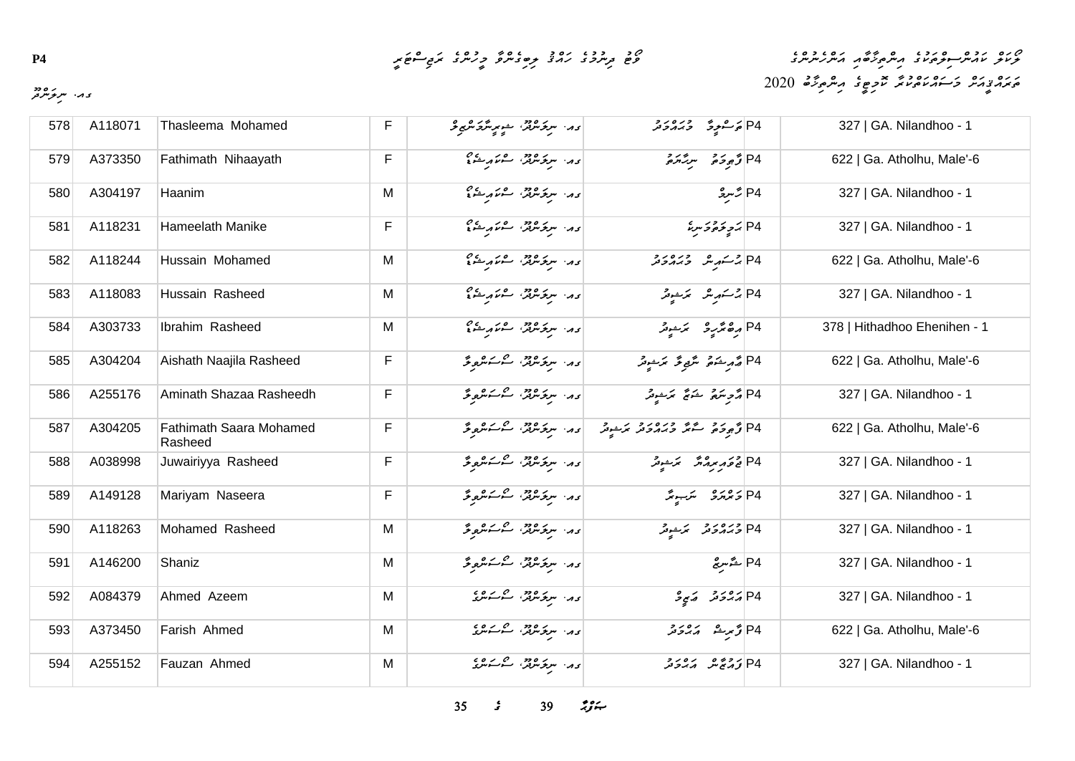*sCw7q7s5w7m< o<n9nOoAw7o< sCq;mAwBoEw7q<m; wBm;vB* م من المسجد المسجد المسجد المسجد المسجد العام 2020<br>مسجد المسجد المسجد المسجد المسجد المسجد المسجد المسجد المسجد ال

| 578 | A118071 | Thasleema Mohamed                  | F           | ى يەر سۆكەتكە ھېرىگە كىلى ئى | P4  يَرْسُوِيَّ - وَبَرْدُوَيْرَ               | 327   GA. Nilandhoo - 1      |
|-----|---------|------------------------------------|-------------|------------------------------|------------------------------------------------|------------------------------|
| 579 | A373350 | Fathimath Nihaayath                | F           | ور سروسرين سركرمشره          | P4 وَّجِوحَةَ مِسْرَمَّةٍ                      | 622   Ga. Atholhu, Male'-6   |
| 580 | A304197 | Haanim                             | M           | ور سروسرين سن ريم            | P4 گېږ§                                        | 327   GA. Nilandhoo - 1      |
| 581 | A118231 | Hameelath Manike                   | F           | ى مەسرى مەركى ئىس ئى         | P4   يَرجٍ وَجُودَ سِرْءَ                      | 327   GA. Nilandhoo - 1      |
| 582 | A118244 | Hussain Mohamed                    | M           | ور سركر مركز كريم كرديم      | P4 يُرْسَمْ مِنْ وَيَرْدُونَدْ                 | 622   Ga. Atholhu, Male'-6   |
| 583 | A118083 | Hussain Rasheed                    | M           | ور سروسرين سماير دي          | P4 پرڪيريش ڪرش <sub>ي</sub> وٽر                | 327   GA. Nilandhoo - 1      |
| 584 | A303733 | Ibrahim Rasheed                    | M           | ور سروسرين سنذري             | P4 مەھەرىرى كىيىسى بىر                         | 378   Hithadhoo Ehenihen - 1 |
| 585 | A304204 | Aishath Naajila Rasheed            | F           | ىم سركر موجود كەسكىرىدىگر    | P4 مَّەمِ شَمَعٌ مِّسْمَعٍ مَّى مَرْسُونْد     | 622   Ga. Atholhu, Male'-6   |
| 586 | A255176 | Aminath Shazaa Rasheedh            | F           | ىم سركرودى كەسكىرى ئى        | P4 مَّ حِ سَمَّةً حَسَّةً سَمَّتَ حَمَّةٍ مِنْ | 327   GA. Nilandhoo - 1      |
| 587 | A304205 | Fathimath Saara Mohamed<br>Rasheed | F           | دەسرىۋىلوقۇ، سەسكىلىھونج     | P4 وَجِعِدَةٍ صَمَعٌ وَرَهِ رَوْ يَرْسُونَ     | 622   Ga. Atholhu, Male'-6   |
| 588 | A038998 | Juwairiyya Rasheed                 | $\mathsf F$ | ىم سركر موجود كەسكىرىدىگر    | P4 في <i>قرم بعره مگر م</i> حر شونتر           | 327   GA. Nilandhoo - 1      |
| 589 | A149128 | Mariyam Naseera                    | F           | ىم سركر موجود كەسكىرىدىگر    | P4 <i>قاندە</i> ر ھەسىبەتر                     | 327   GA. Nilandhoo - 1      |
| 590 | A118263 | Mohamed Rasheed                    | M           | ىم سركر موجود كەسكىرىدىگر    | P4 <i>\$22.2 برّىغونر</i>                      | 327   GA. Nilandhoo - 1      |
| 591 | A146200 | Shaniz                             | M           | ى مەسكەن ئەسكەر ئە           | P4 ڪشبرچ                                       | 327   GA. Nilandhoo - 1      |
| 592 | A084379 | Ahmed Azeem                        | M           | ى سوكى بولادى كەن كەن        | P4 كەندى قىرىم ئىلىن ئىل                       | 327   GA. Nilandhoo - 1      |
| 593 | A373450 | Farish Ahmed                       | M           | ىد. سرىر مەر ھىكەندى         | P4 وَمَرِيْثَةَ مَدَّدَوْرَ                    | 622   Ga. Atholhu, Male'-6   |
| 594 | A255152 | Fauzan Ahmed                       | M           | ى مەسرىكرى ھەر ھەر           | P4 زَرَجَ شَرَ دَرَ حَرَ مَرَ                  | 327   GA. Nilandhoo - 1      |

**35** *s* 39 *n***<sub>y</sub>** *n***<sub>y</sub>**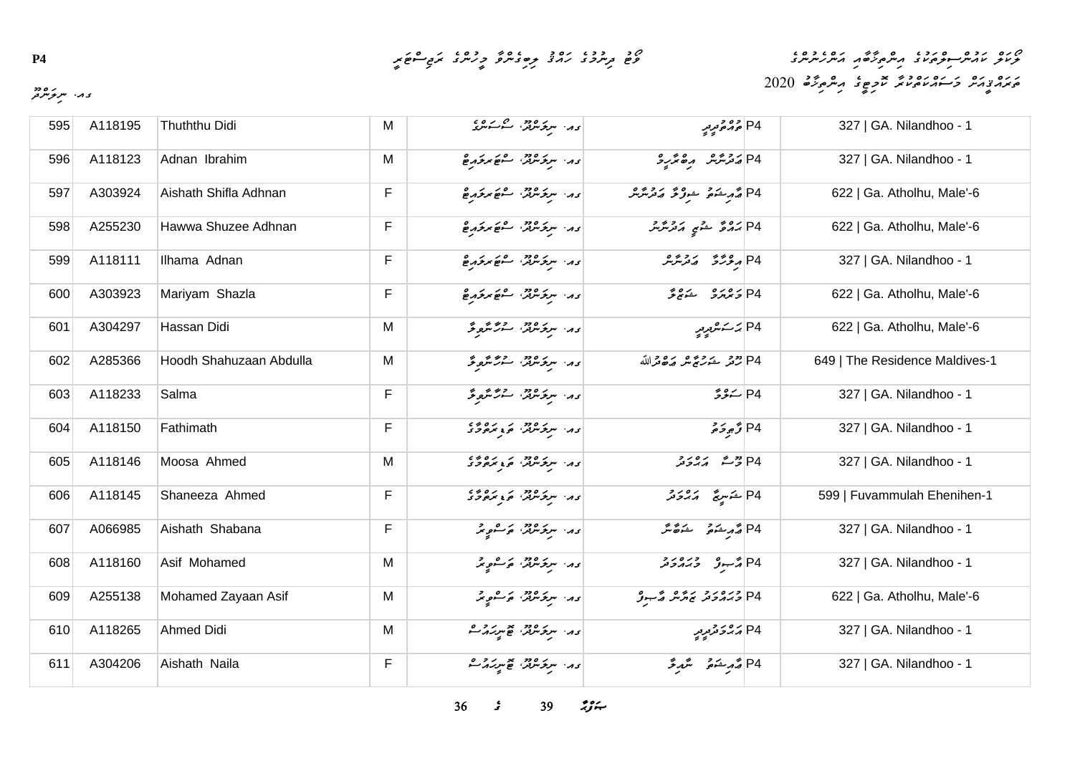*sCw7q7s5w7m< o<n9nOoAw7o< sCq;mAwBoEw7q<m; wBm;vB 2020*<br>*په پوهر وسوډيرونو لومو د موجو د مرمونه* 2020

| 595 | A118195 | <b>Thuththu Didi</b>    | M           | وړ. سروسري کرکسوره د                             | P4 ۾ ۾ جو مرمر                               | 327   GA. Nilandhoo - 1        |
|-----|---------|-------------------------|-------------|--------------------------------------------------|----------------------------------------------|--------------------------------|
| 596 | A118123 | Adnan Ibrahim           | M           | ومن سركر مردم المستضمر كرمر هي                   | P4 كەنترىترىتر ب <i>ەھ ئ</i> رىرى            | 327   GA. Nilandhoo - 1        |
| 597 | A303924 | Aishath Shifla Adhnan   | F           | ور سروسرين سكوروه                                | P4 ۾ پرڪو ڪوري ڪورگريگر                      | 622   Ga. Atholhu, Male'-6     |
| 598 | A255230 | Hawwa Shuzee Adhnan     | $\mathsf F$ | ور سروسرتى سقط مركز مى                           | P4 كەشرىگە شەيپە مەنىرىكىتىر                 | 622   Ga. Atholhu, Male'-6     |
| 599 | A118111 | Ilhama Adnan            | F           | ىم سركر موجد مى مركز مى                          | P4 م <i>وترڈ مقرنٹرنٹر</i>                   | 327   GA. Nilandhoo - 1        |
| 600 | A303923 | Mariyam Shazla          | $\mathsf F$ | ور سروسرين سق مرکز مع                            | P4 كەندىرى ھەيمۇ                             | 622   Ga. Atholhu, Male'-6     |
| 601 | A304297 | Hassan Didi             | M           | ىمە سۆسرىل سەر شەھرىگە                           | P4 ټرسکوهیږی <sub>ږ</sub>                    | 622   Ga. Atholhu, Male'-6     |
| 602 | A285366 | Hoodh Shahuzaan Abdulla | M           | ىم سرىسى ئىگىگە ئ                                | P4 رُقْرٌ خَوْرَبَّجْ شَرْ مَرْهُ قَرْاللَّه | 649   The Residence Maldives-1 |
| 603 | A118233 | Salma                   | $\mathsf F$ | ىمە سرىر سەر ئەرگە ئىچە ئى                       | $332$ P4                                     | 327   GA. Nilandhoo - 1        |
| 604 | A118150 | Fathimath               | F           | ی در سرخ سرق کرده ده ده د                        | P4 وَجوحَد                                   | 327   GA. Nilandhoo - 1        |
| 605 | A118146 | Moosa Ahmed             | M           | وړ سرخسرن د ده ده.<br>د په سرخسرن د وه مروو د    | P4 تخريج بروبرد                              | 327   GA. Nilandhoo - 1        |
| 606 | A118145 | Shaneeza Ahmed          | F           | وړ سرخسرن د وه ده ده.<br>د په سرخسرن د وه مروح د | P4 ڪَسِرِيجَ <i>525</i> مَر                  | 599   Fuvammulah Ehenihen-1    |
| 607 | A066985 | Aishath Shabana         | F           | ىما سرىكى ئەس ئوم                                | P4 مُرْمِسْمَ صُوَّمَّرٌ                     | 327   GA. Nilandhoo - 1        |
| 608 | A118160 | Asif Mohamed            | M           | ىما سرىگەن كۆسۈم                                 | P4 مُسِورٌ وَيَمْدَوَنَّرَ                   | 327   GA. Nilandhoo - 1        |
| 609 | A255138 | Mohamed Zayaan Asif     | M           | ى مەسرىكرىلىقى كۆرگۈچى                           | P4 <i>دېره د د</i> په کار کاب                | 622   Ga. Atholhu, Male'-6     |
| 610 | A118265 | Ahmed Didi              | M           | ىد. سرىكى ئۇسرىر ئى                              | P4 كەبرى تۇتوپور                             | 327   GA. Nilandhoo - 1        |
| 611 | A304206 | Aishath Naila           | F           | ىد. سرىرتىرتى ھەسرىدە ئ                          | P4 مَّەرْ شَمَّةَ مَّسْرَدَّ                 | 327   GA. Nilandhoo - 1        |

**36** *s* 39 *n***<sub>3</sub> <b>***n*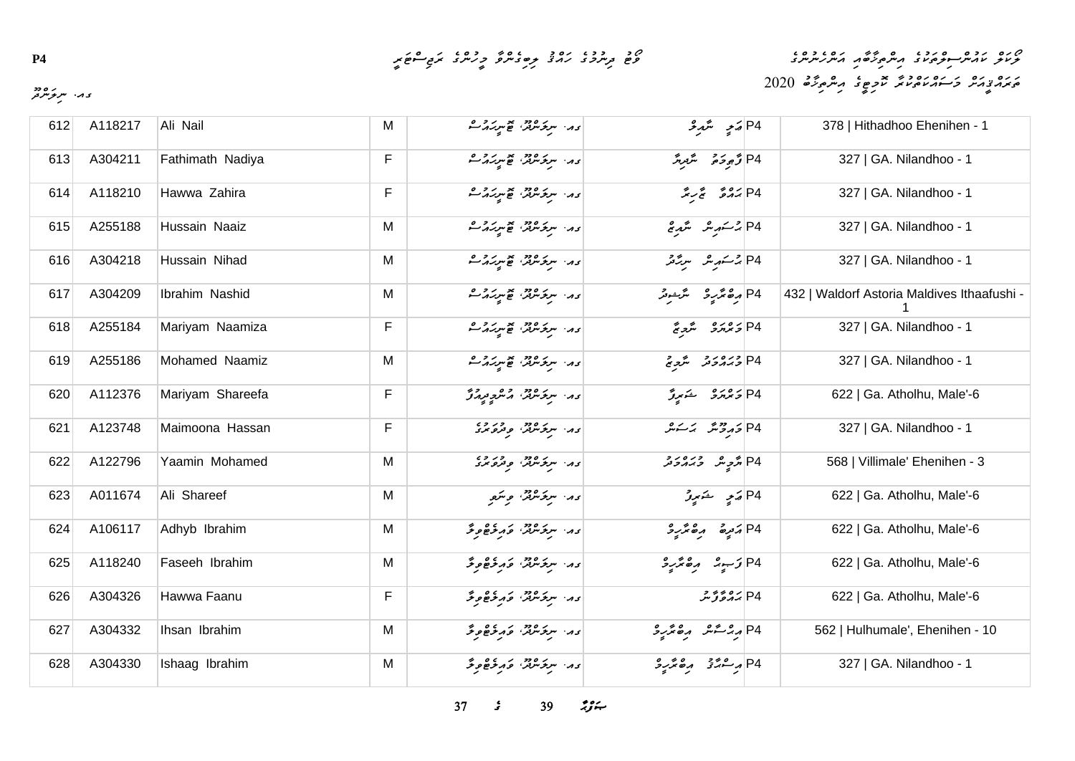*sCw7q7s5w7m< o<n9nOoAw7o< sCq;mAwBoEw7q<m; wBm;vB* م من المرة المرة المرة المرجع المرجع في المركبة 2020<br>مجم*د المريض المربوط المربع المرجع في المراجع المركبة* 

| 612 | A118217 | Ali Nail         | M            | ى مەسرىق سىز ئەسرىدىن ئىس  | P4 <i>ڇَ ڇَ سُمُ</i> ج                       | 378   Hithadhoo Ehenihen - 1                |
|-----|---------|------------------|--------------|----------------------------|----------------------------------------------|---------------------------------------------|
| 613 | A304211 | Fathimath Nadiya | F            | ور سروسربر، کم سربر و ه    | P4 <i>وَّجِ دَمَّةَ</i> سَمَّدِي <i>دَ</i> ّ | 327   GA. Nilandhoo - 1                     |
| 614 | A118210 | Hawwa Zahira     | F            | ور سروسرير المسرد و        | P4   يَهُرُّوَ مَعَ سِمَّرَ                  | 327   GA. Nilandhoo - 1                     |
| 615 | A255188 | Hussain Naaiz    | M            | ور سروسرير موسر و ه        | P4 بر <i>کے ہر بلہ مگر</i> یج                | 327   GA. Nilandhoo - 1                     |
| 616 | A304218 | Hussain Nihad    | M            | ىما سرىم مەدە سرىرو ق      |                                              | 327   GA. Nilandhoo - 1                     |
| 617 | A304209 | Ibrahim Nashid   | M            | ور سروسرير المسرد و        | P4 م <i>وھنڑر پ</i> و سگرشونٹر               | 432   Waldorf Astoria Maldives Ithaafushi - |
| 618 | A255184 | Mariyam Naamiza  | F            | ور سروسرير المسرد و        | P4  <i>5 بح</i> م <i>رد محمد مر</i> قح       | 327   GA. Nilandhoo - 1                     |
| 619 | A255186 | Mohamed Naamiz   | M            | ور سروسرير المسرد و        | P4 دېرو د سره پخ                             | 327   GA. Nilandhoo - 1                     |
| 620 | A112376 | Mariyam Shareefa | F            | ى ئەستۇس ئەھمە ئەھمىدىن ئە | P4 <i>وَ بُرْمَرْ وَ</i> سُمَبِر <i>ِوْ</i>  | 622   Ga. Atholhu, Male'-6                  |
| 621 | A123748 | Maimoona Hassan  | F            | در سرگرس و ترویر           | P4  <i>خەرق ئەسكىگ</i> ە                     | 327   GA. Nilandhoo - 1                     |
| 622 | A122796 | Yaamin Mohamed   | M            | در سرگرس و ترویر           | P4 مُرْحِ مُد دُبَرْ دَور د                  | 568   Villimale' Ehenihen - 3               |
| 623 | A011674 | Ali Shareef      | M            | ى مەسترىكى ئەسكى           | P4 <i>ھَ جِ</i> شَمَعِيوُنَ                  | 622   Ga. Atholhu, Male'-6                  |
| 624 | A106117 | Adhyb Ibrahim    | M            | ىم سركان بەر ئەھم          | P4 كەندە مەھەردى<br>P4                       | 622   Ga. Atholhu, Male'-6                  |
| 625 | A118240 | Faseeh Ibrahim   | M            | ىمە سرىگەنى قەر ئەھرىگە    | P4 وَسِدٍ مِنْ مِرْضِرَ مِنْ                 | 622   Ga. Atholhu, Male'-6                  |
| 626 | A304326 | Hawwa Faanu      | $\mathsf{F}$ | ىە سۆسى قەنبۇغۇر           | P4 پزوگو تر                                  | 622   Ga. Atholhu, Male'-6                  |
| 627 | A304332 | Ihsan Ibrahim    | M            | ىم سرومان قەر ئەھم         | P4 مربر شهر معانی میگرید                     | 562   Hulhumale', Ehenihen - 10             |
| 628 | A304330 | Ishaag Ibrahim   | M            | ىم سركر مەركە ئۇر كەنگە    | P4 م <i>وسٹی تقویم میں می</i> ر              | 327   GA. Nilandhoo - 1                     |

**37** *s* 39 *n***<sub>s</sub>**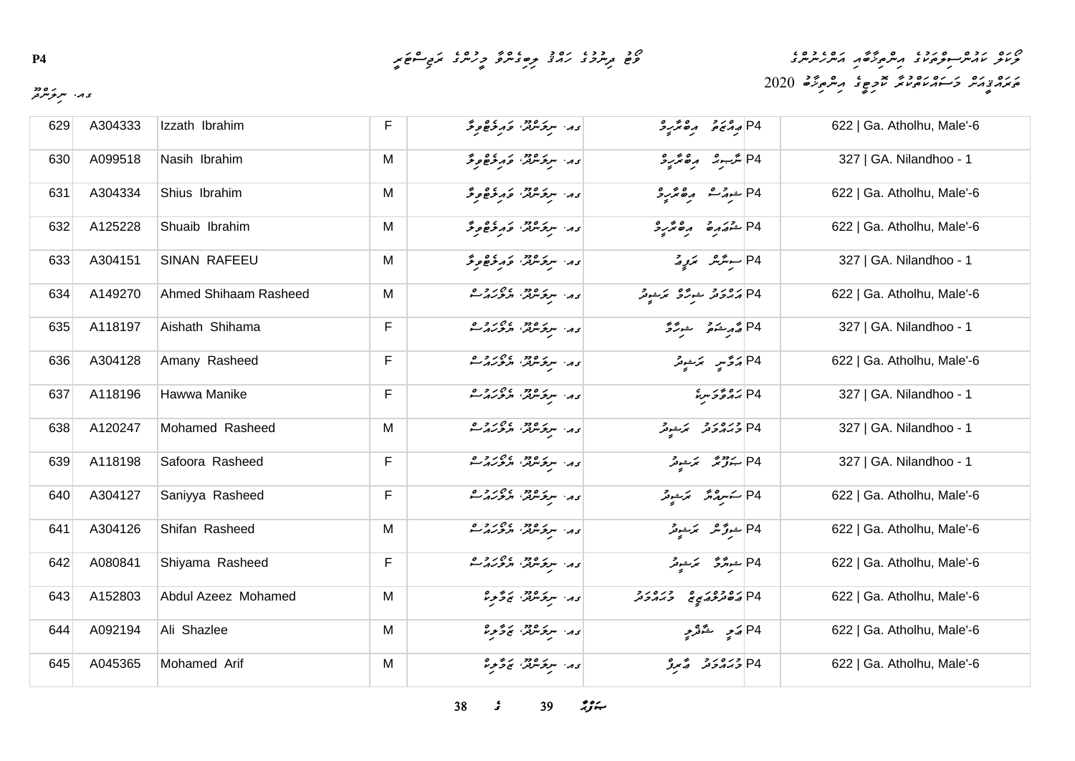*sCw7q7s5w7m< o<n9nOoAw7o< sCq;mAwBoEw7q<m; wBm;vB* م من المرة المرة المرة المرجع المرجع في المركبة 2020<br>مجم*د المريض المربوط المربع المرجع في المراجع المركبة* 

| 629 | A304333 | Izzath Ibrahim        | F            | ىم سركىلىق قەر كەنج     | P4 مەمىم مەھەر ي                                                                                     | 622   Ga. Atholhu, Male'-6 |
|-----|---------|-----------------------|--------------|-------------------------|------------------------------------------------------------------------------------------------------|----------------------------|
| 630 | A099518 | Nasih Ibrahim         | M            | ىمە سۆشى قەدق ھوڭ       | P4 سَّرْسِهِ مِنْ مِنْ مَحْرِ فِي 15                                                                 | 327   GA. Nilandhoo - 1    |
| 631 | A304334 | Shius Ibrahim         | M            | ىما سرىتىلىقى ئەركەھ ئ  | P4 خوړے م <i>ی پرچ</i> پر                                                                            | 622   Ga. Atholhu, Male'-6 |
| 632 | A125228 | Shuaib Ibrahim        | M            | ىە سۆس ئەرتقۇر          | P4 ش <i>ەمەھەم ھەتگە</i> ر 3                                                                         | 622   Ga. Atholhu, Male'-6 |
| 633 | A304151 | <b>SINAN RAFEEU</b>   | M            | ىما سرىمىدى قەر ئەھرىگە | P4 سومئرنٹر کمزور <sup>2</sup>                                                                       | 327   GA. Nilandhoo - 1    |
| 634 | A149270 | Ahmed Shihaam Rasheed | M            | ى سوكى مەر دە           | P4   كەشكە ئىر ئىر ئىر ئىر ئىرىدىن ئىرىدىن ئىرىدىن ئىرىدىن ئىرىدىن ئىرىدىن ئىرىدىن ئىرىدىن ئىرىدىن ئ | 622   Ga. Atholhu, Male'-6 |
| 635 | A118197 | Aishath Shihama       | F            | دە سروس پەر دەر دە      | P4 مُ مِسْرَةٌ مُ سِرْرَةٌ ۖ                                                                         | 327   GA. Nilandhoo - 1    |
| 636 | A304128 | Amany Rasheed         | $\mathsf{F}$ | ى سوڭلىرى ھەر دە        |                                                                                                      | 622   Ga. Atholhu, Male'-6 |
| 637 | A118196 | Hawwa Manike          | $\mathsf{F}$ | ى مەسرىكى بىر كەردە     | P4 ئەرمۇ ئەس <sup>ب</sup> ۇ                                                                          | 327   GA. Nilandhoo - 1    |
| 638 | A120247 | Mohamed Rasheed       | M            | ى سوكى مەر دە           | P4 <i>وُبَرُوْدُوَ</i> مَرْشِي <sup>و</sup> ُرُ                                                      | 327   GA. Nilandhoo - 1    |
| 639 | A118198 | Safoora Rasheed       | F            | ى سوكى مەر دە           | P4 جۇنۇش ئېزىش <sub>و</sub> تر                                                                       | 327   GA. Nilandhoo - 1    |
| 640 | A304127 | Saniyya Rasheed       | $\mathsf{F}$ | ىد. سرىگىرى مەر دە      | P4 س <i>تمبرمگر</i> تمرش <sub>و</sub> مر                                                             | 622   Ga. Atholhu, Male'-6 |
| 641 | A304126 | Shifan Rasheed        | M            | ى سوكى سرە دەر دە       | P4 شوتر مگر مگر میگرد                                                                                | 622   Ga. Atholhu, Male'-6 |
| 642 | A080841 | Shiyama Rasheed       | F            | ى سوكى سرە دەر دە       | P4 شوم <i>رٌوٌ مَرَ</i> شوِت <i>رٌ</i>                                                               | 622   Ga. Atholhu, Male'-6 |
| 643 | A152803 | Abdul Azeez Mohamed   | M            | ى مەسرىكىرى ئەڭ جىر     | P4 גەدەر ەردەرد<br>P4 גەرگەر                                                                         | 622   Ga. Atholhu, Male'-6 |
| 644 | A092194 | Ali Shazlee           | M            | ىمە سىزىكرى ئاۋىر       | P4 كەير شەۋرىي                                                                                       | 622   Ga. Atholhu, Male'-6 |
| 645 | A045365 | Mohamed Arif          | M            | ىمە سۆسىدە ئەم ئ        | P4 <i>3525 قريرو</i>                                                                                 | 622   Ga. Atholhu, Male'-6 |

**38** *s* **39** *n***<sub>y</sub> <b>***n*